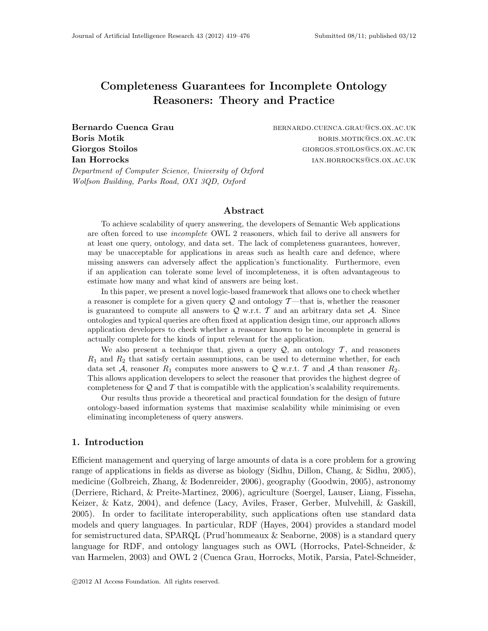# Completeness Guarantees for Incomplete Ontology Reasoners: Theory and Practice

Bernardo Cuenca Grau bernardo.cuenca.grau@cs.ox.ac.uk Boris Motik boris and the set of the set of the boris. Notice that the borist method is a set of the borist method in the set of the set of the set of the set of the set of the set of the set of the set of the set of the s Giorgos Stoilos and Giorgos. Stoilos giorgos. Giorgos. Stoilos giorgos. Giorgos. Giorgos. Giorgos. Ac. UK Ian Horrocks in the settlement of the settlement of the settlement of the settlement of the settlement of the settlement of the settlement of the settlement of the settlement of the settlement of the settlement of the sett

Department of Computer Science, University of Oxford Wolfson Building, Parks Road, OX1 3QD, Oxford

## Abstract

To achieve scalability of query answering, the developers of Semantic Web applications are often forced to use incomplete OWL 2 reasoners, which fail to derive all answers for at least one query, ontology, and data set. The lack of completeness guarantees, however, may be unacceptable for applications in areas such as health care and defence, where missing answers can adversely affect the application's functionality. Furthermore, even if an application can tolerate some level of incompleteness, it is often advantageous to estimate how many and what kind of answers are being lost.

In this paper, we present a novel logic-based framework that allows one to check whether a reasoner is complete for a given query  $\mathcal Q$  and ontology T—that is, whether the reasoner is guaranteed to compute all answers to  $Q$  w.r.t.  $T$  and an arbitrary data set  $A$ . Since ontologies and typical queries are often fixed at application design time, our approach allows application developers to check whether a reasoner known to be incomplete in general is actually complete for the kinds of input relevant for the application.

We also present a technique that, given a query  $\mathcal{Q}$ , an ontology  $\mathcal{T}$ , and reasoners  $R_1$  and  $R_2$  that satisfy certain assumptions, can be used to determine whether, for each data set A, reasoner  $R_1$  computes more answers to Q w.r.t. T and A than reasoner  $R_2$ . This allows application developers to select the reasoner that provides the highest degree of completeness for  $Q$  and  $T$  that is compatible with the application's scalability requirements.

Our results thus provide a theoretical and practical foundation for the design of future ontology-based information systems that maximise scalability while minimising or even eliminating incompleteness of query answers.

## 1. Introduction

Efficient management and querying of large amounts of data is a core problem for a growing range of applications in fields as diverse as biology (Sidhu, Dillon, Chang, & Sidhu, 2005), medicine (Golbreich, Zhang, & Bodenreider, 2006), geography (Goodwin, 2005), astronomy (Derriere, Richard, & Preite-Martinez, 2006), agriculture (Soergel, Lauser, Liang, Fisseha, Keizer, & Katz, 2004), and defence (Lacy, Aviles, Fraser, Gerber, Mulvehill, & Gaskill, 2005). In order to facilitate interoperability, such applications often use standard data models and query languages. In particular, RDF (Hayes, 2004) provides a standard model for semistructured data, SPARQL (Prud'hommeaux & Seaborne, 2008) is a standard query language for RDF, and ontology languages such as OWL (Horrocks, Patel-Schneider, & van Harmelen, 2003) and OWL 2 (Cuenca Grau, Horrocks, Motik, Parsia, Patel-Schneider,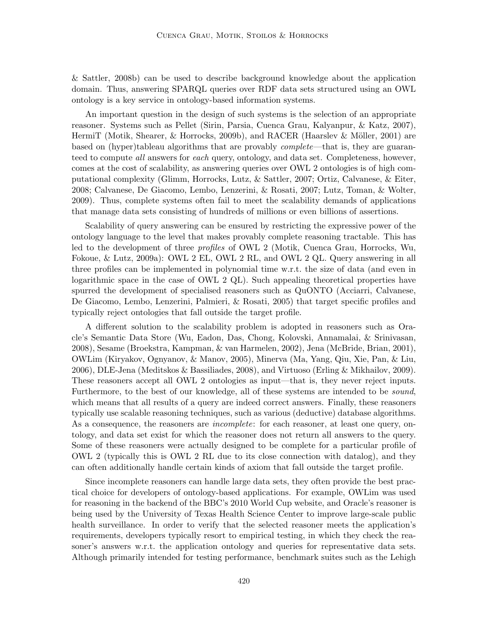& Sattler, 2008b) can be used to describe background knowledge about the application domain. Thus, answering SPARQL queries over RDF data sets structured using an OWL ontology is a key service in ontology-based information systems.

An important question in the design of such systems is the selection of an appropriate reasoner. Systems such as Pellet (Sirin, Parsia, Cuenca Grau, Kalyanpur, & Katz, 2007), HermiT (Motik, Shearer, & Horrocks, 2009b), and RACER (Haarslev & Möller, 2001) are based on (hyper)tableau algorithms that are provably complete—that is, they are guaranteed to compute all answers for each query, ontology, and data set. Completeness, however, comes at the cost of scalability, as answering queries over OWL 2 ontologies is of high computational complexity (Glimm, Horrocks, Lutz, & Sattler, 2007; Ortiz, Calvanese, & Eiter, 2008; Calvanese, De Giacomo, Lembo, Lenzerini, & Rosati, 2007; Lutz, Toman, & Wolter, 2009). Thus, complete systems often fail to meet the scalability demands of applications that manage data sets consisting of hundreds of millions or even billions of assertions.

Scalability of query answering can be ensured by restricting the expressive power of the ontology language to the level that makes provably complete reasoning tractable. This has led to the development of three profiles of OWL 2 (Motik, Cuenca Grau, Horrocks, Wu, Fokoue, & Lutz, 2009a): OWL 2 EL, OWL 2 RL, and OWL 2 QL. Query answering in all three profiles can be implemented in polynomial time w.r.t. the size of data (and even in logarithmic space in the case of OWL 2 QL). Such appealing theoretical properties have spurred the development of specialised reasoners such as QuONTO (Acciarri, Calvanese, De Giacomo, Lembo, Lenzerini, Palmieri, & Rosati, 2005) that target specific profiles and typically reject ontologies that fall outside the target profile.

A different solution to the scalability problem is adopted in reasoners such as Oracle's Semantic Data Store (Wu, Eadon, Das, Chong, Kolovski, Annamalai, & Srinivasan, 2008), Sesame (Broekstra, Kampman, & van Harmelen, 2002), Jena (McBride, Brian, 2001), OWLim (Kiryakov, Ognyanov, & Manov, 2005), Minerva (Ma, Yang, Qiu, Xie, Pan, & Liu, 2006), DLE-Jena (Meditskos & Bassiliades, 2008), and Virtuoso (Erling & Mikhailov, 2009). These reasoners accept all OWL 2 ontologies as input—that is, they never reject inputs. Furthermore, to the best of our knowledge, all of these systems are intended to be *sound*, which means that all results of a query are indeed correct answers. Finally, these reasoners typically use scalable reasoning techniques, such as various (deductive) database algorithms. As a consequence, the reasoners are *incomplete*: for each reasoner, at least one query, ontology, and data set exist for which the reasoner does not return all answers to the query. Some of these reasoners were actually designed to be complete for a particular profile of OWL 2 (typically this is OWL 2 RL due to its close connection with datalog), and they can often additionally handle certain kinds of axiom that fall outside the target profile.

Since incomplete reasoners can handle large data sets, they often provide the best practical choice for developers of ontology-based applications. For example, OWLim was used for reasoning in the backend of the BBC's 2010 World Cup website, and Oracle's reasoner is being used by the University of Texas Health Science Center to improve large-scale public health surveillance. In order to verify that the selected reasoner meets the application's requirements, developers typically resort to empirical testing, in which they check the reasoner's answers w.r.t. the application ontology and queries for representative data sets. Although primarily intended for testing performance, benchmark suites such as the Lehigh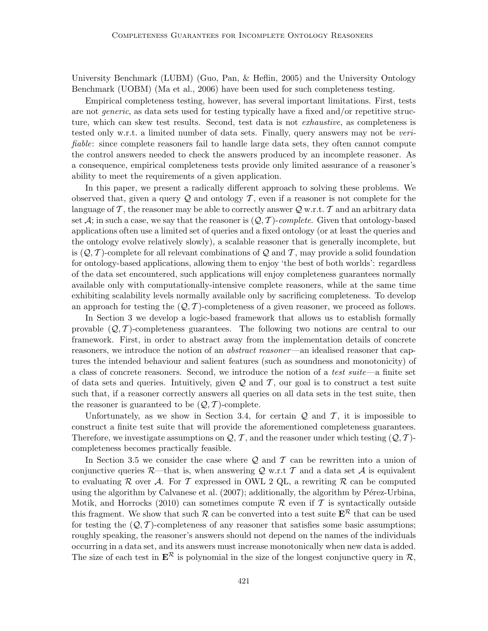University Benchmark (LUBM) (Guo, Pan, & Heflin, 2005) and the University Ontology Benchmark (UOBM) (Ma et al., 2006) have been used for such completeness testing.

Empirical completeness testing, however, has several important limitations. First, tests are not generic, as data sets used for testing typically have a fixed and/or repetitive structure, which can skew test results. Second, test data is not exhaustive, as completeness is tested only w.r.t. a limited number of data sets. Finally, query answers may not be verifiable: since complete reasoners fail to handle large data sets, they often cannot compute the control answers needed to check the answers produced by an incomplete reasoner. As a consequence, empirical completeness tests provide only limited assurance of a reasoner's ability to meet the requirements of a given application.

In this paper, we present a radically different approach to solving these problems. We observed that, given a query  $\mathcal Q$  and ontology  $\mathcal T$ , even if a reasoner is not complete for the language of  $\mathcal{T}$ , the reasoner may be able to correctly answer  $\mathcal{Q}$  w.r.t.  $\mathcal{T}$  and an arbitrary data set  $\mathcal{A}$ ; in such a case, we say that the reasoner is  $(\mathcal{Q}, \mathcal{T})$ -complete. Given that ontology-based applications often use a limited set of queries and a fixed ontology (or at least the queries and the ontology evolve relatively slowly), a scalable reasoner that is generally incomplete, but is  $(Q, \mathcal{T})$ -complete for all relevant combinations of Q and T, may provide a solid foundation for ontology-based applications, allowing them to enjoy 'the best of both worlds': regardless of the data set encountered, such applications will enjoy completeness guarantees normally available only with computationally-intensive complete reasoners, while at the same time exhibiting scalability levels normally available only by sacrificing completeness. To develop an approach for testing the  $(Q, T)$ -completeness of a given reasoner, we proceed as follows.

In Section 3 we develop a logic-based framework that allows us to establish formally provable  $(Q, T)$ -completeness guarantees. The following two notions are central to our framework. First, in order to abstract away from the implementation details of concrete reasoners, we introduce the notion of an *abstract reasoner*—an idealised reasoner that captures the intended behaviour and salient features (such as soundness and monotonicity) of a class of concrete reasoners. Second, we introduce the notion of a test suite—a finite set of data sets and queries. Intuitively, given  $\mathcal Q$  and  $\mathcal T$ , our goal is to construct a test suite such that, if a reasoner correctly answers all queries on all data sets in the test suite, then the reasoner is guaranteed to be  $(Q, T)$ -complete.

Unfortunately, as we show in Section 3.4, for certain  $Q$  and  $T$ , it is impossible to construct a finite test suite that will provide the aforementioned completeness guarantees. Therefore, we investigate assumptions on  $\mathcal{Q}, \mathcal{T}$ , and the reasoner under which testing  $(\mathcal{Q}, \mathcal{T})$ completeness becomes practically feasible.

In Section 3.5 we consider the case where  $Q$  and  $T$  can be rewritten into a union of conjunctive queries R—that is, when answering Q w.r.t T and a data set A is equivalent to evaluating R over A. For T expressed in OWL 2 QL, a rewriting R can be computed using the algorithm by Calvanese et al.  $(2007)$ ; additionally, the algorithm by Pérez-Urbina, Motik, and Horrocks (2010) can sometimes compute  $\mathcal R$  even if  $\mathcal T$  is syntactically outside this fragment. We show that such R can be converted into a test suite  $E^R$  that can be used for testing the  $(Q, T)$ -completeness of any reasoner that satisfies some basic assumptions; roughly speaking, the reasoner's answers should not depend on the names of the individuals occurring in a data set, and its answers must increase monotonically when new data is added. The size of each test in  $\mathbf{E}^{\mathcal{R}}$  is polynomial in the size of the longest conjunctive query in  $\mathcal{R}$ ,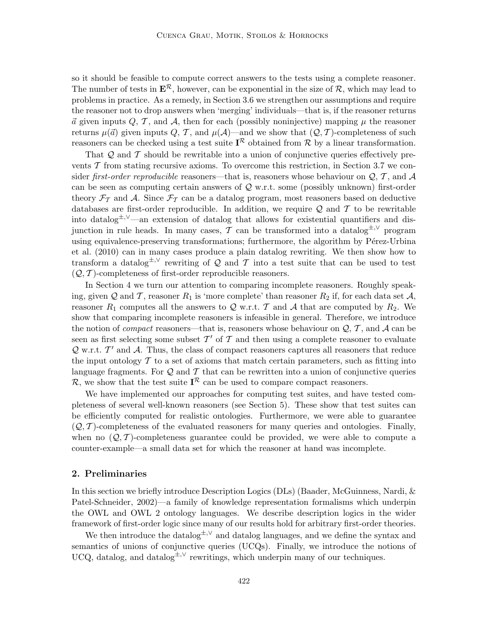so it should be feasible to compute correct answers to the tests using a complete reasoner. The number of tests in  $\mathbf{E}^{\mathcal{R}}$ , however, can be exponential in the size of  $\mathcal{R}$ , which may lead to problems in practice. As a remedy, in Section 3.6 we strengthen our assumptions and require the reasoner not to drop answers when 'merging' individuals—that is, if the reasoner returns  $\vec{a}$  given inputs Q, T, and A, then for each (possibly noninjective) mapping  $\mu$  the reasoner returns  $\mu(\vec{a})$  given inputs Q, T, and  $\mu(\mathcal{A})$ —and we show that  $(Q, T)$ -completeness of such reasoners can be checked using a test suite  $I^{\mathcal{R}}$  obtained from  $\mathcal{R}$  by a linear transformation.

That  $\mathcal Q$  and  $\mathcal T$  should be rewritable into a union of conjunctive queries effectively prevents  $\mathcal T$  from stating recursive axioms. To overcome this restriction, in Section 3.7 we consider first-order reproducible reasoners—that is, reasoners whose behaviour on  $\mathcal{Q}, \mathcal{T}$ , and A can be seen as computing certain answers of  $Q$  w.r.t. some (possibly unknown) first-order theory  $\mathcal{F}_{\mathcal{T}}$  and A. Since  $\mathcal{F}_{\mathcal{T}}$  can be a datalog program, most reasoners based on deductive databases are first-order reproducible. In addition, we require  $Q$  and  $T$  to be rewritable into datalog<sup> $\pm$ ,∨</sup>—an extension of datalog that allows for existential quantifiers and disjunction in rule heads. In many cases, T can be transformed into a datalog<sup> $\pm$ ,∨</sup> program using equivalence-preserving transformations; furthermore, the algorithm by Pérez-Urbina et al. (2010) can in many cases produce a plain datalog rewriting. We then show how to transform a datalog<sup> $\pm$ ,∨</sup> rewriting of Q and T into a test suite that can be used to test  $(Q, T)$ -completeness of first-order reproducible reasoners.

In Section 4 we turn our attention to comparing incomplete reasoners. Roughly speaking, given Q and T, reasoner  $R_1$  is 'more complete' than reasoner  $R_2$  if, for each data set  $A$ , reasoner  $R_1$  computes all the answers to Q w.r.t. T and A that are computed by  $R_2$ . We show that comparing incomplete reasoners is infeasible in general. Therefore, we introduce the notion of *compact* reasoners—that is, reasoners whose behaviour on  $Q, T$ , and A can be seen as first selecting some subset  $\mathcal{T}'$  of  $\mathcal T$  and then using a complete reasoner to evaluate  $Q$  w.r.t.  $T'$  and  $A$ . Thus, the class of compact reasoners captures all reasoners that reduce the input ontology  $\mathcal T$  to a set of axioms that match certain parameters, such as fitting into language fragments. For  $Q$  and  $T$  that can be rewritten into a union of conjunctive queries R, we show that the test suite  $I^{\mathcal{R}}$  can be used to compare compact reasoners.

We have implemented our approaches for computing test suites, and have tested completeness of several well-known reasoners (see Section 5). These show that test suites can be efficiently computed for realistic ontologies. Furthermore, we were able to guarantee  $(Q, \mathcal{T})$ -completeness of the evaluated reasoners for many queries and ontologies. Finally, when no  $(Q, T)$ -completeness guarantee could be provided, we were able to compute a counter-example—a small data set for which the reasoner at hand was incomplete.

## 2. Preliminaries

In this section we briefly introduce Description Logics (DLs) (Baader, McGuinness, Nardi, & Patel-Schneider, 2002)—a family of knowledge representation formalisms which underpin the OWL and OWL 2 ontology languages. We describe description logics in the wider framework of first-order logic since many of our results hold for arbitrary first-order theories.

We then introduce the datalog $\pm$ <sup>,∨</sup> and datalog languages, and we define the syntax and semantics of unions of conjunctive queries (UCQs). Finally, we introduce the notions of UCQ, datalog, and datalog<sup> $\pm$ ,∨</sup> rewritings, which underpin many of our techniques.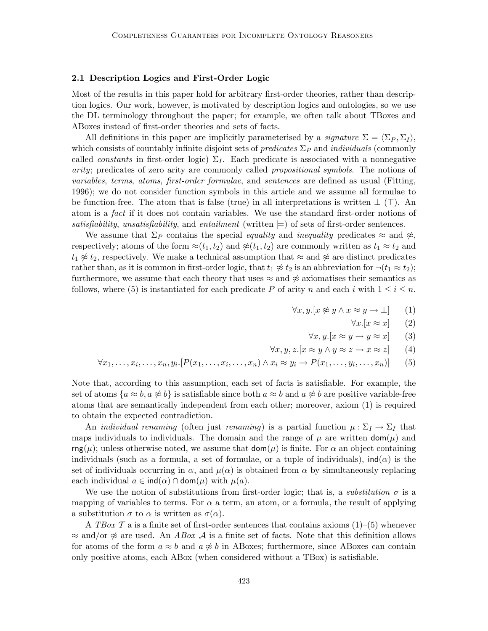## 2.1 Description Logics and First-Order Logic

Most of the results in this paper hold for arbitrary first-order theories, rather than description logics. Our work, however, is motivated by description logics and ontologies, so we use the DL terminology throughout the paper; for example, we often talk about TBoxes and ABoxes instead of first-order theories and sets of facts.

All definitions in this paper are implicitly parameterised by a signature  $\Sigma = \langle \Sigma_P, \Sigma_I \rangle$ , which consists of countably infinite disjoint sets of *predicates*  $\Sigma_P$  and *individuals* (commonly called *constants* in first-order logic)  $\Sigma_I$ . Each predicate is associated with a nonnegative arity; predicates of zero arity are commonly called propositional symbols. The notions of variables, terms, atoms, first-order formulae, and sentences are defined as usual (Fitting, 1996); we do not consider function symbols in this article and we assume all formulae to be function-free. The atom that is false (true) in all interpretations is written  $\perp$  ( $\perp$ ). An atom is a fact if it does not contain variables. We use the standard first-order notions of satisfiability, unsatisfiability, and entailment (written  $\models$ ) of sets of first-order sentences.

We assume that  $\Sigma_P$  contains the special *equality* and *inequality* predicates  $\approx$  and  $\hat{\ast}$ , respectively; atoms of the form  $\approx(t_1, t_2)$  and  $\not{\approx}(t_1, t_2)$  are commonly written as  $t_1 \approx t_2$  and  $t_1 \not\approx t_2$ , respectively. We make a technical assumption that  $\approx$  and  $\not\approx$  are distinct predicates rather than, as it is common in first-order logic, that  $t_1 \not\approx t_2$  is an abbreviation for  $\neg(t_1 \approx t_2);$ furthermore, we assume that each theory that uses  $\approx$  and  $\not\approx$  axiomatises their semantics as follows, where (5) is instantiated for each predicate P of arity n and each i with  $1 \leq i \leq n$ .

$$
\forall x, y. [x \not\approx y \land x \approx y \to \bot] \qquad (1)
$$

$$
\forall x. [x \approx x] \qquad (2)
$$

$$
\forall x, y. [x \approx y \to y \approx x] \qquad (3)
$$

$$
\forall x, y, z. [x \approx y \land y \approx z \to x \approx z] \qquad (4)
$$

$$
\forall x_1, \dots, x_i, \dots, x_n, y_i. [P(x_1, \dots, x_i, \dots, x_n) \land x_i \approx y_i \rightarrow P(x_1, \dots, y_i, \dots, x_n)] \tag{5}
$$

Note that, according to this assumption, each set of facts is satisfiable. For example, the set of atoms  ${a \approx b, a \not\approx b}$  is satisfiable since both  $a \approx b$  and  $a \not\approx b$  are positive variable-free atoms that are semantically independent from each other; moreover, axiom (1) is required to obtain the expected contradiction.

An *individual renaming* (often just *renaming*) is a partial function  $\mu : \Sigma_I \to \Sigma_I$  that maps individuals to individuals. The domain and the range of  $\mu$  are written  $\text{dom}(\mu)$  and  $\text{rng}(\mu)$ ; unless otherwise noted, we assume that  $\text{dom}(\mu)$  is finite. For  $\alpha$  an object containing individuals (such as a formula, a set of formulae, or a tuple of individuals),  $\text{ind}(\alpha)$  is the set of individuals occurring in  $\alpha$ , and  $\mu(\alpha)$  is obtained from  $\alpha$  by simultaneously replacing each individual  $a \in \text{ind}(\alpha) \cap \text{dom}(\mu)$  with  $\mu(a)$ .

We use the notion of substitutions from first-order logic; that is, a *substitution*  $\sigma$  is a mapping of variables to terms. For  $\alpha$  a term, an atom, or a formula, the result of applying a substitution  $\sigma$  to  $\alpha$  is written as  $\sigma(\alpha)$ .

A TBox  $\mathcal T$  a is a finite set of first-order sentences that contains axioms  $(1)$ – $(5)$  whenever  $\approx$  and/or  $\not\approx$  are used. An ABox A is a finite set of facts. Note that this definition allows for atoms of the form  $a \approx b$  and  $a \not\approx b$  in ABoxes; furthermore, since ABoxes can contain only positive atoms, each ABox (when considered without a TBox) is satisfiable.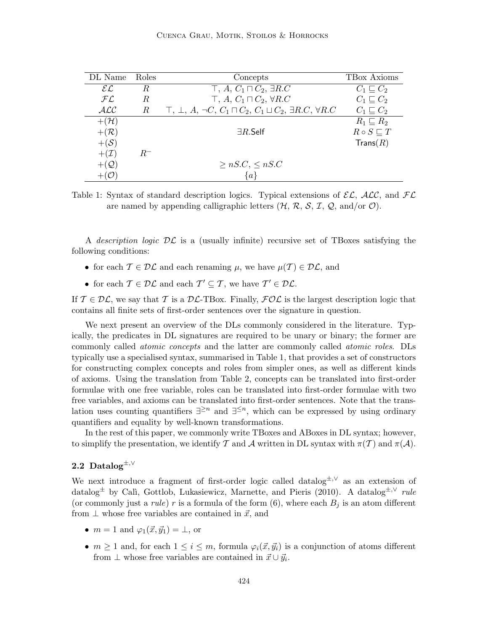| DL Name               | Roles | Concepts                                                                                            | TBox Axioms             |
|-----------------------|-------|-----------------------------------------------------------------------------------------------------|-------------------------|
| $\mathcal{EL}$        | R     | $\top$ , A, $C_1 \sqcap C_2$ , $\exists R.C$                                                        | $C_1 \sqsubset C_2$     |
| $\cal{FL}$            | R.    | $\top$ , A, $C_1 \sqcap C_2$ , $\forall R.C$                                                        | $C_1 \sqsubset C_2$     |
| ALC                   | R     | $\top$ , $\bot$ , A, $\neg C$ , $C_1 \sqcap C_2$ , $C_1 \sqcup C_2$ , $\exists R.C$ , $\forall R.C$ | $C_1 \sqsubset C_2$     |
| $+(\mathcal{H})$      |       |                                                                                                     | $R_1 \sqsubseteq R_2$   |
| $+({\cal R})$         |       | $\exists R$ .Self                                                                                   | $R \circ S \sqsubset T$ |
| $+(\mathcal{S})$      |       |                                                                                                     | $\mathsf{Trans}(R)$     |
| $+({\cal I})$         | $R^-$ |                                                                                                     |                         |
| $+ (Q)$               |       | $\geq nS.C, \leq nS.C$                                                                              |                         |
| $+$ ( $\mathcal{O}$ ) |       |                                                                                                     |                         |

Table 1: Syntax of standard description logics. Typical extensions of  $\mathcal{EL}$ ,  $\mathcal{ALC}$ , and  $\mathcal{FL}$ are named by appending calligraphic letters  $(H, \mathcal{R}, S, \mathcal{I}, \mathcal{Q}, \text{and/or } \mathcal{O}).$ 

A description logic  $\mathcal{DL}$  is a (usually infinite) recursive set of TBoxes satisfying the following conditions:

- for each  $\mathcal{T} \in \mathcal{DL}$  and each renaming  $\mu$ , we have  $\mu(\mathcal{T}) \in \mathcal{DL}$ , and
- for each  $\mathcal{T} \in \mathcal{DL}$  and each  $\mathcal{T}' \subset \mathcal{T}$ , we have  $\mathcal{T}' \in \mathcal{DL}$ .

If  $\mathcal{T} \in \mathcal{DL}$ , we say that T is a  $\mathcal{DL}\text{-}\text{TBox}$ . Finally,  $\mathcal{FOL}$  is the largest description logic that contains all finite sets of first-order sentences over the signature in question.

We next present an overview of the DLs commonly considered in the literature. Typically, the predicates in DL signatures are required to be unary or binary; the former are commonly called atomic concepts and the latter are commonly called atomic roles. DLs typically use a specialised syntax, summarised in Table 1, that provides a set of constructors for constructing complex concepts and roles from simpler ones, as well as different kinds of axioms. Using the translation from Table 2, concepts can be translated into first-order formulae with one free variable, roles can be translated into first-order formulae with two free variables, and axioms can be translated into first-order sentences. Note that the translation uses counting quantifiers  $\exists^{\geq n}$  and  $\exists^{\leq n}$ , which can be expressed by using ordinary quantifiers and equality by well-known transformations.

In the rest of this paper, we commonly write TBoxes and ABoxes in DL syntax; however, to simplify the presentation, we identify T and A written in DL syntax with  $\pi(\mathcal{T})$  and  $\pi(\mathcal{A})$ .

## 2.2 Datalog<sup> $\pm, \vee$ </sup>

We next introduce a fragment of first-order logic called datalog<sup>±, $\vee$ </sup> as an extension of datalog<sup>±</sup> by Calì, Gottlob, Lukasiewicz, Marnette, and Pieris (2010). A datalog<sup>±,∨</sup> rule (or commonly just a *rule*) r is a formula of the form  $(6)$ , where each  $B_j$  is an atom different from  $\perp$  whose free variables are contained in  $\vec{x}$ , and

- $m = 1$  and  $\varphi_1(\vec{x}, \vec{y}_1) = \perp$ , or
- $m \geq 1$  and, for each  $1 \leq i \leq m$ , formula  $\varphi_i(\vec{x}, \vec{y}_i)$  is a conjunction of atoms different from  $\perp$  whose free variables are contained in  $\vec{x} \cup \vec{y}_i$ .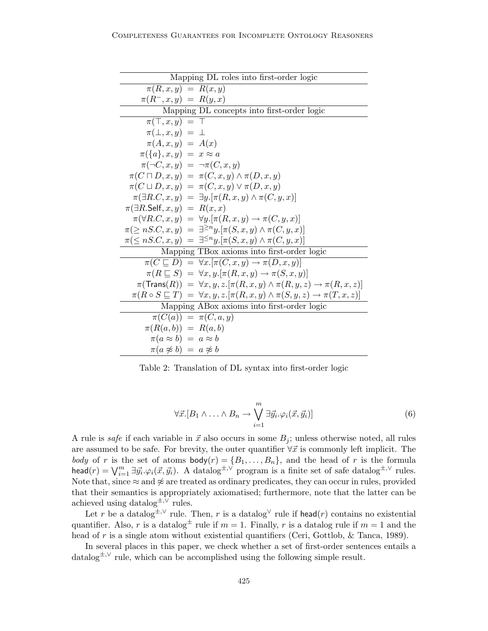| Mapping DL roles into first-order logic                                                                      |
|--------------------------------------------------------------------------------------------------------------|
| $\pi(R, x, y) = R(x, y)$                                                                                     |
| $\pi(R^-, x, y) = R(y, x)$                                                                                   |
| Mapping DL concepts into first-order logic                                                                   |
| $\pi(\top, x, y) = \top$                                                                                     |
| $\pi(\perp, x, y) = \perp$                                                                                   |
| $\pi(A,x,y) = A(x)$                                                                                          |
| $\pi(\{a\}, x, y) = x \approx a$                                                                             |
| $\pi(\neg C, x, y) = \neg \pi(C, x, y)$                                                                      |
| $\pi(C \sqcap D, x, y) = \pi(C, x, y) \wedge \pi(D, x, y)$                                                   |
| $\pi(C \sqcup D, x, y) = \pi(C, x, y) \vee \pi(D, x, y)$                                                     |
| $\pi(\exists R.C, x, y) = \exists y . [\pi(R, x, y) \wedge \pi(C, y, x)]$                                    |
| $\pi(\exists R.\mathsf{Self}, x, y) = R(x, x)$                                                               |
| $\pi(\forall R.C, x, y) = \forall y . [\pi(R, x, y) \rightarrow \pi(C, y, x)]$                               |
| $\pi(\geq nS.C, x, y) = \exists^{\geq n} y . [\pi(S, x, y) \wedge \pi(C, y, x)]$                             |
| $\pi(\leq nS.C, x, y) = \exists^{\leq n} y . [\pi(S, x, y) \wedge \pi(C, y, x)]$                             |
| Mapping TBox axioms into first-order logic                                                                   |
| $\pi(C \sqsubseteq D) = \forall x . [\pi(C, x, y) \rightarrow \pi(D, x, y)]$                                 |
| $\pi(R \sqsubseteq S) = \forall x, y. [\pi(R, x, y) \rightarrow \pi(S, x, y)]$                               |
| $\pi(\text{Trans}(R)) = \forall x, y, z. [\pi(R, x, y) \land \pi(R, y, z) \rightarrow \pi(R, x, z)]$         |
| $\pi(R \circ S \sqsubseteq T) = \forall x, y, z. [\pi(R, x, y) \land \pi(S, y, z) \rightarrow \pi(T, x, z)]$ |
| Mapping ABox axioms into first-order logic                                                                   |
| $\pi(C(a)) = \pi(C, a, y)$                                                                                   |
| $\pi(R(a,b)) = R(a,b)$                                                                                       |
| $\pi(a \approx b) = a \approx b$                                                                             |
| $\pi(a \not\approx b) = a \not\approx b$                                                                     |

Table 2: Translation of DL syntax into first-order logic

$$
\forall \vec{x}. [B_1 \land \ldots \land B_n \to \bigvee_{i=1}^m \exists \vec{y_i} . \varphi_i(\vec{x}, \vec{y_i})]
$$
(6)

A rule is *safe* if each variable in  $\vec{x}$  also occurs in some  $B_i$ ; unless otherwise noted, all rules are assumed to be safe. For brevity, the outer quantifier  $\forall \vec{x}$  is commonly left implicit. The body of r is the set of atoms  $\text{body}(r) = \{B_1, \ldots, B_n\}$ , and the head of r is the formula head(r) =  $\bigvee_{i=1}^{m} \exists \vec{y_i} \cdot \varphi_i(\vec{x}, \vec{y_i})$ . A datalog<sup>±, $\vee$ </sup> program is a finite set of safe datalog<sup>±, $\vee$ </sup> rules. Note that, since  $\approx$  and  $\approx$  are treated as ordinary predicates, they can occur in rules, provided that their semantics is appropriately axiomatised; furthermore, note that the latter can be achieved using datalog<sup> $\pm$ ,  $\sqrt{\ }$ </sup> rules.

Let r be a datalog<sup>±,  $\vee$ </sup> rule. Then, r is a datalog<sup> $\vee$ </sup> rule if head(r) contains no existential quantifier. Also, r is a datalog<sup> $\pm$ </sup> rule if  $m = 1$ . Finally, r is a datalog rule if  $m = 1$  and the head of r is a single atom without existential quantifiers (Ceri, Gottlob, & Tanca, 1989).

In several places in this paper, we check whether a set of first-order sentences entails a datalog±,<sup>∨</sup> rule, which can be accomplished using the following simple result.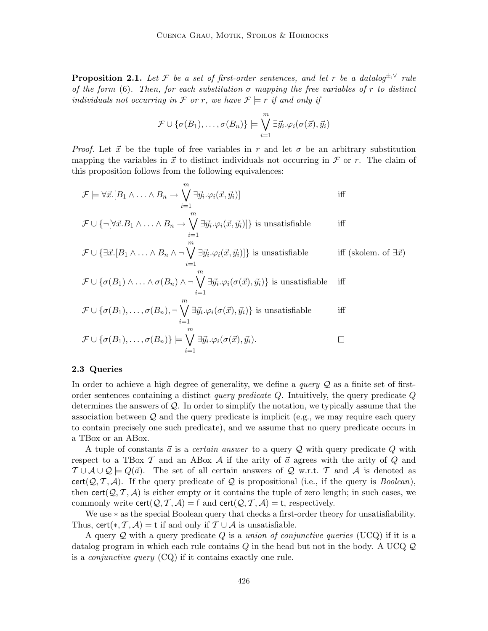**Proposition 2.1.** Let F be a set of first-order sentences, and let r be a datalog<sup> $\pm$ , $\vee$ </sup> rule of the form (6). Then, for each substitution  $\sigma$  mapping the free variables of r to distinct individuals not occurring in F or r, we have  $\mathcal{F} \models r$  if and only if

$$
\mathcal{F} \cup \{\sigma(B_1), \ldots, \sigma(B_n)\} \models \bigvee_{i=1}^m \exists \vec{y_i} . \varphi_i(\sigma(\vec{x}), \vec{y_i})
$$

*Proof.* Let  $\vec{x}$  be the tuple of free variables in r and let  $\sigma$  be an arbitrary substitution mapping the variables in  $\vec{x}$  to distinct individuals not occurring in  $\mathcal F$  or r. The claim of this proposition follows from the following equivalences:

$$
\mathcal{F} \models \forall \vec{x}. [B_1 \land \ldots \land B_n \to \bigvee_{i=1}^m \exists \vec{y}_i. \varphi_i(\vec{x}, \vec{y}_i)] \quad \text{iff}
$$
  

$$
\mathcal{F} \cup \{\neg [\forall \vec{x}. B_1 \land \ldots \land B_n \to \bigvee_{i=1}^m \exists \vec{y}_i. \varphi_i(\vec{x}, \vec{y}_i)]\} \text{ is unsatisfiable} \quad \text{iff}
$$

$$
\mathcal{F} \cup \{ \exists \vec{x}. [B_1 \wedge \ldots \wedge B_n \wedge \neg \bigvee_{i=1}^m \exists \vec{y_i} . \varphi_i(\vec{x}, \vec{y_i})] \} \text{ is unsatisfiable} \qquad \text{iff (skolem. of } \exists \vec{x})
$$

$$
\mathcal{F} \cup \{ \sigma(B_1) \wedge \ldots \wedge \sigma(B_n) \wedge \neg \bigvee_{i=1}^m \exists \vec{y_i} . \varphi_i(\sigma(\vec{x}), \vec{y_i}) \} \text{ is unsatisfiable} \quad \text{iff}
$$

$$
\mathcal{F} \cup \{\sigma(B_1), \ldots, \sigma(B_n), \neg \bigvee_{i=1}^m \exists \vec{y}_i. \varphi_i(\sigma(\vec{x}), \vec{y}_i)\} \text{ is unsatisfiable} \qquad \text{iff}
$$

$$
\mathcal{F} \cup \{\sigma(B_1), \ldots, \sigma(B_n)\} \models \bigvee_{i=1}^m \exists \vec{y}_i . \varphi_i(\sigma(\vec{x}), \vec{y}_i).
$$

#### 2.3 Queries

In order to achieve a high degree of generality, we define a *query*  $Q$  as a finite set of firstorder sentences containing a distinct *query predicate Q*. Intuitively, the query predicate  $Q$ determines the answers of Q. In order to simplify the notation, we typically assume that the association between  $\mathcal Q$  and the query predicate is implicit (e.g., we may require each query to contain precisely one such predicate), and we assume that no query predicate occurs in a TBox or an ABox.

A tuple of constants  $\vec{a}$  is a *certain answer* to a query Q with query predicate Q with respect to a TBox  $\mathcal T$  and an ABox  $\mathcal A$  if the arity of  $\vec a$  agrees with the arity of  $Q$  and  $\mathcal{T} \cup \mathcal{A} \cup \mathcal{Q} \models Q(\vec{a})$ . The set of all certain answers of Q w.r.t. T and A is denoted as cert( $Q, T, A$ ). If the query predicate of Q is propositional (i.e., if the query is *Boolean*), then cert( $Q, T, A$ ) is either empty or it contains the tuple of zero length; in such cases, we commonly write cert( $Q, T, A$ ) = f and cert( $Q, T, A$ ) = t, respectively.

We use ∗ as the special Boolean query that checks a first-order theory for unsatisfiability. Thus, cert(\*,  $\mathcal{T}, \mathcal{A}$ ) = t if and only if  $\mathcal{T} \cup \mathcal{A}$  is unsatisfiable.

A query Q with a query predicate  $Q$  is a union of conjunctive queries (UCQ) if it is a datalog program in which each rule contains  $Q$  in the head but not in the body. A UCQ  $Q$ is a *conjunctive query*  $(CQ)$  if it contains exactly one rule.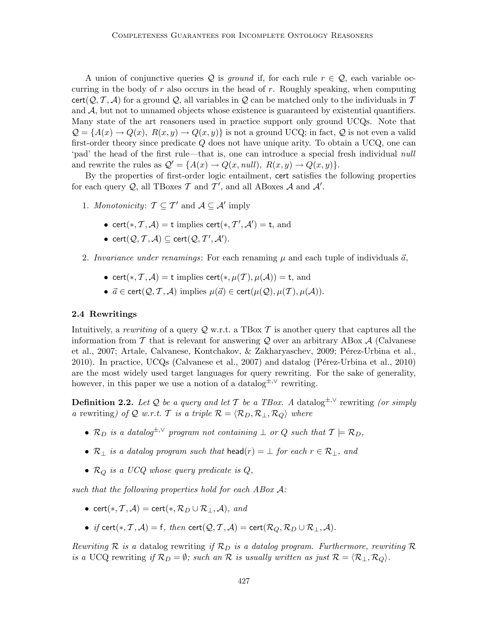A union of conjunctive queries Q is ground if, for each rule  $r \in \mathcal{Q}$ , each variable occurring in the body of  $r$  also occurs in the head of  $r$ . Roughly speaking, when computing cert( $Q, T, A$ ) for a ground  $Q$ , all variables in  $Q$  can be matched only to the individuals in T and  $A$ , but not to unnamed objects whose existence is guaranteed by existential quantifiers. Many state of the art reasoners used in practice support only ground UCQs. Note that  $\mathcal{Q} = \{A(x) \to Q(x), R(x, y) \to Q(x, y)\}\$ is not a ground UCQ; in fact,  $\mathcal{Q}$  is not even a valid first-order theory since predicate Q does not have unique arity. To obtain a UCQ, one can 'pad' the head of the first rule—that is, one can introduce a special fresh individual null and rewrite the rules as  $Q' = \{A(x) \rightarrow Q(x, null), R(x, y) \rightarrow Q(x, y)\}.$ 

By the properties of first-order logic entailment, cert satisfies the following properties for each query  $Q$ , all TBoxes  $\mathcal T$  and  $\mathcal T'$ , and all ABoxes  $\mathcal A$  and  $\mathcal A'$ .

- 1. Monotonicity:  $\mathcal{T} \subseteq \mathcal{T}'$  and  $\mathcal{A} \subseteq \mathcal{A}'$  imply
	- cert(\*,  $T, A$ ) = t implies cert(\*,  $T', A'$ ) = t, and
	- cert $(Q, \mathcal{T}, \mathcal{A}) \subseteq \mathsf{cert}(\mathcal{Q}, \mathcal{T}', \mathcal{A}').$
- 2. Invariance under renamings: For each renaming  $\mu$  and each tuple of individuals  $\vec{a}$ ,
	- cert(\*, T, A) = t implies cert(\*,  $\mu(T)$ ,  $\mu(A)$ ) = t, and
	- $\vec{a} \in \text{cert}(\mathcal{Q}, \mathcal{T}, \mathcal{A})$  implies  $\mu(\vec{a}) \in \text{cert}(\mu(\mathcal{Q}), \mu(\mathcal{T}), \mu(\mathcal{A})).$

### 2.4 Rewritings

Intuitively, a rewriting of a query  $\mathcal Q$  w.r.t. a TBox T is another query that captures all the information from T that is relevant for answering Q over an arbitrary ABox  $\mathcal A$  (Calvanese et al., 2007; Artale, Calvanese, Kontchakov, & Zakharyaschev, 2009; Pérez-Urbina et al., 2010). In practice, UCQs (Calvanese et al., 2007) and datalog (Pérez-Urbina et al., 2010) are the most widely used target languages for query rewriting. For the sake of generality, however, in this paper we use a notion of a datalog<sup> $\pm$ ,∨</sup> rewriting.

**Definition 2.2.** Let Q be a query and let T be a TBox. A datalog<sup> $\pm$ , $\vee$ </sup> rewriting (or simply a rewriting) of Q w.r.t. T is a triple  $\mathcal{R} = \langle \mathcal{R}_D, \mathcal{R}_\perp, \mathcal{R}_O \rangle$  where

- $\mathcal{R}_D$  is a datalog<sup> $\pm, \vee$ </sup> program not containing  $\perp$  or Q such that  $\mathcal{T} \models \mathcal{R}_D$ ,
- $\mathcal{R}_\perp$  is a datalog program such that head(r) =  $\perp$  for each  $r \in \mathcal{R}_\perp$ , and
- $\mathcal{R}_Q$  is a UCQ whose query predicate is  $Q$ ,

such that the following properties hold for each ABox A:

- cert(\*, T, A) = cert(\*,  $\mathcal{R}_D \cup \mathcal{R}_\perp$ , A), and
- if cert(\*, T, A) = f, then cert( $Q, T, A$ ) = cert( $\mathcal{R}_Q, \mathcal{R}_D \cup \mathcal{R}_\perp, A$ ).

Rewriting R is a datalog rewriting if  $\mathcal{R}_D$  is a datalog program. Furthermore, rewriting R is a UCQ rewriting if  $\mathcal{R}_D = \emptyset$ ; such an  $\mathcal R$  is usually written as just  $\mathcal R = \langle \mathcal{R}_+, \mathcal{R}_\mathcal{O} \rangle$ .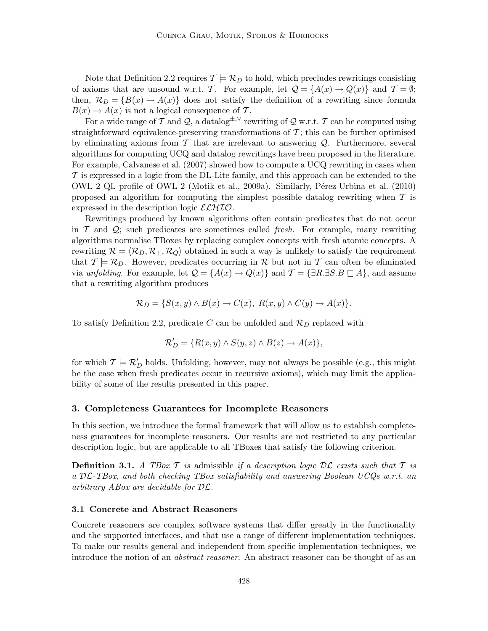Note that Definition 2.2 requires  $\mathcal{T} \models \mathcal{R}_D$  to hold, which precludes rewritings consisting of axioms that are unsound w.r.t. T. For example, let  $\mathcal{Q} = \{A(x) \to Q(x)\}\$  and  $\mathcal{T} = \emptyset$ ; then,  $\mathcal{R}_D = \{B(x) \to A(x)\}\$ does not satisfy the definition of a rewriting since formula  $B(x) \to A(x)$  is not a logical consequence of T.

For a wide range of T and Q, a datalog<sup> $\pm$ ,∨</sup> rewriting of Q w.r.t. T can be computed using straightforward equivalence-preserving transformations of  $\mathcal{T}$ ; this can be further optimised by eliminating axioms from  $\mathcal T$  that are irrelevant to answering  $\mathcal Q$ . Furthermore, several algorithms for computing UCQ and datalog rewritings have been proposed in the literature. For example, Calvanese et al. (2007) showed how to compute a UCQ rewriting in cases when  $\mathcal T$  is expressed in a logic from the DL-Lite family, and this approach can be extended to the OWL 2 QL profile of OWL 2 (Motik et al., 2009a). Similarly, P´erez-Urbina et al. (2010) proposed an algorithm for computing the simplest possible datalog rewriting when  $\mathcal T$  is expressed in the description logic  $\mathcal{ELHIO}$ .

Rewritings produced by known algorithms often contain predicates that do not occur in  $\mathcal T$  and  $\mathcal Q$ ; such predicates are sometimes called *fresh*. For example, many rewriting algorithms normalise TBoxes by replacing complex concepts with fresh atomic concepts. A rewriting  $\mathcal{R} = \langle \mathcal{R}_D, \mathcal{R}_+, \mathcal{R}_Q \rangle$  obtained in such a way is unlikely to satisfy the requirement that  $\mathcal{T} \models \mathcal{R}_D$ . However, predicates occurring in  $\mathcal{R}$  but not in  $\mathcal T$  can often be eliminated via unfolding. For example, let  $\mathcal{Q} = \{A(x) \to Q(x)\}\$ and  $\mathcal{T} = \{\exists R.\exists S.B \sqsubseteq A\}$ , and assume that a rewriting algorithm produces

$$
\mathcal{R}_D = \{ S(x, y) \land B(x) \to C(x), R(x, y) \land C(y) \to A(x) \}.
$$

To satisfy Definition 2.2, predicate C can be unfolded and  $\mathcal{R}_D$  replaced with

$$
\mathcal{R}'_D = \{ R(x, y) \land S(y, z) \land B(z) \rightarrow A(x) \},\
$$

for which  $\mathcal{T} \models \mathcal{R}'_D$  holds. Unfolding, however, may not always be possible (e.g., this might be the case when fresh predicates occur in recursive axioms), which may limit the applicability of some of the results presented in this paper.

#### 3. Completeness Guarantees for Incomplete Reasoners

In this section, we introduce the formal framework that will allow us to establish completeness guarantees for incomplete reasoners. Our results are not restricted to any particular description logic, but are applicable to all TBoxes that satisfy the following criterion.

**Definition 3.1.** A TBox T is admissible if a description logic  $\mathcal{DL}$  exists such that T is a DL-TBox, and both checking TBox satisfiability and answering Boolean UCQs w.r.t. an arbitrary ABox are decidable for DL.

#### 3.1 Concrete and Abstract Reasoners

Concrete reasoners are complex software systems that differ greatly in the functionality and the supported interfaces, and that use a range of different implementation techniques. To make our results general and independent from specific implementation techniques, we introduce the notion of an abstract reasoner. An abstract reasoner can be thought of as an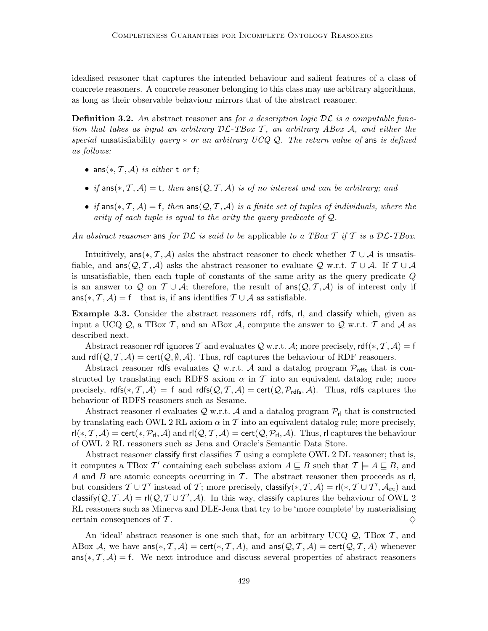idealised reasoner that captures the intended behaviour and salient features of a class of concrete reasoners. A concrete reasoner belonging to this class may use arbitrary algorithms, as long as their observable behaviour mirrors that of the abstract reasoner.

**Definition 3.2.** An abstract reasoner ans for a description logic  $D\mathcal{L}$  is a computable function that takes as input an arbitrary  $D\mathcal{L}\text{-}TBox\ \mathcal{T}$ , an arbitrary ABox A, and either the special unsatisfiability query  $*$  or an arbitrary UCQ Q. The return value of ans is defined as follows:

- ans $(*, \mathcal{T}, \mathcal{A})$  is either t or f;
- if ans $(*, \mathcal{T}, \mathcal{A}) =$  t, then ans $(\mathcal{Q}, \mathcal{T}, \mathcal{A})$  is of no interest and can be arbitrary; and
- if ans $(*, \mathcal{T}, \mathcal{A}) = f$ , then ans $(Q, \mathcal{T}, \mathcal{A})$  is a finite set of tuples of individuals, where the arity of each tuple is equal to the arity the query predicate of Q.

An abstract reasoner ans for  $\mathcal{DL}$  is said to be applicable to a TBox T if T is a  $\mathcal{DL}\text{-}T$ -TBox.

Intuitively, ans $(*, \mathcal{T}, \mathcal{A})$  asks the abstract reasoner to check whether  $\mathcal{T} \cup \mathcal{A}$  is unsatisfiable, and  $\textsf{ans}(\mathcal{Q}, \mathcal{T}, \mathcal{A})$  asks the abstract reasoner to evaluate  $\mathcal{Q}$  w.r.t.  $\mathcal{T} \cup \mathcal{A}$ . If  $\mathcal{T} \cup \mathcal{A}$ is unsatisfiable, then each tuple of constants of the same arity as the query predicate Q is an answer to Q on  $\mathcal{T} \cup \mathcal{A}$ ; therefore, the result of  $\text{ans}(\mathcal{Q}, \mathcal{T}, \mathcal{A})$  is of interest only if ans(\*,  $\mathcal{T}, \mathcal{A}$ ) = f—that is, if ans identifies  $\mathcal{T} \cup \mathcal{A}$  as satisfiable.

Example 3.3. Consider the abstract reasoners rdf, rdfs, rl, and classify which, given as input a UCQ  $\mathcal{Q}$ , a TBox T, and an ABox A, compute the answer to  $\mathcal{Q}$  w.r.t. T and A as described next.

Abstract reasoner rdf ignores T and evaluates Q w.r.t. A; more precisely,  $\mathsf{rdf}(*, \mathcal{T}, \mathcal{A}) = \mathsf{f}$ and  $\text{rdf}(\mathcal{Q}, \mathcal{T}, \mathcal{A}) = \text{cert}(\mathcal{Q}, \emptyset, \mathcal{A})$ . Thus, rdf captures the behaviour of RDF reasoners.

Abstract reasoner rdfs evaluates Q w.r.t. A and a datalog program  $\mathcal{P}_{\text{rdfs}}$  that is constructed by translating each RDFS axiom  $\alpha$  in T into an equivalent datalog rule; more precisely, rdfs(\*, T, A) = f and rdfs( $Q, T, A$ ) = cert( $Q, P_{\text{rdfs}}, A$ ). Thus, rdfs captures the behaviour of RDFS reasoners such as Sesame.

Abstract reasoner rl evaluates  $Q$  w.r.t. A and a datalog program  $P_{rl}$  that is constructed by translating each OWL 2 RL axiom  $\alpha$  in T into an equivalent datalog rule; more precisely,  $\mathsf{rl}(*, \mathcal{T}, \mathcal{A}) = \mathsf{cert}(*, \mathcal{P}_{\mathsf{rl}}, \mathcal{A})$  and  $\mathsf{rl}(\mathcal{Q}, \mathcal{T}, \mathcal{A}) = \mathsf{cert}(\mathcal{Q}, \mathcal{P}_{\mathsf{rl}}, \mathcal{A})$ . Thus,  $\mathsf{rl}$  captures the behaviour of OWL 2 RL reasoners such as Jena and Oracle's Semantic Data Store.

Abstract reasoner classify first classifies  $\mathcal T$  using a complete OWL 2 DL reasoner; that is, it computes a TBox T' containing each subclass axiom  $A \sqsubseteq B$  such that  $\mathcal{T} \models A \sqsubseteq B$ , and A and B are atomic concepts occurring in T. The abstract reasoner then proceeds as  $\mathsf{rl},$ but considers  $T \cup T'$  instead of T; more precisely, classify(\*, T, A) = rl(\*,  $T \cup T', A_{in}$ ) and classify $(Q, \mathcal{T}, \mathcal{A}) = \mathsf{rl}(Q, \mathcal{T} \cup \mathcal{T}', \mathcal{A})$ . In this way, classify captures the behaviour of OWL 2 RL reasoners such as Minerva and DLE-Jena that try to be 'more complete' by materialising certain consequences of T.

An 'ideal' abstract reasoner is one such that, for an arbitrary UCQ  $Q$ , TBox  $T$ , and ABox A, we have ans $(*, \mathcal{T}, \mathcal{A}) =$  cert $(*, \mathcal{T}, \mathcal{A})$ , and ans $(\mathcal{Q}, \mathcal{T}, \mathcal{A}) =$  cert $(\mathcal{Q}, \mathcal{T}, \mathcal{A})$  whenever  $ans(*, \mathcal{T}, \mathcal{A}) = f$ . We next introduce and discuss several properties of abstract reasoners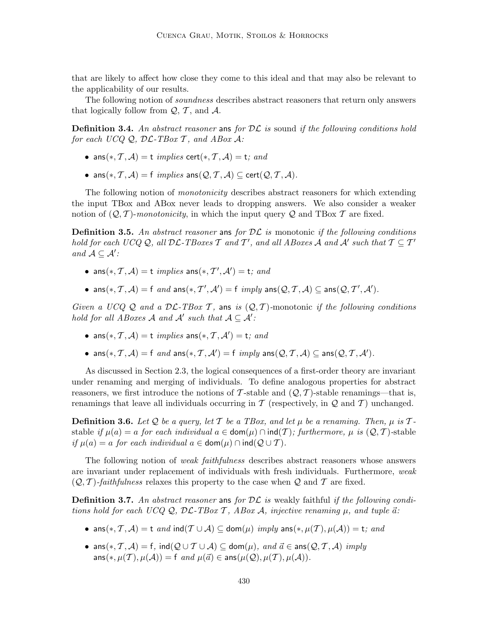that are likely to affect how close they come to this ideal and that may also be relevant to the applicability of our results.

The following notion of soundness describes abstract reasoners that return only answers that logically follow from  $\mathcal{Q}, \mathcal{T}$ , and  $\mathcal{A}$ .

**Definition 3.4.** An abstract reasoner ans for  $\mathcal{DL}$  is sound if the following conditions hold for each UCQ  $Q$ ,  $\mathcal{DL}\text{-}TBox\ \mathcal{T}$ , and  $ABox\ \mathcal{A}$ :

- ans $(*, \mathcal{T}, \mathcal{A}) =$ t *implies* cert $(*, \mathcal{T}, \mathcal{A}) =$ t; and
- ans $(*, \mathcal{T}, \mathcal{A}) = f$  implies ans $(\mathcal{Q}, \mathcal{T}, \mathcal{A}) \subset \text{cert}(\mathcal{Q}, \mathcal{T}, \mathcal{A}).$

The following notion of monotonicity describes abstract reasoners for which extending the input TBox and ABox never leads to dropping answers. We also consider a weaker notion of  $(Q, \mathcal{T})$ -monotonicity, in which the input query Q and TBox  $\mathcal{T}$  are fixed.

**Definition 3.5.** An abstract reasoner ans for  $\mathcal{DL}$  is monotonic if the following conditions hold for each UCQ Q, all  $\mathcal{DL}\text{-}TBox$ es  $\mathcal T$  and  $\mathcal T'$ , and all ABoxes  $\mathcal A$  and  $\mathcal A'$  such that  $\mathcal T\subseteq \mathcal T'$ and  $\mathcal{A} \subseteq \mathcal{A}'$ :

- ans $(*, \mathcal{T}, \mathcal{A}) =$ t *implies* ans $(*, \mathcal{T}', \mathcal{A}') =$ t; and
- ans $(*, \mathcal{T}, \mathcal{A}) = f$  and ans $(*, \mathcal{T}', \mathcal{A}') = f$  imply ans $(\mathcal{Q}, \mathcal{T}, \mathcal{A}) \subseteq \text{ans}(\mathcal{Q}, \mathcal{T}', \mathcal{A}')$ .

Given a UCQ Q and a  $\mathcal{DL}\text{-}TBox\ \mathcal{T}$ , ans is  $(\mathcal{Q}, \mathcal{T})$ -monotonic if the following conditions hold for all ABoxes A and  $A'$  such that  $A \subseteq A'$ :

- ans $(*, \mathcal{T}, \mathcal{A}) =$ t *implies* ans $(*, \mathcal{T}, \mathcal{A}') =$ t; and
- ans $(*, \mathcal{T}, \mathcal{A}) = f$  and ans $(*, \mathcal{T}, \mathcal{A}') = f$  imply ans $(\mathcal{Q}, \mathcal{T}, \mathcal{A}) \subseteq \text{ans}(\mathcal{Q}, \mathcal{T}, \mathcal{A}')$ .

As discussed in Section 2.3, the logical consequences of a first-order theory are invariant under renaming and merging of individuals. To define analogous properties for abstract reasoners, we first introduce the notions of T-stable and  $(Q, T)$ -stable renamings—that is, renamings that leave all individuals occurring in  $\mathcal T$  (respectively, in  $\mathcal Q$  and  $\mathcal T$ ) unchanged.

**Definition 3.6.** Let Q be a query, let T be a TBox, and let  $\mu$  be a renaming. Then,  $\mu$  is Tstable if  $\mu(a) = a$  for each individual  $a \in \text{dom}(\mu) \cap \text{ind}(T)$ ; furthermore,  $\mu$  is  $(Q, T)$ -stable if  $\mu(a) = a$  for each individual  $a \in \text{dom}(\mu) \cap \text{ind}(\mathcal{Q} \cup \mathcal{T})$ .

The following notion of weak faithfulness describes abstract reasoners whose answers are invariant under replacement of individuals with fresh individuals. Furthermore, weak  $(Q, T)$ -faithfulness relaxes this property to the case when Q and T are fixed.

**Definition 3.7.** An abstract reasoner ans for  $\mathcal{DL}$  is weakly faithful if the following conditions hold for each UCQ Q, DL-TBox T, ABox A, injective renaming  $\mu$ , and tuple  $\vec{a}$ :

- ans $(*, \mathcal{T}, \mathcal{A}) =$ t and ind $(\mathcal{T} \cup \mathcal{A}) \subseteq$  dom $(\mu)$  imply ans $(*, \mu(\mathcal{T}), \mu(\mathcal{A})) =$ t; and
- ans $(*, \mathcal{T}, \mathcal{A}) = f$ ,  $ind(\mathcal{Q} \cup \mathcal{T} \cup \mathcal{A}) \subseteq dom(\mu)$ , and  $\vec{a} \in ans(\mathcal{Q}, \mathcal{T}, \mathcal{A})$  imply  $ans(*, \mu(\mathcal{T}), \mu(\mathcal{A})) = \text{f}$  and  $\mu(\vec{a}) \in ans(\mu(\mathcal{Q}), \mu(\mathcal{T}), \mu(\mathcal{A})).$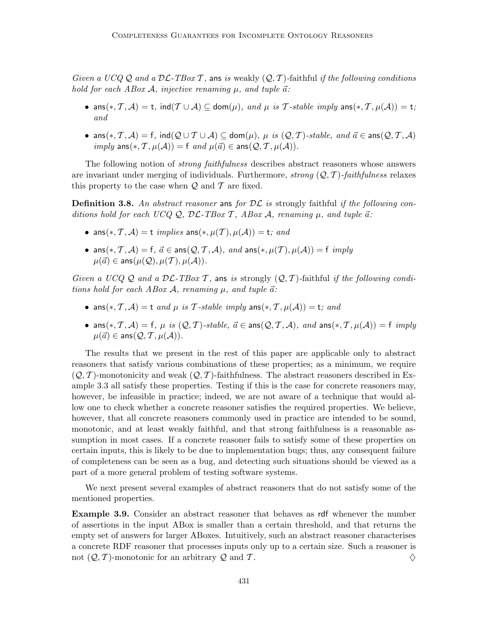Given a UCQ Q and a  $\mathcal{DL}\text{-}TBox\mathcal{T}$ , ans is weakly  $(Q, \mathcal{T})$ -faithful if the following conditions hold for each ABox A, injective renaming  $\mu$ , and tuple  $\vec{a}$ :

- ans $(*, \mathcal{T}, \mathcal{A}) =$  t, ind $(\mathcal{T} \cup \mathcal{A}) \subseteq$  dom $(\mu)$ , and  $\mu$  is T-stable imply ans $(*, \mathcal{T}, \mu(\mathcal{A})) =$  t; and
- ans $(*, \mathcal{T}, \mathcal{A}) = f$ ,  $ind(Q \cup \mathcal{T} \cup \mathcal{A}) \subseteq dom(\mu)$ ,  $\mu$  is  $(Q, \mathcal{T})$ -stable, and  $\vec{a} \in ans(Q, \mathcal{T}, \mathcal{A})$  $imply \text{ ans}(*, \mathcal{T}, \mu(\mathcal{A})) = \text{f} \text{ and } \mu(\vec{a}) \in \text{ans}(\mathcal{Q}, \mathcal{T}, \mu(\mathcal{A})).$

The following notion of strong faithfulness describes abstract reasoners whose answers are invariant under merging of individuals. Furthermore, strong  $(Q, T)$ -faithfulness relaxes this property to the case when  $\mathcal Q$  and  $\mathcal T$  are fixed.

**Definition 3.8.** An abstract reasoner ans for  $\mathcal{DL}$  is strongly faithful if the following conditions hold for each UCQ Q,  $\mathcal{DL}\text{-}TBox\mathcal{T}$ , ABox A, renaming  $\mu$ , and tuple  $\vec{a}$ :

- ans $(*, \mathcal{T}, \mathcal{A}) =$ t *implies* ans $(*, \mu(\mathcal{T}), \mu(\mathcal{A})) =$ t; and
- ans $(*, \mathcal{T}, \mathcal{A}) = f$ ,  $\vec{a} \in \text{ans}(\mathcal{Q}, \mathcal{T}, \mathcal{A})$ , and ans $(*, \mu(\mathcal{T}), \mu(\mathcal{A})) = f$  imply  $\mu(\vec{a}) \in \text{ans}(\mu(\mathcal{Q}), \mu(\mathcal{T}), \mu(\mathcal{A})).$

Given a UCQ Q and a  $\mathcal{DL}\text{-}TBox T$ , ans is strongly  $(\mathcal{Q}, \mathcal{T})$ -faithful if the following conditions hold for each ABox A, renaming  $\mu$ , and tuple  $\vec{a}$ :

- ans $(*, \mathcal{T}, \mathcal{A}) =$ t and  $\mu$  is  $\mathcal{T}$ -stable imply ans $(*, \mathcal{T}, \mu(\mathcal{A})) =$ t; and
- ans $(*, \mathcal{T}, \mathcal{A}) = f$ ,  $\mu$  is  $(\mathcal{Q}, \mathcal{T})$ -stable,  $\vec{a} \in \text{ans}(\mathcal{Q}, \mathcal{T}, \mathcal{A})$ , and  $\text{ans}(*, \mathcal{T}, \mu(\mathcal{A})) = f$  imply  $\mu(\vec{a}) \in \text{ans}(\mathcal{Q}, \mathcal{T}, \mu(\mathcal{A})).$

The results that we present in the rest of this paper are applicable only to abstract reasoners that satisfy various combinations of these properties; as a minimum, we require  $(Q, \mathcal{T})$ -monotonicity and weak  $(Q, \mathcal{T})$ -faithfulness. The abstract reasoners described in Example 3.3 all satisfy these properties. Testing if this is the case for concrete reasoners may, however, be infeasible in practice; indeed, we are not aware of a technique that would allow one to check whether a concrete reasoner satisfies the required properties. We believe, however, that all concrete reasoners commonly used in practice are intended to be sound, monotonic, and at least weakly faithful, and that strong faithfulness is a reasonable assumption in most cases. If a concrete reasoner fails to satisfy some of these properties on certain inputs, this is likely to be due to implementation bugs; thus, any consequent failure of completeness can be seen as a bug, and detecting such situations should be viewed as a part of a more general problem of testing software systems.

We next present several examples of abstract reasoners that do not satisfy some of the mentioned properties.

Example 3.9. Consider an abstract reasoner that behaves as rdf whenever the number of assertions in the input ABox is smaller than a certain threshold, and that returns the empty set of answers for larger ABoxes. Intuitively, such an abstract reasoner characterises a concrete RDF reasoner that processes inputs only up to a certain size. Such a reasoner is not  $(Q, T)$ -monotonic for an arbitrary Q and T.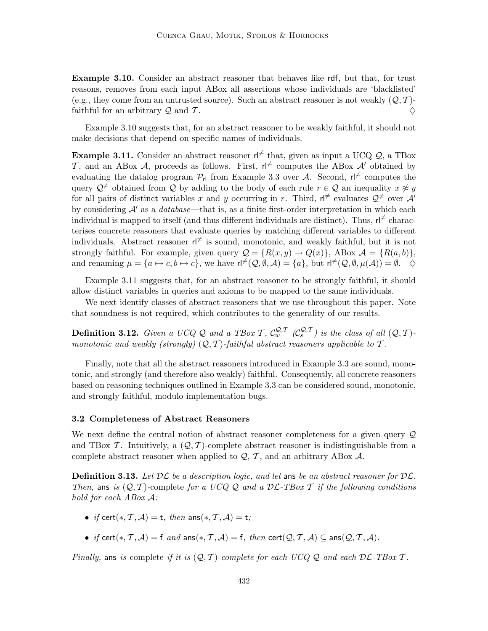Example 3.10. Consider an abstract reasoner that behaves like rdf, but that, for trust reasons, removes from each input ABox all assertions whose individuals are 'blacklisted' (e.g., they come from an untrusted source). Such an abstract reasoner is not weakly  $(Q, \mathcal{T})$ -<br>faithful for an arbitrary Q and T. faithful for an arbitrary  $\mathcal Q$  and  $\mathcal T$ .

Example 3.10 suggests that, for an abstract reasoner to be weakly faithful, it should not make decisions that depend on specific names of individuals.

**Example 3.11.** Consider an abstract reasoner  $r \neq 0$  that, given as input a UCQ Q, a TBox T, and an ABox A, proceeds as follows. First,  $r \not\uparrow$  computes the ABox A' obtained by evaluating the datalog program  $\mathcal{P}_{r}$  from Example 3.3 over A. Second,  $r \not\vdash$  computes the query  $\mathcal{Q}^{\neq}$  obtained from Q by adding to the body of each rule  $r \in \mathcal{Q}$  an inequality  $x \not\approx y$ for all pairs of distinct variables x and y occurring in r. Third,  $r \notin \mathbb{R}$  evaluates  $\mathcal{Q} \neq 0$  over  $\mathcal{A}'$ by considering  $A'$  as a *database*—that is, as a finite first-order interpretation in which each individual is mapped to itself (and thus different individuals are distinct). Thus,  $\mathsf{H}^{\neq}$  characterises concrete reasoners that evaluate queries by matching different variables to different individuals. Abstract reasoner  $r \mid \neq$  is sound, monotonic, and weakly faithful, but it is not strongly faithful. For example, given query  $\mathcal{Q} = \{R(x, y) \to Q(x)\}\$ , ABox  $\mathcal{A} = \{R(a, b)\}\$ , and renaming  $\mu = \{a \mapsto c, b \mapsto c\}$ , we have  $\mathsf{rl}^{\neq}(\mathcal{Q}, \emptyset, \mathcal{A}) = \{a\}$ , but  $\mathsf{rl}^{\neq}(\mathcal{Q}, \emptyset, \mu(\mathcal{A})) = \emptyset$ .  $\diamondsuit$ 

Example 3.11 suggests that, for an abstract reasoner to be strongly faithful, it should allow distinct variables in queries and axioms to be mapped to the same individuals.

We next identify classes of abstract reasoners that we use throughout this paper. Note that soundness is not required, which contributes to the generality of our results.

**Definition 3.12.** Given a UCQ Q and a TBox T,  $C_w^{Q,T}$   $(C_s^{Q,T})$  is the class of all  $(Q, T)$ monotonic and weakly (strongly)  $(Q, T)$ -faithful abstract reasoners applicable to T.

Finally, note that all the abstract reasoners introduced in Example 3.3 are sound, monotonic, and strongly (and therefore also weakly) faithful. Consequently, all concrete reasoners based on reasoning techniques outlined in Example 3.3 can be considered sound, monotonic, and strongly faithful, modulo implementation bugs.

## 3.2 Completeness of Abstract Reasoners

We next define the central notion of abstract reasoner completeness for a given query  $\mathcal{Q}$ and TBox T. Intuitively, a  $(Q, T)$ -complete abstract reasoner is indistinguishable from a complete abstract reasoner when applied to  $Q, T$ , and an arbitrary ABox A.

**Definition 3.13.** Let  $\mathcal{DL}$  be a description logic, and let ans be an abstract reasoner for  $\mathcal{DL}$ . Then, ans is  $(Q, T)$ -complete for a UCQ Q and a DL-TBox T if the following conditions hold for each ABox A:

- if cert $(*, \mathcal{T}, \mathcal{A}) =$  t, then ans $(*, \mathcal{T}, \mathcal{A}) =$ t;
- if cert(\*, T, A) = f and ans(\*, T, A) = f, then cert( $Q, T, A$ )  $\subseteq$  ans( $Q, T, A$ ).

Finally, ans is complete if it is  $(Q, \mathcal{T})$ -complete for each UCQ Q and each  $D\mathcal{L}\text{-}TBox \mathcal{T}$ .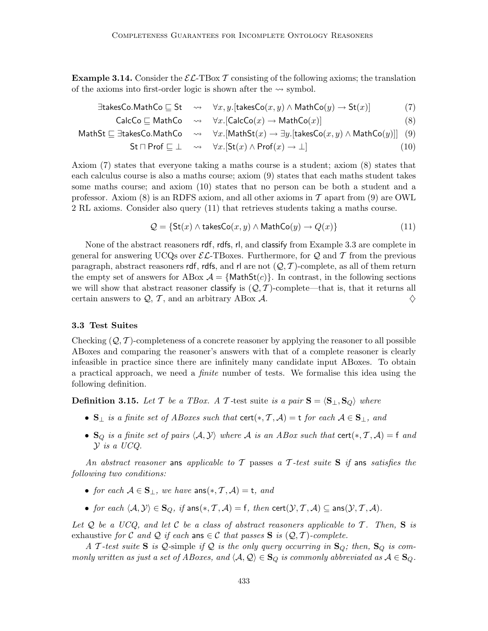**Example 3.14.** Consider the  $\mathcal{EL}\text{-}\text{TBox }\mathcal{T}$  consisting of the following axioms; the translation of the axioms into first-order logic is shown after the  $\sim$  symbol.

$$
\exists \mathsf{takesCo}.\mathsf{MathCo} \sqsubseteq \mathsf{St} \quad \leadsto \quad \forall x, y. [\mathsf{takesCo}(x, y) \land \mathsf{MathCo}(y) \to \mathsf{St}(x)] \tag{7}
$$

$$
CalcCo \sqsubseteq MathCo \quad \leadsto \quad \forall x. [CalcCo(x) \rightarrow MathCo(x)] \tag{8}
$$

$$
\mathsf{MathSt} \sqsubseteq \exists \mathsf{takesCo}.\mathsf{MathCo} \quad \leadsto \quad \forall x. [\mathsf{MathSt}(x) \to \exists y. [\mathsf{takesCo}(x, y) \land \mathsf{MathCo}(y)]] \quad (9)
$$

$$
\mathsf{St} \sqcap \mathsf{Prof} \sqsubseteq \bot \quad \leadsto \quad \forall x. [\mathsf{St}(x) \land \mathsf{Prof}(x) \to \bot] \tag{10}
$$

Axiom (7) states that everyone taking a maths course is a student; axiom (8) states that each calculus course is also a maths course; axiom (9) states that each maths student takes some maths course; and axiom (10) states that no person can be both a student and a professor. Axiom (8) is an RDFS axiom, and all other axioms in  $\mathcal T$  apart from (9) are OWL 2 RL axioms. Consider also query (11) that retrieves students taking a maths course.

$$
Q = \{ \text{St}(x) \land \text{takesCo}(x, y) \land \text{MathCo}(y) \rightarrow Q(x) \}
$$
(11)

None of the abstract reasoners rdf, rdfs, rl, and classify from Example 3.3 are complete in general for answering UCQs over  $\mathcal{EL}\text{-}\text{T}$ Boxes. Furthermore, for Q and T from the previous paragraph, abstract reasoners rdf, rdfs, and rl are not  $(Q, T)$ -complete, as all of them return the empty set of answers for ABox  $\mathcal{A} = \{\text{MathSt}(c)\}\$ . In contrast, in the following sections we will show that abstract reasoner classify is  $(Q, \mathcal{T})$ -complete—that is, that it returns all certain answers to  $Q, \mathcal{T}$ , and an arbitrary ABox  $\mathcal{A}$ . certain answers to  $Q, T$ , and an arbitrary ABox A.

#### 3.3 Test Suites

Checking  $(Q, T)$ -completeness of a concrete reasoner by applying the reasoner to all possible ABoxes and comparing the reasoner's answers with that of a complete reasoner is clearly infeasible in practice since there are infinitely many candidate input ABoxes. To obtain a practical approach, we need a finite number of tests. We formalise this idea using the following definition.

**Definition 3.15.** Let T be a TBox. A T-test suite is a pair  $S = \langle S_{\perp}, S_{Q} \rangle$  where

- $S_{\perp}$  is a finite set of ABoxes such that cert(\*, T, A) = t for each  $A \in S_{\perp}$ , and
- $\mathbf{S}_Q$  is a finite set of pairs  $\langle A, Y \rangle$  where A is an ABox such that cert $(*, \mathcal{T}, \mathcal{A}) = f$  and Y is a UCQ.

An abstract reasoner ans applicable to T passes a T-test suite S if ans satisfies the following two conditions:

- for each  $A \in S_{\perp}$ , we have  $ans(*, \mathcal{T}, \mathcal{A}) = t$ , and
- for each  $\langle A, Y \rangle \in S_Q$ , if ans $(*, \mathcal{T}, \mathcal{A}) = f$ , then cert $(\mathcal{Y}, \mathcal{T}, \mathcal{A}) \subseteq \text{ans}(\mathcal{Y}, \mathcal{T}, \mathcal{A})$ .

Let  $Q$  be a UCQ, and let C be a class of abstract reasoners applicable to T. Then, S is exhaustive for C and Q if each ans  $\in \mathcal{C}$  that passes S is  $(\mathcal{Q}, \mathcal{T})$ -complete.

A T-test suite S is Q-simple if Q is the only query occurring in  $S_Q$ ; then,  $S_Q$  is commonly written as just a set of ABoxes, and  $\langle A, \mathcal{Q} \rangle \in \mathbf{S}_Q$  is commonly abbreviated as  $A \in \mathbf{S}_Q$ .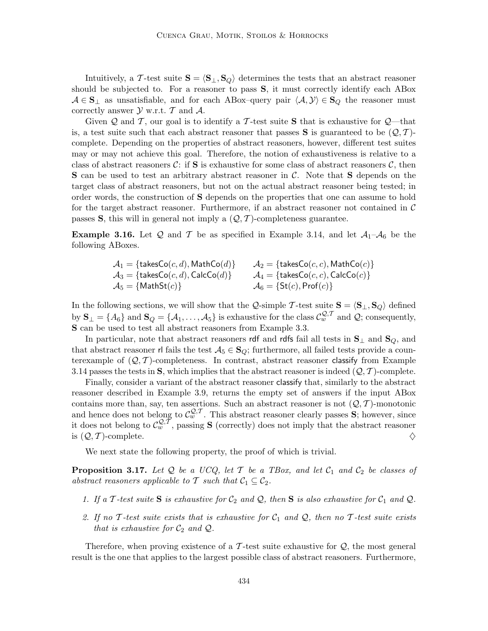Intuitively, a T-test suite  $S = \langle S_{\perp}, S_Q \rangle$  determines the tests that an abstract reasoner should be subjected to. For a reasoner to pass S, it must correctly identify each ABox  $A \in \mathbf{S}_{\perp}$  as unsatisfiable, and for each ABox–query pair  $\langle A, Y \rangle \in \mathbf{S}_{Q}$  the reasoner must correctly answer  $\mathcal Y$  w.r.t.  $\mathcal T$  and  $\mathcal A$ .

Given Q and T, our goal is to identify a T-test suite S that is exhaustive for  $Q$ —that is, a test suite such that each abstract reasoner that passes **S** is guaranteed to be  $(Q, T)$ complete. Depending on the properties of abstract reasoners, however, different test suites may or may not achieve this goal. Therefore, the notion of exhaustiveness is relative to a class of abstract reasoners  $\mathcal{C}$ : if **S** is exhaustive for some class of abstract reasoners  $\mathcal{C}$ , then  $S$  can be used to test an arbitrary abstract reasoner in  $C$ . Note that  $S$  depends on the target class of abstract reasoners, but not on the actual abstract reasoner being tested; in order words, the construction of S depends on the properties that one can assume to hold for the target abstract reasoner. Furthermore, if an abstract reasoner not contained in  $\mathcal C$ passes S, this will in general not imply a  $(Q, T)$ -completeness guarantee.

**Example 3.16.** Let Q and T be as specified in Example 3.14, and let  $A_1$ - $A_6$  be the following ABoxes.

> $A_1$  = {takesCo(*c*, *d*), MathCo(*d*)}  $A_2$  = {takesCo(*c*, *c*), MathCo(*c*)}<br>  $A_3$  = {takesCo(*c*, *d*), CalcCo(*d*)}  $A_4$  = {takesCo(*c*, *c*), CalcCo(*c*)}  $A_3 = {\text{takesCo}(c, d), \text{CalcCo}(d)} \qquad A_4 = {\text{takesCo}(c, c), \text{CalcCo}(c)} \nonumber \ A_5 = {\text{MathSt}(c)} \qquad A_6 = {\text{St}(c), \text{Prof}(c)}$  $A_6 = \{ \text{St}(c), \text{Prof}(c) \}$

In the following sections, we will show that the Q-simple T-test suite  $S = \langle S_{\perp}, S_Q \rangle$  defined by  $\mathbf{S}_{\perp} = \{A_6\}$  and  $\mathbf{S}_{Q} = \{A_1, \ldots, A_5\}$  is exhaustive for the class  $\mathcal{C}_{w}^{\mathcal{Q}, \mathcal{T}}$  and  $\mathcal{Q}$ ; consequently, S can be used to test all abstract reasoners from Example 3.3.

In particular, note that abstract reasoners rdf and rdfs fail all tests in  $\mathbf{S}_{\perp}$  and  $\mathbf{S}_{Q}$ , and that abstract reasoner rl fails the test  $A_5 \in \mathbf{S}_Q$ ; furthermore, all failed tests provide a counterexample of  $(Q, T)$ -completeness. In contrast, abstract reasoner classify from Example 3.14 passes the tests in S, which implies that the abstract reasoner is indeed  $(Q, \mathcal{T})$ -complete.

Finally, consider a variant of the abstract reasoner classify that, similarly to the abstract reasoner described in Example 3.9, returns the empty set of answers if the input ABox contains more than, say, ten assertions. Such an abstract reasoner is not  $(Q, T)$ -monotonic and hence does not belong to  $\mathcal{C}_{w}^{\mathcal{Q},T}$ . This abstract reasoner clearly passes S; however, since it does not belong to  $\mathcal{C}_{w}^{\mathcal{Q}, \tilde{\mathcal{T}}}$ , passing **S** (correctly) does not imply that the abstract reasoner is  $(\mathcal{Q}, \mathcal{T})$ -complete. is  $(Q, \mathcal{T})$ -complete.

We next state the following property, the proof of which is trivial.

**Proposition 3.17.** Let Q be a UCQ, let T be a TBox, and let  $C_1$  and  $C_2$  be classes of abstract reasoners applicable to T such that  $C_1 \subseteq C_2$ .

- 1. If a T-test suite S is exhaustive for  $C_2$  and  $Q$ , then S is also exhaustive for  $C_1$  and  $Q$ .
- 2. If no T-test suite exists that is exhaustive for  $C_1$  and  $Q$ , then no T-test suite exists that is exhaustive for  $\mathcal{C}_2$  and  $\mathcal{Q}$ .

Therefore, when proving existence of a  $\mathcal T$ -test suite exhaustive for  $\mathcal Q$ , the most general result is the one that applies to the largest possible class of abstract reasoners. Furthermore,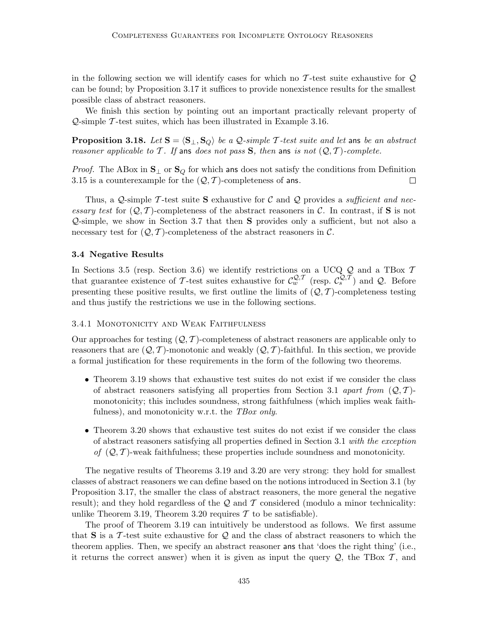in the following section we will identify cases for which no  $\mathcal T$ -test suite exhaustive for  $\mathcal Q$ can be found; by Proposition 3.17 it suffices to provide nonexistence results for the smallest possible class of abstract reasoners.

We finish this section by pointing out an important practically relevant property of  $Q$ -simple  $\mathcal T$ -test suites, which has been illustrated in Example 3.16.

**Proposition 3.18.** Let  $S = \langle S_{\perp}, S_{Q} \rangle$  be a Q-simple T-test suite and let ans be an abstract reasoner applicable to T. If ans does not pass S, then ans is not  $(Q, T)$ -complete.

*Proof.* The ABox in  $\mathbf{S}_{\perp}$  or  $\mathbf{S}_{Q}$  for which ans does not satisfy the conditions from Definition 3.15 is a counterexample for the  $(Q, T)$ -completeness of ans. 3.15 is a counterexample for the  $(Q, \mathcal{T})$ -completeness of ans.

Thus, a Q-simple T-test suite S exhaustive for C and Q provides a *sufficient and nec*essary test for  $(Q, \mathcal{T})$ -completeness of the abstract reasoners in C. In contrast, if S is not Q-simple, we show in Section 3.7 that then S provides only a sufficient, but not also a necessary test for  $(Q, T)$ -completeness of the abstract reasoners in C.

### 3.4 Negative Results

In Sections 3.5 (resp. Section 3.6) we identify restrictions on a UCQ  $Q$  and a TBox 7 that guarantee existence of T-test suites exhaustive for  $\mathcal{C}_w^{\mathcal{Q}, \mathcal{T}}$  (resp.  $\mathcal{C}_s^{\mathcal{Q}, \mathcal{T}}$ ) and  $\mathcal{Q}$ . Before presenting these positive results, we first outline the limits of  $(Q, \mathcal{T})$ -completeness testing and thus justify the restrictions we use in the following sections.

#### 3.4.1 Monotonicity and Weak Faithfulness

Our approaches for testing  $(Q, \mathcal{T})$ -completeness of abstract reasoners are applicable only to reasoners that are  $(Q, \mathcal{T})$ -monotonic and weakly  $(Q, \mathcal{T})$ -faithful. In this section, we provide a formal justification for these requirements in the form of the following two theorems.

- Theorem 3.19 shows that exhaustive test suites do not exist if we consider the class of abstract reasoners satisfying all properties from Section 3.1 apart from  $(Q, T)$ monotonicity; this includes soundness, strong faithfulness (which implies weak faithfulness), and monotonicity w.r.t. the TBox only.
- Theorem 3.20 shows that exhaustive test suites do not exist if we consider the class of abstract reasoners satisfying all properties defined in Section 3.1 with the exception of  $(Q, T)$ -weak faithfulness; these properties include soundness and monotonicity.

The negative results of Theorems 3.19 and 3.20 are very strong: they hold for smallest classes of abstract reasoners we can define based on the notions introduced in Section 3.1 (by Proposition 3.17, the smaller the class of abstract reasoners, the more general the negative result); and they hold regardless of the  $Q$  and  $T$  considered (modulo a minor technicality: unlike Theorem 3.19, Theorem 3.20 requires  $\mathcal T$  to be satisfiable).

The proof of Theorem 3.19 can intuitively be understood as follows. We first assume that S is a T-test suite exhaustive for Q and the class of abstract reasoners to which the theorem applies. Then, we specify an abstract reasoner ans that 'does the right thing' (i.e., it returns the correct answer) when it is given as input the query  $Q$ , the TBox  $T$ , and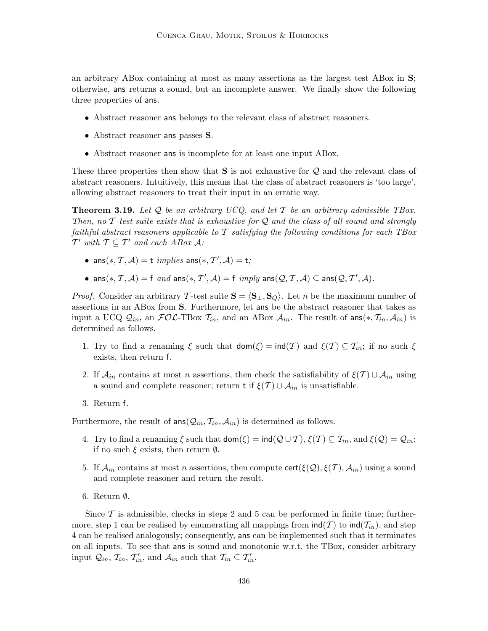an arbitrary ABox containing at most as many assertions as the largest test ABox in S; otherwise, ans returns a sound, but an incomplete answer. We finally show the following three properties of ans.

- Abstract reasoner ans belongs to the relevant class of abstract reasoners.
- Abstract reasoner ans passes S.
- Abstract reasoner ans is incomplete for at least one input ABox.

These three properties then show that  $S$  is not exhaustive for  $\mathcal Q$  and the relevant class of abstract reasoners. Intuitively, this means that the class of abstract reasoners is 'too large', allowing abstract reasoners to treat their input in an erratic way.

**Theorem 3.19.** Let  $Q$  be an arbitrary UCQ, and let  $T$  be an arbitrary admissible TBox. Then, no  $\mathcal T$ -test suite exists that is exhaustive for  $\mathcal Q$  and the class of all sound and strongly faithful abstract reasoners applicable to  $T$  satisfying the following conditions for each TBox  $T'$  with  $T \subseteq T'$  and each ABox A:

- ans $(*, \mathcal{T}, \mathcal{A}) =$ t *implies* ans $(*, \mathcal{T}', \mathcal{A}) =$ t;
- ans $(*, \mathcal{T}, \mathcal{A}) = f$  and ans $(*, \mathcal{T}', \mathcal{A}) = f$  imply ans $(\mathcal{Q}, \mathcal{T}, \mathcal{A}) \subseteq \text{ans}(\mathcal{Q}, \mathcal{T}', \mathcal{A})$ .

*Proof.* Consider an arbitrary T-test suite  $S = \langle S_+, S_0 \rangle$ . Let n be the maximum number of assertions in an ABox from S. Furthermore, let ans be the abstract reasoner that takes as input a UCQ  $Q_{in}$ , an  $FO\mathcal{L}\text{-}\text{TBox } \mathcal{T}_{in}$ , and an ABox  $\mathcal{A}_{in}$ . The result of ans $(*, \mathcal{T}_{in}, \mathcal{A}_{in})$  is determined as follows.

- 1. Try to find a renaming  $\xi$  such that  $\text{dom}(\xi) = \text{ind}(T)$  and  $\xi(T) \subseteq T_{in}$ ; if no such  $\xi$ exists, then return f.
- 2. If  $\mathcal{A}_{in}$  contains at most n assertions, then check the satisfiability of  $\xi(\mathcal{T}) \cup \mathcal{A}_{in}$  using a sound and complete reasoner; return t if  $\xi(T) \cup A_{in}$  is unsatisfiable.
- 3. Return f.

Furthermore, the result of  $ans(Q_{in}, T_{in}, A_{in})$  is determined as follows.

- 4. Try to find a renaming  $\xi$  such that  $\text{dom}(\xi) = \text{ind}(Q \cup T)$ ,  $\xi(T) \subseteq T_{in}$ , and  $\xi(Q) = Q_{in}$ ; if no such  $\xi$  exists, then return  $\emptyset$ .
- 5. If  $\mathcal{A}_{in}$  contains at most n assertions, then compute cert( $\xi(\mathcal{Q}), \xi(\mathcal{T}), \mathcal{A}_{in}$ ) using a sound and complete reasoner and return the result.
- 6. Return  $\emptyset$ .

Since  $\mathcal T$  is admissible, checks in steps 2 and 5 can be performed in finite time; furthermore, step 1 can be realised by enumerating all mappings from  $\text{ind}(\mathcal{T})$  to  $\text{ind}(\mathcal{T}_{in})$ , and step 4 can be realised analogously; consequently, ans can be implemented such that it terminates on all inputs. To see that ans is sound and monotonic w.r.t. the TBox, consider arbitrary input  $Q_{in}$ ,  $\mathcal{T}_{in}$ ,  $\mathcal{T}'_{in}$ , and  $\mathcal{A}_{in}$  such that  $\mathcal{T}_{in} \subseteq \mathcal{T}'_{in}$ .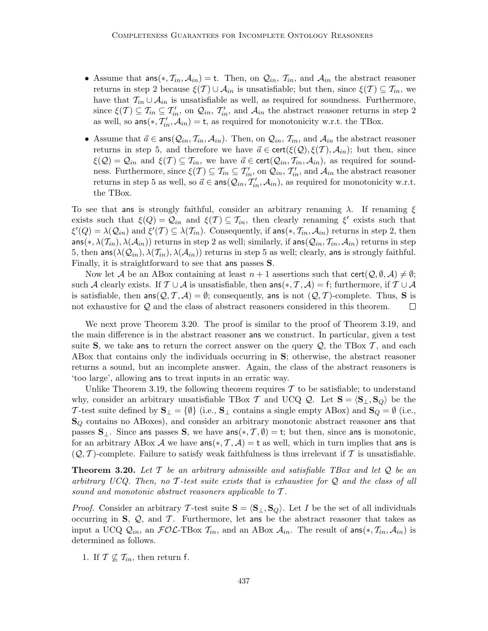- Assume that  $ans(*, \mathcal{T}_{in}, \mathcal{A}_{in}) = t$ . Then, on  $\mathcal{Q}_{in}, \mathcal{T}_{in}$ , and  $\mathcal{A}_{in}$  the abstract reasoner returns in step 2 because  $\xi(T) \cup \mathcal{A}_{in}$  is unsatisfiable; but then, since  $\xi(T) \subseteq \mathcal{T}_{in}$ , we have that  $\mathcal{T}_{in} \cup \mathcal{A}_{in}$  is unsatisfiable as well, as required for soundness. Furthermore, since  $\xi(T) \subseteq T_{in} \subseteq T'_{in}$ , on  $\mathcal{Q}_{in}, T'_{in}$ , and  $\mathcal{A}_{in}$  the abstract reasoner returns in step 2 as well, so  $\textsf{ans}(*, \mathcal{T}'_{in}, \mathcal{A}_{in}) = \textsf{t}$ , as required for monotonicity w.r.t. the TBox.
- Assume that  $\vec{a} \in \text{ans}(\mathcal{Q}_{in}, \mathcal{T}_{in}, \mathcal{A}_{in})$ . Then, on  $\mathcal{Q}_{in}, \mathcal{T}_{in}$ , and  $\mathcal{A}_{in}$  the abstract reasoner returns in step 5, and therefore we have  $\vec{a} \in \text{cert}(\xi(\mathcal{Q}), \xi(\mathcal{T}), \mathcal{A}_{in})$ ; but then, since  $\xi(Q) = Q_{in}$  and  $\xi(T) \subseteq T_{in}$ , we have  $\vec{a} \in \text{cert}(Q_{in}, T_{in}, A_{in})$ , as required for soundness. Furthermore, since  $\xi(T) \subseteq T_{in} \subseteq T'_{in}$ , on  $\mathcal{Q}_{in}, T'_{in}$ , and  $\mathcal{A}_{in}$  the abstract reasoner returns in step 5 as well, so  $\vec{a} \in \text{ans}(Q_{in}, T'_{in}, A_{in})$ , as required for monotonicity w.r.t. the TBox.

To see that ans is strongly faithful, consider an arbitrary renaming  $\lambda$ . If renaming  $\xi$ exists such that  $\xi(Q) = Q_{in}$  and  $\xi(T) \subseteq T_{in}$ , then clearly renaming  $\xi'$  exists such that  $\xi'(Q) = \lambda(Q_{in})$  and  $\xi'(T) \subseteq \lambda(T_{in})$ . Consequently, if ans $(*, \mathcal{T}_{in}, \mathcal{A}_{in})$  returns in step 2, then  $\text{ans}(*, \lambda(\mathcal{T}_{in}), \lambda(\mathcal{A}_{in}))$  returns in step 2 as well; similarly, if  $\text{ans}(\mathcal{Q}_{in}, \mathcal{T}_{in}, \mathcal{A}_{in})$  returns in step 5, then  $\textsf{ans}(\lambda(\mathcal{Q}_{in}), \lambda(\mathcal{I}_{in}), \lambda(\mathcal{A}_{in}))$  returns in step 5 as well; clearly, ans is strongly faithful. Finally, it is straightforward to see that ans passes S.

Now let A be an ABox containing at least  $n+1$  assertions such that  $\text{cert}(\mathcal{Q}, \emptyset, \mathcal{A}) \neq \emptyset$ ; such A clearly exists. If  $\mathcal{T} \cup \mathcal{A}$  is unsatisfiable, then  $\text{ans}(*, \mathcal{T}, \mathcal{A}) = f$ ; furthermore, if  $\mathcal{T} \cup \mathcal{A}$ is satisfiable, then  $\textsf{ans}(\mathcal{Q}, \mathcal{T}, \mathcal{A}) = \emptyset$ ; consequently, ans is not  $(\mathcal{Q}, \mathcal{T})$ -complete. Thus, **S** is not exhaustive for  $\mathcal{Q}$  and the class of abstract reasoners considered in this theorem. not exhaustive for Q and the class of abstract reasoners considered in this theorem.

We next prove Theorem 3.20. The proof is similar to the proof of Theorem 3.19, and the main difference is in the abstract reasoner ans we construct. In particular, given a test suite S, we take ans to return the correct answer on the query  $Q$ , the TBox  $T$ , and each ABox that contains only the individuals occurring in S; otherwise, the abstract reasoner returns a sound, but an incomplete answer. Again, the class of the abstract reasoners is 'too large', allowing ans to treat inputs in an erratic way.

Unlike Theorem 3.19, the following theorem requires  $\mathcal T$  to be satisfiable; to understand why, consider an arbitrary unsatisfiable TBox T and UCQ Q. Let  $S = \langle S_{\perp}, S_{Q} \rangle$  be the T-test suite defined by  $\mathbf{S}_{\perp} = \{ \emptyset \}$  (i.e.,  $\mathbf{S}_{\perp}$  contains a single empty ABox) and  $\mathbf{S}_{Q} = \emptyset$  (i.e.,  $S_Q$  contains no ABoxes), and consider an arbitrary monotonic abstract reasoner ans that passes  $\mathbf{S}_{\perp}$ . Since ans passes  $\mathbf{S}$ , we have ans $(*, \mathcal{T}, \emptyset) = \mathsf{t}$ ; but then, since ans is monotonic, for an arbitrary ABox A we have ans $(*, \mathcal{T}, \mathcal{A}) = t$  as well, which in turn implies that ans is  $(Q, \mathcal{T})$ -complete. Failure to satisfy weak faithfulness is thus irrelevant if  $\mathcal{T}$  is unsatisfiable.

**Theorem 3.20.** Let T be an arbitrary admissible and satisfiable TBox and let  $Q$  be an arbitrary UCQ. Then, no T-test suite exists that is exhaustive for  $\mathcal Q$  and the class of all sound and monotonic abstract reasoners applicable to  $\mathcal T$ .

*Proof.* Consider an arbitrary T-test suite  $S = \langle S_{\perp}, S_{\mathcal{Q}} \rangle$ . Let I be the set of all individuals occurring in  $S$ ,  $Q$ , and  $T$ . Furthermore, let ans be the abstract reasoner that takes as input a UCQ  $Q_{in}$ , an  $FOL$ -TBox  $\mathcal{T}_{in}$ , and an ABox  $\mathcal{A}_{in}$ . The result of ans $(*, \mathcal{T}_{in}, \mathcal{A}_{in})$  is determined as follows.

1. If  $\mathcal{T} \nsubseteq \mathcal{T}_{in}$ , then return f.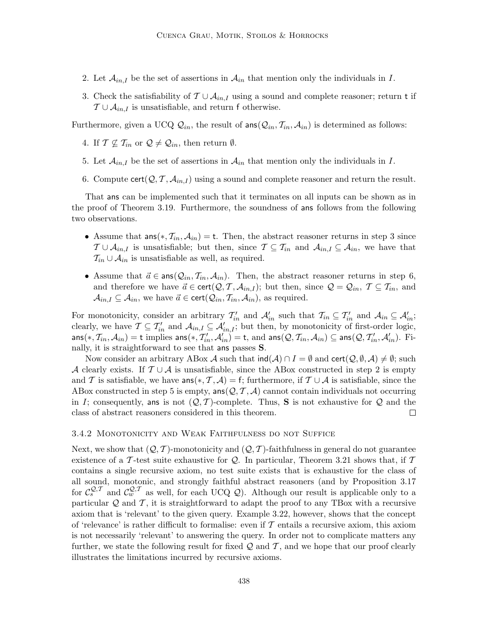- 2. Let  $\mathcal{A}_{in,I}$  be the set of assertions in  $\mathcal{A}_{in}$  that mention only the individuals in I.
- 3. Check the satisfiability of  $\mathcal{T} \cup \mathcal{A}_{in,I}$  using a sound and complete reasoner; return t if  $T \cup A_{in,I}$  is unsatisfiable, and return f otherwise.

Furthermore, given a UCQ  $\mathcal{Q}_{in}$ , the result of ans  $(\mathcal{Q}_{in}, \mathcal{T}_{in}, \mathcal{A}_{in})$  is determined as follows:

- 4. If  $\mathcal{T} \nsubseteq \mathcal{T}_{in}$  or  $\mathcal{Q} \neq \mathcal{Q}_{in}$ , then return  $\emptyset$ .
- 5. Let  $\mathcal{A}_{in,I}$  be the set of assertions in  $\mathcal{A}_{in}$  that mention only the individuals in I.
- 6. Compute cert $(Q, \mathcal{T}, \mathcal{A}_{in,I})$  using a sound and complete reasoner and return the result.

That ans can be implemented such that it terminates on all inputs can be shown as in the proof of Theorem 3.19. Furthermore, the soundness of ans follows from the following two observations.

- Assume that  $ans(*, \mathcal{T}_{in}, \mathcal{A}_{in}) = t$ . Then, the abstract reasoner returns in step 3 since  $T \cup A_{in,I}$  is unsatisfiable; but then, since  $T \subseteq T_{in}$  and  $A_{in,I} \subseteq A_{in}$ , we have that  $\mathcal{T}_{in} \cup \mathcal{A}_{in}$  is unsatisfiable as well, as required.
- Assume that  $\vec{a} \in \text{ans}(\mathcal{Q}_{in}, \mathcal{T}_{in}, \mathcal{A}_{in})$ . Then, the abstract reasoner returns in step 6, and therefore we have  $\vec{a} \in \text{cert}(\mathcal{Q}, \mathcal{T}, \mathcal{A}_{in,I})$ ; but then, since  $\mathcal{Q} = \mathcal{Q}_{in}, \mathcal{T} \subseteq \mathcal{T}_{in}$ , and  $\mathcal{A}_{in,I} \subseteq \mathcal{A}_{in}$ , we have  $\vec{a} \in \text{cert}(\mathcal{Q}_{in}, \mathcal{T}_{in}, \mathcal{A}_{in})$ , as required.

For monotonicity, consider an arbitrary  $\mathcal{T}'_{in}$  and  $\mathcal{A}'_{in}$  such that  $\mathcal{T}_{in} \subseteq \mathcal{T}'_{in}$  and  $\mathcal{A}_{in} \subseteq \mathcal{A}'_{in}$ ; clearly, we have  $\mathcal{T} \subseteq \mathcal{T}'_{in}$  and  $\mathcal{A}_{in,I} \subseteq \mathcal{A}'_{in,I}$ ; but then, by monotonicity of first-order logic,  $\mathsf{ans}(*, \mathcal{T}_{in}, \mathcal{A}_{in}) = \mathsf{t}$  implies  $\mathsf{ans}(*, \mathcal{T}'_{in}, \mathcal{A}'_{in}) = \mathsf{t}$ , and  $\mathsf{ans}(\mathcal{Q}, \mathcal{T}_{in}, \mathcal{A}_{in}) \subseteq \mathsf{ans}(\mathcal{Q}, \mathcal{T}'_{in}, \mathcal{A}'_{in})$ . Finally, it is straightforward to see that ans passes S.

Now consider an arbitrary ABox A such that  $\text{ind}(\mathcal{A}) \cap I = \emptyset$  and  $\text{cert}(\mathcal{Q}, \emptyset, \mathcal{A}) \neq \emptyset$ ; such A clearly exists. If  $\mathcal{T} \cup \mathcal{A}$  is unsatisfiable, since the ABox constructed in step 2 is empty and T is satisfiable, we have  $\textsf{ans}(*, \mathcal{T}, \mathcal{A}) = \textsf{f}$ ; furthermore, if  $\mathcal{T} \cup \mathcal{A}$  is satisfiable, since the ABox constructed in step 5 is empty,  $\text{ans}(\mathcal{Q}, \mathcal{T}, \mathcal{A})$  cannot contain individuals not occurring in *I*; consequently, ans is not  $(Q, \mathcal{T})$ -complete. Thus, **S** is not exhaustive for  $Q$  and the class of abstract reasoners considered in this theorem. class of abstract reasoners considered in this theorem.

#### 3.4.2 Monotonicity and Weak Faithfulness do not Suffice

Next, we show that  $(Q, \mathcal{T})$ -monotonicity and  $(Q, \mathcal{T})$ -faithfulness in general do not guarantee existence of a T-test suite exhaustive for Q. In particular, Theorem 3.21 shows that, if  $\mathcal T$ contains a single recursive axiom, no test suite exists that is exhaustive for the class of all sound, monotonic, and strongly faithful abstract reasoners (and by Proposition 3.17 for  $\mathcal{C}_{s}^{\mathcal{Q},\mathcal{T}}$  and  $\mathcal{C}_{w}^{\mathcal{Q},\mathcal{T}}$  as well, for each UCQ  $\mathcal{Q}$ ). Although our result is applicable only to a particular  $Q$  and  $T$ , it is straightforward to adapt the proof to any TBox with a recursive axiom that is 'relevant' to the given query. Example 3.22, however, shows that the concept of 'relevance' is rather difficult to formalise: even if  $\mathcal T$  entails a recursive axiom, this axiom is not necessarily 'relevant' to answering the query. In order not to complicate matters any further, we state the following result for fixed  $\mathcal Q$  and  $\mathcal T$ , and we hope that our proof clearly illustrates the limitations incurred by recursive axioms.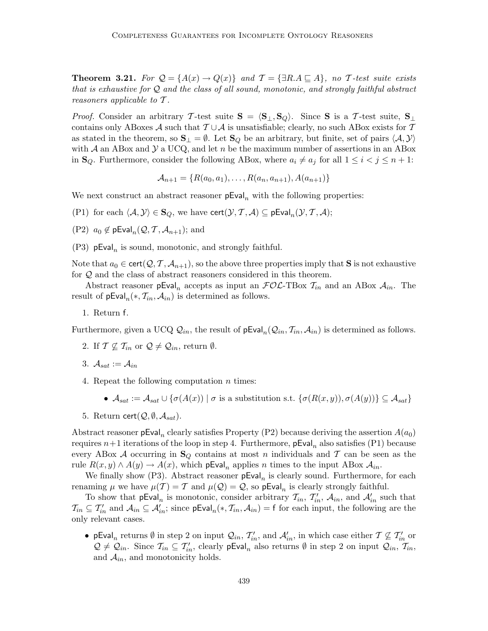**Theorem 3.21.** For  $Q = \{A(x) \rightarrow Q(x)\}\$ and  $T = \{\exists R.A \sqsubseteq A\}$ , no T-test suite exists that is exhaustive for Q and the class of all sound, monotonic, and strongly faithful abstract reasoners applicable to  $\mathcal T$ .

*Proof.* Consider an arbitrary T-test suite  $S = \langle S_{\perp}, S_{Q} \rangle$ . Since S is a T-test suite,  $S_{\perp}$ contains only ABoxes A such that  $T \cup A$  is unsatisfiable; clearly, no such ABox exists for T as stated in the theorem, so  $\mathbf{S}_{\perp} = \emptyset$ . Let  $\mathbf{S}_{Q}$  be an arbitrary, but finite, set of pairs  $\langle A, Y \rangle$ with A an ABox and  $\mathcal Y$  a UCQ, and let n be the maximum number of assertions in an ABox in  $\mathbf{S}_Q$ . Furthermore, consider the following ABox, where  $a_i \neq a_j$  for all  $1 \leq i < j \leq n+1$ :

$$
A_{n+1} = \{R(a_0, a_1), \dots, R(a_n, a_{n+1}), A(a_{n+1})\}
$$

We next construct an abstract reasoner  $pEval_n$  with the following properties:

- (P1) for each  $\langle A, Y \rangle \in \mathbf{S}_Q$ , we have cert $(\mathcal{Y}, \mathcal{T}, \mathcal{A}) \subseteq \mathsf{pEval}_n(\mathcal{Y}, \mathcal{T}, \mathcal{A});$
- (P2)  $a_0 \notin \mathsf{pEval}_n(\mathcal{Q}, \mathcal{T}, \mathcal{A}_{n+1});$  and
- (P3)  $pEval_n$  is sound, monotonic, and strongly faithful.

Note that  $a_0 \in \text{cert}(\mathcal{Q}, \mathcal{T}, \mathcal{A}_{n+1})$ , so the above three properties imply that **S** is not exhaustive for Q and the class of abstract reasoners considered in this theorem.

Abstract reasoner  $pEval_n$  accepts as input an  $FOL-TBox$   $\mathcal{T}_{in}$  and an ABox  $\mathcal{A}_{in}$ . The result of  $pEval_n(*, \mathcal{T}_{in}, \mathcal{A}_{in})$  is determined as follows.

1. Return f.

Furthermore, given a UCQ  $\mathcal{Q}_{in}$ , the result of  $pEval_n(\mathcal{Q}_{in}, \mathcal{T}_{in}, \mathcal{A}_{in})$  is determined as follows.

- 2. If  $\mathcal{T} \nsubseteq \mathcal{T}_{in}$  or  $\mathcal{Q} \neq \mathcal{Q}_{in}$ , return  $\emptyset$ .
- 3.  $A_{sat} := A_{in}$
- 4. Repeat the following computation  $n$  times:
	- $\mathcal{A}_{sat} := \mathcal{A}_{sat} \cup \{ \sigma(A(x)) \mid \sigma \text{ is a substitution s.t. } \{ \sigma(R(x,y)), \sigma(A(y)) \} \subseteq \mathcal{A}_{sat} \}$
- 5. Return cert $(Q, \emptyset, A_{sat})$ .

Abstract reasoner pEval<sub>n</sub> clearly satisfies Property (P2) because deriving the assertion  $A(a_0)$ requires  $n+1$  iterations of the loop in step 4. Furthermore,  $pEval_n$  also satisfies (P1) because every ABox A occurring in  $\mathbf{S}_Q$  contains at most n individuals and T can be seen as the rule  $R(x, y) \wedge A(y) \rightarrow A(x)$ , which pEval<sub>n</sub> applies n times to the input ABox  $A_{in}$ .

We finally show (P3). Abstract reasoner  $pEval_n$  is clearly sound. Furthermore, for each renaming  $\mu$  we have  $\mu(\mathcal{T}) = \mathcal{T}$  and  $\mu(\mathcal{Q}) = \mathcal{Q}$ , so pEval<sub>n</sub> is clearly strongly faithful.

To show that  $pEval_n$  is monotonic, consider arbitrary  $T_{in}$ ,  $T'_{in}$ ,  $A_{in}$ , and  $A'_{in}$  such that  $\mathcal{T}_{in} \subseteq \mathcal{T}'_{in}$  and  $\mathcal{A}_{in} \subseteq \mathcal{A}'_{in}$ ; since  $pEval_n(*, \mathcal{T}_{in}, \mathcal{A}_{in}) = f$  for each input, the following are the only relevant cases.

• pEval<sub>n</sub> returns  $\emptyset$  in step 2 on input  $Q_{in}$ ,  $\mathcal{T}'_{in}$ , and  $\mathcal{A}'_{in}$ , in which case either  $\mathcal{T} \not\subseteq \mathcal{T}'_{in}$  or  $Q \neq Q_{in}$ . Since  $\mathcal{T}_{in} \subseteq \mathcal{T}'_{in}$ , clearly pEval<sub>n</sub> also returns  $\emptyset$  in step 2 on input  $Q_{in}$ ,  $\mathcal{T}_{in}$ , and  $\mathcal{A}_{in}$ , and monotonicity holds.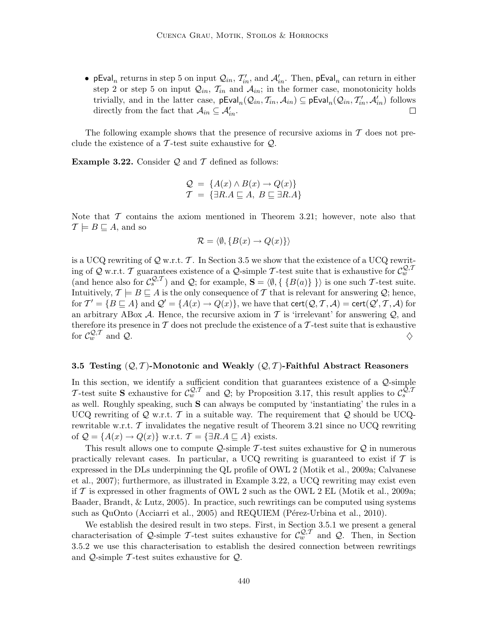• pEval<sub>n</sub> returns in step 5 on input  $Q_{in}$ ,  $\mathcal{T}'_{in}$ , and  $\mathcal{A}'_{in}$ . Then, pEval<sub>n</sub> can return in either step 2 or step 5 on input  $Q_{in}$ ,  $\mathcal{T}_{in}$  and  $\mathcal{A}_{in}$ ; in the former case, monotonicity holds trivially, and in the latter case,  $pEval_n(Q_{in}, T_{in}, A_{in}) \subseteq pEval_n(Q_{in}, T'_{in}, A'_{in})$  follows directly from the fact that  $A_{in} \subseteq A'_{in}$ . П

The following example shows that the presence of recursive axioms in  $T$  does not preclude the existence of a  $\mathcal T$ -test suite exhaustive for  $\mathcal Q$ .

**Example 3.22.** Consider  $Q$  and  $T$  defined as follows:

$$
Q = \{A(x) \land B(x) \to Q(x)\}
$$
  

$$
T = \{\exists R.A \sqsubseteq A, B \sqsubseteq \exists R.A\}
$$

Note that  $\mathcal T$  contains the axiom mentioned in Theorem 3.21; however, note also that  $\mathcal{T} \models B \sqsubseteq A$ , and so

$$
\mathcal{R} = \langle \emptyset, \{B(x) \to Q(x)\} \rangle
$$

is a UCQ rewriting of  $\mathcal Q$  w.r.t. T. In Section 3.5 we show that the existence of a UCQ rewriting of Q w.r.t. T guarantees existence of a Q-simple T-test suite that is exhaustive for  $\mathcal{C}_{w}^{\mathcal{Q},T}$ (and hence also for  $\mathcal{C}_s^{\mathcal{Q},\mathcal{T}}$ ) and  $\mathcal{Q}$ ; for example,  $\mathbf{S} = \langle \emptyset, \{ \{B(a)\} \} \rangle$  is one such T-test suite. Intuitively,  $\mathcal{T} \models B \sqsubseteq A$  is the only consequence of  $\mathcal T$  that is relevant for answering  $\mathcal Q$ ; hence, for  $\mathcal{T}' = \{B \sqsubseteq A\}$  and  $\mathcal{Q}' = \{A(x) \to Q(x)\}\$ , we have that  $\text{cert}(\mathcal{Q}, \mathcal{T}, \mathcal{A}) = \text{cert}(\mathcal{Q}', \mathcal{T}, \mathcal{A})$  for an arbitrary ABox  $\mathcal A$ . Hence, the recursive axiom in T is 'irrelevant' for answering  $\mathcal Q$ , and therefore its presence in T does not preclude the existence of a T-test suite that is exhaustive<br>for  $\mathcal{C}_{w}^{Q,T}$  and Q. for  $\mathcal{C}_w^{\mathcal{Q},\mathcal{T}}$  and  $\mathcal{Q}$ .

#### 3.5 Testing  $(Q, T)$ -Monotonic and Weakly  $(Q, T)$ -Faithful Abstract Reasoners

In this section, we identify a sufficient condition that guarantees existence of a  $Q$ -simple T-test suite **S** exhaustive for  $C_w^{Q,T}$  and Q; by Proposition 3.17, this result applies to  $C_s^{Q,T}$ as well. Roughly speaking, such S can always be computed by 'instantiating' the rules in a UCQ rewriting of  $\mathcal Q$  w.r.t. T in a suitable way. The requirement that  $\mathcal Q$  should be UCQrewritable w.r.t.  $\mathcal T$  invalidates the negative result of Theorem 3.21 since no UCQ rewriting of  $\mathcal{Q} = \{A(x) \to Q(x)\}\$  w.r.t.  $\mathcal{T} = \{\exists R.A \sqsubseteq A\}\$ exists.

This result allows one to compute  $Q$ -simple T-test suites exhaustive for  $Q$  in numerous practically relevant cases. In particular, a UCQ rewriting is guaranteed to exist if  $\mathcal T$  is expressed in the DLs underpinning the QL profile of OWL 2 (Motik et al., 2009a; Calvanese et al., 2007); furthermore, as illustrated in Example 3.22, a UCQ rewriting may exist even if  $\mathcal T$  is expressed in other fragments of OWL 2 such as the OWL 2 EL (Motik et al., 2009a; Baader, Brandt, & Lutz, 2005). In practice, such rewritings can be computed using systems such as  $QuOnto$  (Acciarri et al., 2005) and REQUIEM (Pérez-Urbina et al., 2010).

We establish the desired result in two steps. First, in Section 3.5.1 we present a general characterisation of Q-simple T-test suites exhaustive for  $\mathcal{C}_w^{\mathcal{Q}, \mathcal{T}}$  and  $\mathcal{Q}$ . Then, in Section 3.5.2 we use this characterisation to establish the desired connection between rewritings and  $\mathcal{Q}$ -simple T-test suites exhaustive for  $\mathcal{Q}$ .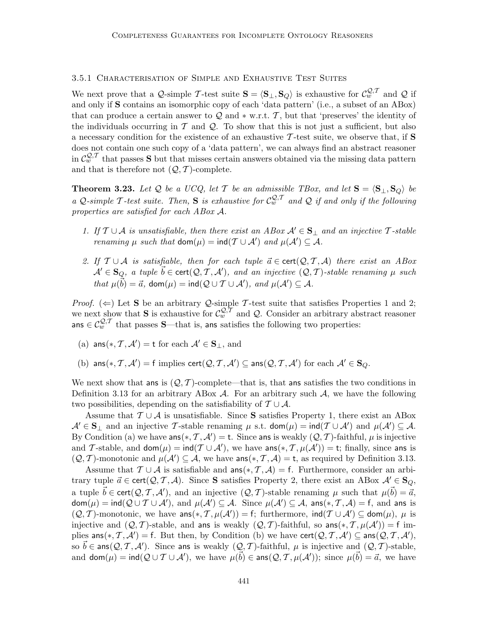## 3.5.1 Characterisation of Simple and Exhaustive Test Suites

We next prove that a Q-simple T-test suite  $S = \langle S_{\perp}, S_Q \rangle$  is exhaustive for  $C_w^{Q,T}$  and Q if and only if S contains an isomorphic copy of each 'data pattern' (i.e., a subset of an ABox) that can produce a certain answer to  $\mathcal Q$  and  $*$  w.r.t. T, but that 'preserves' the identity of the individuals occurring in  $\mathcal T$  and  $\mathcal Q$ . To show that this is not just a sufficient, but also a necessary condition for the existence of an exhaustive  $\mathcal T$ -test suite, we observe that, if **S** does not contain one such copy of a 'data pattern', we can always find an abstract reasoner in  $C_m^{\mathcal{Q},\mathcal{T}}$  that passes **S** but that misses certain answers obtained via the missing data pattern and that is therefore not  $(Q, T)$ -complete.

**Theorem 3.23.** Let Q be a UCQ, let T be an admissible TBox, and let  $S = \langle S_{\perp}, S_{Q} \rangle$  be a Q-simple T-test suite. Then, S is exhaustive for  $C_w^{Q,T}$  and Q if and only if the following properties are satisfied for each ABox A.

- 1. If  $\mathcal{T} \cup \mathcal{A}$  is unsatisfiable, then there exist an ABox  $\mathcal{A}' \in \mathbf{S}_{\perp}$  and an injective T-stable *renaming*  $\mu$  such that  $\text{dom}(\mu) = \text{ind}(T \cup \mathcal{A}')$  and  $\mu(\mathcal{A}') \subseteq \mathcal{A}$ .
- 2. If  $\mathcal{T} \cup \mathcal{A}$  is satisfiable, then for each tuple  $\vec{a} \in \text{cert}(\mathcal{Q}, \mathcal{T}, \mathcal{A})$  there exist an ABox  $\mathcal{A}'\in{\bf S}_Q$ , a tuple  $\vec{b}\in\mathsf{cert}(\mathcal{Q},\mathcal{T},\mathcal{A}'),$  and an injective  $(\mathcal{Q},\mathcal{T})$ -stable renaming  $\mu$  such that  $\mu(\vec{b}) = \vec{a}$ , dom $(\mu) = \text{ind}(Q \cup T \cup \mathcal{A}')$ , and  $\mu(\mathcal{A}') \subseteq \mathcal{A}$ .

*Proof.* ( $\Leftarrow$ ) Let **S** be an arbitrary *Q*-simple *T*-test suite that satisfies Properties 1 and 2; we next show that S is exhaustive for  $\mathcal{C}_{w}^{\mathcal{Q},\mathcal{T}}$  and Q. Consider an arbitrary abstract reasoner ans  $\in \mathcal{C}_w^{Q,T}$  that passes S—that is, ans satisfies the following two properties:

- (a)  $\textsf{ans}(*, \mathcal{T}, \mathcal{A}') = \textsf{t}$  for each  $\mathcal{A}' \in \mathbf{S}_{\perp}$ , and
- (b)  $\textsf{ans}(*, \mathcal{T}, \mathcal{A}') = \textsf{f}$  implies  $\textsf{cert}(\mathcal{Q}, \mathcal{T}, \mathcal{A}') \subseteq \textsf{ans}(\mathcal{Q}, \mathcal{T}, \mathcal{A}')$  for each  $\mathcal{A}' \in \mathbf{S}_{Q}$ .

We next show that ans is  $(Q, \mathcal{T})$ -complete—that is, that ans satisfies the two conditions in Definition 3.13 for an arbitrary ABox  $\mathcal{A}$ . For an arbitrary such  $\mathcal{A}$ , we have the following two possibilities, depending on the satisfiability of  $T \cup A$ .

Assume that  $\mathcal{T} \cup \mathcal{A}$  is unsatisfiable. Since S satisfies Property 1, there exist an ABox  $\mathcal{A}' \in \mathbf{S}_{\perp}$  and an injective T-stable renaming  $\mu$  s.t.  $\text{dom}(\mu) = \text{ind}(\mathcal{T} \cup \mathcal{A}')$  and  $\mu(\mathcal{A}') \subseteq \mathcal{A}$ . By Condition (a) we have  $\textsf{ans}(*, \mathcal{T}, \mathcal{A}') = \textsf{t}$ . Since ans is weakly  $(\mathcal{Q}, \mathcal{T})$ -faithful,  $\mu$  is injective and T-stable, and  $\text{dom}(\mu) = \text{ind}(T \cup \mathcal{A}')$ , we have  $\text{ans}(*, T, \mu(\mathcal{A}')) = t$ ; finally, since ans is  $(Q, \mathcal{T})$ -monotonic and  $\mu(\mathcal{A}') \subseteq \mathcal{A}$ , we have  $\text{ans}(*, \mathcal{T}, \mathcal{A}) = \text{t}$ , as required by Definition 3.13.

Assume that  $\mathcal{T} \cup \mathcal{A}$  is satisfiable and ans $(*, \mathcal{T}, \mathcal{A}) = f$ . Furthermore, consider an arbitrary tuple  $\vec{a} \in \text{cert}(\mathcal{Q}, \mathcal{T}, \mathcal{A})$ . Since S satisfies Property 2, there exist an ABox  $\mathcal{A}' \in \mathbf{S}_Q$ , a tuple  $\vec{b} \in \text{cert}(\mathcal{Q}, \mathcal{T}, \mathcal{A}')$ , and an injective  $(\mathcal{Q}, \mathcal{T})$ -stable renaming  $\mu$  such that  $\mu(\vec{b}) = \vec{a}$ ,  $\mathsf{dom}(\mu) = \mathsf{ind}(\mathcal{Q} \cup \mathcal{T} \cup \mathcal{A}'), \text{ and } \mu(\mathcal{A}') \subseteq \mathcal{A}. \enspace \mathsf{Since} \enspace \mu(\mathcal{A}') \subseteq \mathcal{A}, \enspace \mathsf{ans}(*, \mathcal{T}, \mathcal{A}) = \mathsf{f}, \text{ and ans is}$  $(Q, T)$ -monotonic, we have  $ans(*, T, \mu(\mathcal{A}')) = f$ ; furthermore,  $ind(T \cup \mathcal{A}') \subseteq dom(\mu)$ ,  $\mu$  is injective and  $(Q, \mathcal{T})$ -stable, and ans is weakly  $(Q, \mathcal{T})$ -faithful, so ans $(*, \mathcal{T}, \mu(\mathcal{A}')) = f$  implies  $\textsf{ans}(*, \mathcal{T}, \mathcal{A}') = \textsf{f}$ . But then, by Condition (b) we have  $\textsf{cert}(\mathcal{Q}, \mathcal{T}, \mathcal{A}') \subseteq \textsf{ans}(\mathcal{Q}, \mathcal{T}, \mathcal{A}'),$ so  $\vec{b} \in \text{ans}(Q, T, \mathcal{A}')$ . Since ans is weakly  $(Q, T)$ -faithful,  $\mu$  is injective and  $(Q, T)$ -stable, and  $\textsf{dom}(\mu) = \textsf{ind}(Q \cup T \cup A'),$  we have  $\mu(\vec{b}) \in \textsf{ans}(Q, T, \mu(A'))$ ; since  $\mu(\vec{b}) = \vec{a}$ , we have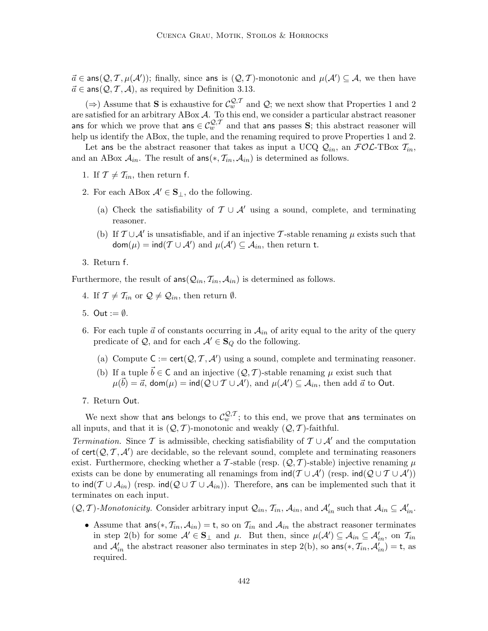$\vec{a} \in \text{ans}(Q, \mathcal{T}, \mu(\mathcal{A}'))$ ; finally, since ans is  $(Q, \mathcal{T})$ -monotonic and  $\mu(\mathcal{A}') \subseteq \mathcal{A}$ , we then have  $\vec{a} \in \text{ans}(\mathcal{Q}, \mathcal{T}, \mathcal{A})$ , as required by Definition 3.13.

(⇒) Assume that S is exhaustive for  $\mathcal{C}_{w}^{\mathcal{Q},\mathcal{T}}$  and  $\mathcal{Q}$ ; we next show that Properties 1 and 2 are satisfied for an arbitrary ABox  $A$ . To this end, we consider a particular abstract reasoner ans for which we prove that ans  $\in C_w^{\mathcal{Q},\mathcal{T}}$  and that ans passes S; this abstract reasoner will help us identify the ABox, the tuple, and the renaming required to prove Properties 1 and 2.

Let ans be the abstract reasoner that takes as input a UCQ  $Q_{in}$ , an  $FOC$ -TBox  $T_{in}$ , and an ABox  $A_{in}$ . The result of ans $(*, \mathcal{T}_{in}, \mathcal{A}_{in})$  is determined as follows.

- 1. If  $\mathcal{T} \neq \mathcal{T}_{in}$ , then return f.
- 2. For each ABox  $\mathcal{A}' \in \mathbf{S}_{\perp}$ , do the following.
	- (a) Check the satisfiability of  $\mathcal{T} \cup \mathcal{A}'$  using a sound, complete, and terminating reasoner.
	- (b) If  $\mathcal{T} \cup \mathcal{A}'$  is unsatisfiable, and if an injective T-stable renaming  $\mu$  exists such that  $\mathsf{dom}(\mu) = \mathsf{ind}(\mathcal{T} \cup \mathcal{A}') \text{ and } \mu(\mathcal{A}') \subseteq \mathcal{A}_{in}, \text{ then return t.}$
- 3. Return f.

Furthermore, the result of  $ans(Q_{in}, T_{in}, A_{in})$  is determined as follows.

- 4. If  $\mathcal{T} \neq \mathcal{T}_{in}$  or  $\mathcal{Q} \neq \mathcal{Q}_{in}$ , then return  $\emptyset$ .
- 5. Out  $:= \emptyset$ .
- 6. For each tuple  $\vec{a}$  of constants occurring in  $\mathcal{A}_{in}$  of arity equal to the arity of the query predicate of  $\mathcal{Q}$ , and for each  $\mathcal{A}' \in \mathbf{S}_Q$  do the following.
	- (a) Compute  $C := \text{cert}(\mathcal{Q}, \mathcal{T}, \mathcal{A}')$  using a sound, complete and terminating reasoner.
	- (b) If a tuple  $\vec{b} \in \mathsf{C}$  and an injective  $(\mathcal{Q}, \mathcal{T})$ -stable renaming  $\mu$  exist such that  $\mu(\vec{b}) = \vec{a}$ , dom $(\mu) = \text{ind}(Q \cup T \cup \mathcal{A}')$ , and  $\mu(\mathcal{A}') \subseteq \mathcal{A}_{in}$ , then add  $\vec{a}$  to Out.
- 7. Return Out.

We next show that ans belongs to  $\mathcal{C}_w^{\mathcal{Q},\mathcal{T}}$ ; to this end, we prove that ans terminates on all inputs, and that it is  $(Q, \mathcal{T})$ -monotonic and weakly  $(Q, \mathcal{T})$ -faithful.

Termination. Since T is admissible, checking satisfiability of  $T \cup A'$  and the computation of  $\text{cert}(\mathcal{Q}, \mathcal{T}, \mathcal{A}')$  are decidable, so the relevant sound, complete and terminating reasoners exist. Furthermore, checking whether a T-stable (resp.  $(Q, T)$ -stable) injective renaming  $\mu$ exists can be done by enumerating all renamings from  $\text{ind}(T \cup A')$  (resp.  $\text{ind}(Q \cup T \cup A')$ ) to  $\text{ind}(\mathcal{T} \cup \mathcal{A}_{in})$  (resp.  $\text{ind}(\mathcal{Q} \cup \mathcal{T} \cup \mathcal{A}_{in})$ ). Therefore, ans can be implemented such that it terminates on each input.

 $(Q, T)$ -Monotonicity. Consider arbitrary input  $Q_{in}$ ,  $\mathcal{T}_{in}$ ,  $\mathcal{A}_{in}$ , and  $\mathcal{A}'_{in}$  such that  $\mathcal{A}_{in} \subseteq \mathcal{A}'_{in}$ .

• Assume that  $ans(*, \mathcal{T}_{in}, \mathcal{A}_{in}) = t$ , so on  $\mathcal{T}_{in}$  and  $\mathcal{A}_{in}$  the abstract reasoner terminates in step 2(b) for some  $\mathcal{A}' \in \mathbf{S}_{\perp}$  and  $\mu$ . But then, since  $\mu(\mathcal{A}') \subseteq \mathcal{A}_{in} \subseteq \mathcal{A}'_{in}$ , on  $\mathcal{T}_{in}$ and  $\mathcal{A}'_{in}$  the abstract reasoner also terminates in step 2(b), so  $\text{ans}(*, \mathcal{T}_{in}, \mathcal{A}'_{in}) = \text{t}$ , as required.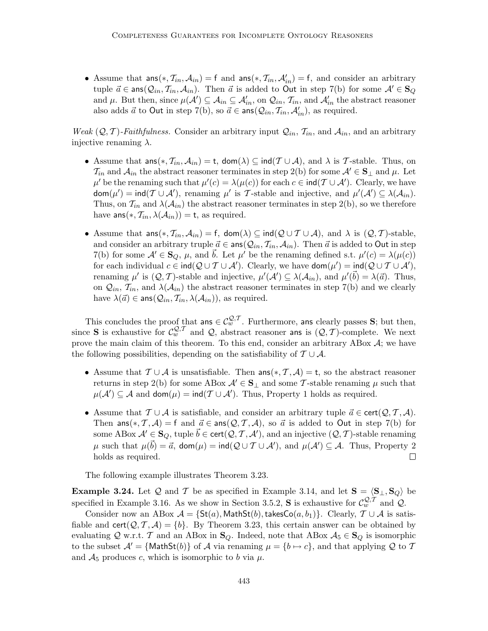• Assume that  $ans(*, \mathcal{T}_{in}, \mathcal{A}_{in}) = f$  and  $ans(*, \mathcal{T}_{in}, \mathcal{A}'_{in}) = f$ , and consider an arbitrary tuple  $\vec{a} \in \text{ans}(\mathcal{Q}_{in}, \mathcal{T}_{in}, \mathcal{A}_{in})$ . Then  $\vec{a}$  is added to Out in step 7(b) for some  $\mathcal{A}' \in \mathbf{S}_Q$ and  $\mu$ . But then, since  $\mu(\mathcal{A}') \subseteq \mathcal{A}_{in} \subseteq \mathcal{A}'_{in}$ , on  $\mathcal{Q}_{in}, \mathcal{T}_{in}$ , and  $\mathcal{A}'_{in}$  the abstract reasoner also adds  $\vec{a}$  to Out in step 7(b), so  $\vec{a} \in \text{ans}(\mathcal{Q}_{in}, \mathcal{T}_{in}, \mathcal{A}'_{in})$ , as required.

Weak  $(Q, \mathcal{T})$ -Faithfulness. Consider an arbitrary input  $\mathcal{Q}_{in}$ ,  $\mathcal{T}_{in}$ , and  $\mathcal{A}_{in}$ , and an arbitrary injective renaming  $\lambda$ .

- Assume that  $ans(*, \mathcal{T}_{in}, \mathcal{A}_{in}) = t$ ,  $dom(\lambda) \subseteq ind(\mathcal{T} \cup \mathcal{A})$ , and  $\lambda$  is T-stable. Thus, on  $\mathcal{T}_{in}$  and  $\mathcal{A}_{in}$  the abstract reasoner terminates in step 2(b) for some  $\mathcal{A}' \in \mathbf{S}_{\perp}$  and  $\mu$ . Let  $\mu'$  be the renaming such that  $\mu'(c) = \lambda(\mu(c))$  for each  $c \in \text{ind}(\mathcal{T} \cup \mathcal{A}')$ . Clearly, we have  $\textsf{dom}(\mu') = \textsf{ind}(\mathcal{T} \cup \mathcal{A}'),$  renaming  $\mu'$  is  $\mathcal{T}$ -stable and injective, and  $\mu'(\mathcal{A}') \subseteq \lambda(\mathcal{A}_{in}).$ Thus, on  $\mathcal{T}_{in}$  and  $\lambda(\mathcal{A}_{in})$  the abstract reasoner terminates in step 2(b), so we therefore have  $\textsf{ans}(*, \mathcal{T}_{in}, \lambda(\mathcal{A}_{in})) = \textsf{t}$ , as required.
- Assume that  $ans(*, \mathcal{T}_{in}, \mathcal{A}_{in}) = f$ ,  $dom(\lambda) \subseteq ind(\mathcal{Q} \cup \mathcal{T} \cup \mathcal{A})$ , and  $\lambda$  is  $(\mathcal{Q}, \mathcal{T})$ -stable, and consider an arbitrary truple  $\vec{a} \in \text{ans}(Q_{in}, \mathcal{T}_{in}, \mathcal{A}_{in})$ . Then  $\vec{a}$  is added to Out in step 7(b) for some  $\mathcal{A}' \in \mathbf{S}_Q$ ,  $\mu$ , and  $\vec{b}$ . Let  $\mu'$  be the renaming defined s.t.  $\mu'(c) = \lambda(\mu(c))$ for each individual  $c \in \text{ind}(Q \cup T \cup A')$ . Clearly, we have  $\text{dom}(\mu') = \text{ind}(Q \cup T \cup A')$ , renaming  $\mu'$  is  $(Q, \mathcal{T})$ -stable and injective,  $\mu'(\mathcal{A}') \subseteq \lambda(\mathcal{A}_{in})$ , and  $\mu'(\vec{b}) = \lambda(\vec{a})$ . Thus, on  $Q_{in}$ ,  $\mathcal{T}_{in}$ , and  $\lambda(\mathcal{A}_{in})$  the abstract reasoner terminates in step 7(b) and we clearly have  $\lambda(\vec{a}) \in \text{ans}(\mathcal{Q}_{in}, \mathcal{T}_{in}, \lambda(\mathcal{A}_{in}))$ , as required.

This concludes the proof that ans  $\in \mathcal{C}^{Q,\mathcal{T}}_w$ . Furthermore, ans clearly passes S; but then, since **S** is exhaustive for  $C_w^{Q,T}$  and Q, abstract reasoner ans is  $(Q, T)$ -complete. We next prove the main claim of this theorem. To this end, consider an arbitrary ABox  $A$ ; we have the following possibilities, depending on the satisfiability of  $\mathcal{T} \cup \mathcal{A}$ .

- Assume that  $\mathcal{T} \cup \mathcal{A}$  is unsatisfiable. Then  $\text{ans}(*, \mathcal{T}, \mathcal{A}) = t$ , so the abstract reasoner returns in step 2(b) for some ABox  $\mathcal{A}' \in \mathbf{S}_{\perp}$  and some T-stable renaming  $\mu$  such that  $\mu(\mathcal{A}') \subseteq \mathcal{A}$  and  $\mathsf{dom}(\mu) = \mathsf{ind}(\mathcal{T} \cup \mathcal{A}')$ . Thus, Property 1 holds as required.
- Assume that  $\mathcal{T} \cup \mathcal{A}$  is satisfiable, and consider an arbitrary tuple  $\vec{a} \in \text{cert}(\mathcal{Q}, \mathcal{T}, \mathcal{A})$ . Then ans(\*, T, A) = f and  $\vec{a} \in \text{ans}(Q, T, A)$ , so  $\vec{a}$  is added to Out in step 7(b) for some ABox  $\mathcal{A}' \in \mathbf{S}_Q$ , tuple  $\vec{b} \in \mathsf{cert}(\mathcal{Q}, \mathcal{T}, \mathcal{A}')$ , and an injective  $(\mathcal{Q}, \mathcal{T})$ -stable renaming  $\mu$  such that  $\mu(\vec{b}) = \vec{a}$ , dom $(\mu) = \text{ind}(Q \cup T \cup \mathcal{A}')$ , and  $\mu(\mathcal{A}') \subseteq \mathcal{A}$ . Thus, Property 2 holds as required.

The following example illustrates Theorem 3.23.

**Example 3.24.** Let Q and T be as specified in Example 3.14, and let  $S = \langle S_{\perp}, S_{\mathcal{Q}} \rangle$  be specified in Example 3.16. As we show in Section 3.5.2, **S** is exhaustive for  $\mathcal{C}_{w}^{\mathcal{Q},\mathcal{T}}$  and  $\mathcal{Q}$ .

Consider now an ABox  $\mathcal{A} = \{St(a), \text{MathSt}(b), \text{takesCo}(a, b_1)\}.$  Clearly,  $\mathcal{T} \cup \mathcal{A}$  is satisfiable and cert $(Q, \mathcal{T}, \mathcal{A}) = \{b\}$ . By Theorem 3.23, this certain answer can be obtained by evaluating Q w.r.t. T and an ABox in  $\mathbf{S}_Q$ . Indeed, note that ABox  $A_5 \in \mathbf{S}_Q$  is isomorphic to the subset  $\mathcal{A}' = \{\text{MathSt}(b)\}\$  of  $\mathcal A$  via renaming  $\mu = \{b \mapsto c\}$ , and that applying  $\mathcal Q$  to  $\mathcal T$ and  $A_5$  produces c, which is isomorphic to b via  $\mu$ .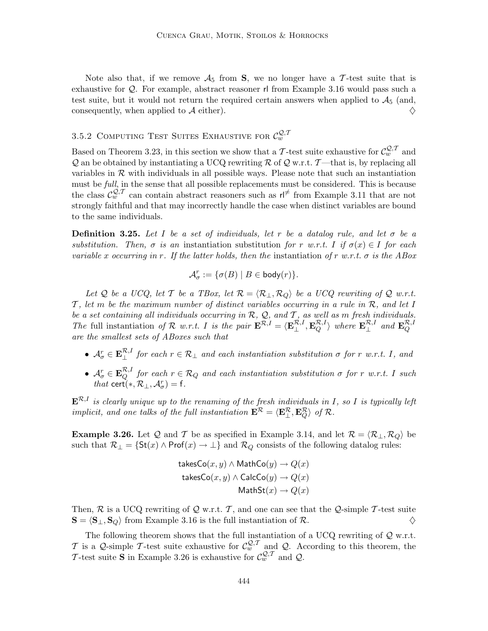Note also that, if we remove  $A_5$  from S, we no longer have a T-test suite that is exhaustive for Q. For example, abstract reasoner rl from Example 3.16 would pass such a test suite, but it would not return the required certain answers when applied to  $A_5$  (and, consequently, when applied to  $\mathcal A$  either).

## 3.5.2 COMPUTING TEST SUITES EXHAUSTIVE FOR  $C_w^{\mathcal{Q}, \mathcal{T}}$

Based on Theorem 3.23, in this section we show that a T-test suite exhaustive for  $\mathcal{C}_{w}^{\mathcal{Q},\mathcal{T}}$  and  $\mathcal Q$  an be obtained by instantiating a UCQ rewriting  $\mathcal R$  of  $\mathcal Q$  w.r.t. T—that is, by replacing all variables in  $\mathcal R$  with individuals in all possible ways. Please note that such an instantiation must be full, in the sense that all possible replacements must be considered. This is because the class  $\mathcal{C}_w^{\mathcal{Q},\mathcal{T}}$  can contain abstract reasoners such as  $\mathsf{r} \mid^{\neq}$  from Example 3.11 that are not strongly faithful and that may incorrectly handle the case when distinct variables are bound to the same individuals.

**Definition 3.25.** Let I be a set of individuals, let r be a datalog rule, and let  $\sigma$  be a substitution. Then,  $\sigma$  is an instantiation substitution for r w.r.t. I if  $\sigma(x) \in I$  for each variable x occurring in r. If the latter holds, then the instantiation of r w.r.t.  $\sigma$  is the ABox

$$
\mathcal{A}_{\sigma}^r := \{ \sigma(B) \mid B \in \mathsf{body}(r) \}.
$$

Let Q be a UCQ, let T be a TBox, let  $\mathcal{R} = \langle \mathcal{R}_+, \mathcal{R}_Q \rangle$  be a UCQ rewriting of Q w.r.t. T, let m be the maximum number of distinct variables occurring in a rule in  $\mathcal{R}$ , and let I be a set containing all individuals occurring in  $\mathcal{R}$ ,  $\mathcal{Q}$ , and  $\mathcal{T}$ , as well as m fresh individuals. The full instantiation of R w.r.t. I is the pair  $\mathbf{E}^{\mathcal{R},I} = \langle \mathbf{E}_{\perp}^{\mathcal{R},I}, \mathbf{E}_{Q}^{\mathcal{R},I} \rangle$  where  $\mathbf{E}_{\perp}^{\mathcal{R},I}$  and  $\mathbf{E}_{Q}^{\mathcal{R},I}$ are the smallest sets of ABoxes such that

- $\mathcal{A}_{\sigma}^{r} \in \mathbf{E}_{\perp}^{R,I}$  for each  $r \in \mathcal{R}_{\perp}$  and each instantiation substitution  $\sigma$  for r w.r.t. I, and
- $\mathcal{A}_{\sigma}^{r} \in \mathbf{E}_{Q}^{\mathcal{R},I}$  for each  $r \in \mathcal{R}_{Q}$  and each instantiation substitution  $\sigma$  for r w.r.t. I such that cert(\*,  $\mathcal{R}_{\perp}, \mathcal{A}_{\sigma}^r$ ) = f.

 $\mathbf{E}^{\mathcal{R},I}$  is clearly unique up to the renaming of the fresh individuals in I, so I is typically left implicit, and one talks of the full instantiation  $\mathbf{E}^{\mathcal{R}} = \langle \mathbf{E}^{\mathcal{R}}_{\perp}, \mathbf{E}^{\mathcal{R}}_{Q} \rangle$  of  $\mathcal{R}$ .

**Example 3.26.** Let Q and T be as specified in Example 3.14, and let  $\mathcal{R} = \langle \mathcal{R}_{\perp}, \mathcal{R}_{Q} \rangle$  be such that  $\mathcal{R}_{\perp} = \{ \text{St}(x) \land \text{Prof}(x) \to \perp \}$  and  $\mathcal{R}_{Q}$  consists of the following datalog rules:

$$
\begin{aligned} \mathsf{takesCo}(x, y) \land \mathsf{MathCo}(y) \rightarrow Q(x) \\ \mathsf{ takesCo}(x, y) \land \mathsf{CalcCo}(y) \rightarrow Q(x) \\ \mathsf{MathSt}(x) \rightarrow Q(x) \end{aligned}
$$

Then,  $\mathcal{R}$  is a UCQ rewriting of  $\mathcal{Q}$  w.r.t.  $\mathcal{T}$ , and one can see that the  $\mathcal{Q}$ -simple  $\mathcal{T}$ -test suite  $\mathbf{S} = \langle \mathbf{S}_{\perp}, \mathbf{S}_{\Omega} \rangle$  from Example 3.16 is the full instantiation of  $\mathcal{R}$ .  $\mathbf{S} = \langle \mathbf{S}_{\perp}, \mathbf{S}_{Q} \rangle$  from Example 3.16 is the full instantiation of R.

The following theorem shows that the full instantiation of a UCQ rewriting of  $Q$  w.r.t. T is a Q-simple T-test suite exhaustive for  $\mathcal{C}_{w}^{\mathcal{Q}, \mathcal{T}}$  and Q. According to this theorem, the T-test suite **S** in Example 3.26 is exhaustive for  $C_w^{\mathcal{Q}, \mathcal{T}}$  and  $\mathcal{Q}$ .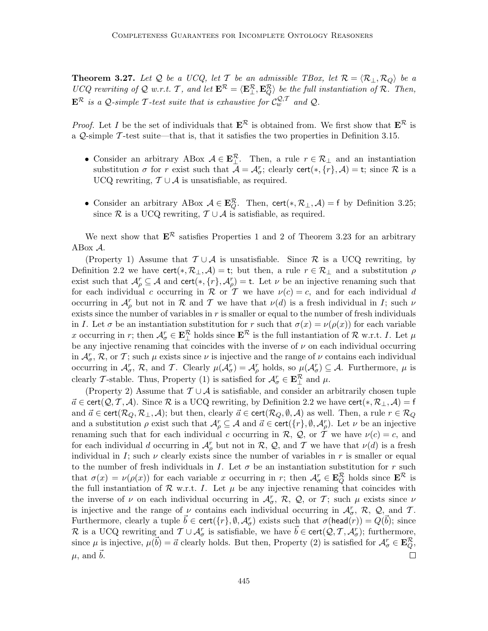**Theorem 3.27.** Let Q be a UCQ, let T be an admissible TBox, let  $\mathcal{R} = \langle \mathcal{R}_{\perp}, \mathcal{R}_{Q} \rangle$  be a UCQ rewriting of Q w.r.t. T, and let  $\mathbf{E}^{\mathcal{R}} = \langle \mathbf{E}_{\perp}^{\mathcal{R}}, \mathbf{E}_{Q}^{\mathcal{R}} \rangle$  be the full instantiation of R. Then,  $\mathbf{E}^{\mathcal{R}}$  is a Q-simple T-test suite that is exhaustive for  $\mathcal{C}_w^{\mathcal{Q}, \mathcal{T}}$  and Q.

*Proof.* Let I be the set of individuals that  $\mathbf{E}^{\mathcal{R}}$  is obtained from. We first show that  $\mathbf{E}^{\mathcal{R}}$  is a  $Q$ -simple  $\mathcal T$ -test suite—that is, that it satisfies the two properties in Definition 3.15.

- Consider an arbitrary ABox  $A \in \mathbf{E}_{\perp}^{\mathcal{R}}$ . Then, a rule  $r \in \mathcal{R}_{\perp}$  and an instantiation substitution  $\sigma$  for r exist such that  $\mathcal{A} = \mathcal{A}_{\sigma}^r$ ; clearly cert(\*, {r},  $\mathcal{A}$ ) = t; since  $\mathcal R$  is a UCQ rewriting,  $\mathcal{T} \cup \mathcal{A}$  is unsatisfiable, as required.
- Consider an arbitrary ABox  $A \in \mathbf{E}_Q^{\mathcal{R}}$ . Then, cert $(*, \mathcal{R}_\perp, \mathcal{A}) = f$  by Definition 3.25; since R is a UCQ rewriting,  $T \cup A$  is satisfiable, as required.

We next show that  $\mathbf{E}^{\mathcal{R}}$  satisfies Properties 1 and 2 of Theorem 3.23 for an arbitrary ABox A.

(Property 1) Assume that  $\mathcal{T} \cup \mathcal{A}$  is unsatisfiable. Since  $\mathcal{R}$  is a UCQ rewriting, by Definition 2.2 we have cert(\*,  $\mathcal{R}_\perp$ ,  $\mathcal{A}$ ) = t; but then, a rule  $r \in \mathcal{R}_\perp$  and a substitution  $\rho$ exist such that  $\mathcal{A}_{\rho}^r \subseteq \mathcal{A}$  and cert $(*, \{r\}, \mathcal{A}_{\rho}^r) =$  t. Let  $\nu$  be an injective renaming such that for each individual c occurring in R or T we have  $\nu(c) = c$ , and for each individual d occurring in  $\mathcal{A}_{\rho}^r$  but not in  $\mathcal R$  and  $\mathcal T$  we have that  $\nu(d)$  is a fresh individual in  $I$ ; such  $\nu$ exists since the number of variables in  $r$  is smaller or equal to the number of fresh individuals in I. Let  $\sigma$  be an instantiation substitution for r such that  $\sigma(x) = \nu(\rho(x))$  for each variable x occurring in r; then  $A_{\sigma}^{r} \in \mathbf{E}_{\perp}^{\mathcal{R}}$  holds since  $\mathbf{E}^{\mathcal{R}}$  is the full instantiation of  $\mathcal{R}$  w.r.t. I. Let  $\mu$ be any injective renaming that coincides with the inverse of  $\nu$  on each individual occurring in  $\mathcal{A}_{\sigma}^r$ ,  $\mathcal{R}$ , or  $\mathcal{T}$ ; such  $\mu$  exists since  $\nu$  is injective and the range of  $\nu$  contains each individual occurring in  $\mathcal{A}_{\sigma}^r$ ,  $\mathcal{R}$ , and  $\mathcal{T}$ . Clearly  $\mu(\mathcal{A}_{\sigma}^r) = \mathcal{A}_{\rho}^r$  holds, so  $\mu(\mathcal{A}_{\sigma}^r) \subseteq \mathcal{A}$ . Furthermore,  $\mu$  is clearly T-stable. Thus, Property (1) is satisfied for  $\mathcal{A}_{\sigma}^r \in \mathbf{E}_{\perp}^{\mathcal{R}}$  and  $\mu$ .

(Property 2) Assume that  $\mathcal{T} \cup \mathcal{A}$  is satisfiable, and consider an arbitrarily chosen tuple  $\vec{a} \in \text{cert}(\mathcal{Q}, \mathcal{T}, \mathcal{A})$ . Since R is a UCQ rewriting, by Definition 2.2 we have cert $(*, \mathcal{R}_{\perp}, \mathcal{A}) = f$ and  $\vec{a} \in \text{cert}(\mathcal{R}_Q, \mathcal{R}_\perp, \mathcal{A})$ ; but then, clearly  $\vec{a} \in \text{cert}(\mathcal{R}_Q, \emptyset, \mathcal{A})$  as well. Then, a rule  $r \in \mathcal{R}_Q$ and a substitution  $\rho$  exist such that  $\mathcal{A}_{\rho}^r \subseteq \mathcal{A}$  and  $\vec{a} \in \text{cert}(\{r\}, \emptyset, \mathcal{A}_{\rho}^r)$ . Let  $\nu$  be an injective renaming such that for each individual c occurring in R, Q, or T we have  $\nu(c) = c$ , and for each individual d occurring in  $\mathcal{A}_{\rho}^r$  but not in  $\mathcal{R}, \mathcal{Q}$ , and  $\mathcal{T}$  we have that  $\nu(d)$  is a fresh individual in I; such  $\nu$  clearly exists since the number of variables in r is smaller or equal to the number of fresh individuals in I. Let  $\sigma$  be an instantiation substitution for r such that  $\sigma(x) = \nu(\rho(x))$  for each variable x occurring in r; then  $\mathcal{A}_{\sigma}^{r} \in \mathbf{E}_{Q}^{\mathcal{R}}$  holds since  $\mathbf{E}^{\mathcal{R}}$  is the full instantiation of  $R$  w.r.t. I. Let  $\mu$  be any injective renaming that coincides with the inverse of  $\nu$  on each individual occurring in  $\mathcal{A}_{\sigma}^r$ ,  $\mathcal{R}$ ,  $\mathcal{Q}$ , or  $\mathcal{T}$ ; such  $\mu$  exists since  $\nu$ is injective and the range of  $\nu$  contains each individual occurring in  $\mathcal{A}_{\sigma}^r$ ,  $\mathcal{R}$ ,  $\mathcal{Q}_{\sigma}$  and  $\mathcal{T}$ . Furthermore, clearly a tuple  $\vec{b} \in \text{cert}(\{r\}, \emptyset, \mathcal{A}_{\sigma}^r)$  exists such that  $\sigma(\text{head}(r)) = Q(\vec{b})$ ; since R is a UCQ rewriting and  $\mathcal{T} \cup \mathcal{A}_{\sigma}^r$  is satisfiable, we have  $\vec{b} \in \text{cert}(\mathcal{Q}, \mathcal{T}, \mathcal{A}_{\sigma}^r)$ ; furthermore, since  $\mu$  is injective,  $\mu(\vec{b}) = \vec{a}$  clearly holds. But then, Property (2) is satisfied for  $\mathcal{A}_{\sigma}^r \in \mathbf{E}_{Q}^{\mathcal{R}}$ ,  $\mu$ , and  $\dot{b}$ .  $\Box$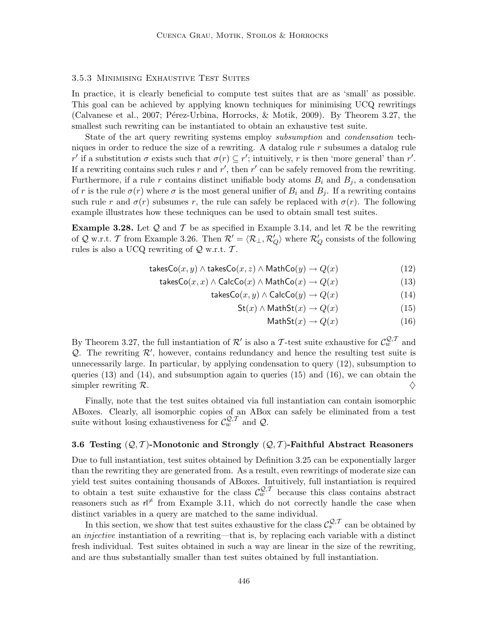## 3.5.3 Minimising Exhaustive Test Suites

In practice, it is clearly beneficial to compute test suites that are as 'small' as possible. This goal can be achieved by applying known techniques for minimising UCQ rewritings (Calvanese et al., 2007; Pérez-Urbina, Horrocks, & Motik, 2009). By Theorem 3.27, the smallest such rewriting can be instantiated to obtain an exhaustive test suite.

State of the art query rewriting systems employ subsumption and condensation techniques in order to reduce the size of a rewriting. A datalog rule  $r$  subsumes a datalog rule r' if a substitution  $\sigma$  exists such that  $\sigma(r) \subseteq r'$ ; intuitively, r is then 'more general' than r'. If a rewriting contains such rules r and r', then r' can be safely removed from the rewriting. Furthermore, if a rule r contains distinct unifiable body atoms  $B_i$  and  $B_j$ , a condensation of r is the rule  $\sigma(r)$  where  $\sigma$  is the most general unifier of  $B_i$  and  $B_j$ . If a rewriting contains such rule r and  $\sigma(r)$  subsumes r, the rule can safely be replaced with  $\sigma(r)$ . The following example illustrates how these techniques can be used to obtain small test suites.

**Example 3.28.** Let  $\mathcal Q$  and  $\mathcal T$  be as specified in Example 3.14, and let  $\mathcal R$  be the rewriting of Q w.r.t. T from Example 3.26. Then  $\mathcal{R}' = \langle \mathcal{R}_\perp, \mathcal{R}'_Q \rangle$  where  $\mathcal{R}'_Q$  consists of the following rules is also a UCQ rewriting of  $\mathcal Q$  w.r.t.  $\mathcal T.$ 

$$
takesCo(x, y) \land takesCo(x, z) \land MathCo(y) \rightarrow Q(x)
$$
 (12)

$$
takesCo(x, x) \land CalcCo(x) \land MathCo(x) \rightarrow Q(x)
$$
\n(13)

$$
takesCo(x, y) \land CalcCo(y) \rightarrow Q(x) \tag{14}
$$

$$
St(x) \land MathSt(x) \to Q(x) \tag{15}
$$

$$
MathSt(x) \to Q(x) \tag{16}
$$

By Theorem 3.27, the full instantiation of  $\mathcal{R}'$  is also a T-test suite exhaustive for  $\mathcal{C}_{w}^{\mathcal{Q},\mathcal{T}}$  and Q. The rewriting  $\mathcal{R}'$ , however, contains redundancy and hence the resulting test suite is unnecessarily large. In particular, by applying condensation to query (12), subsumption to queries (13) and (14), and subsumption again to queries (15) and (16), we can obtain the simpler rewriting R.  $\Diamond$ 

Finally, note that the test suites obtained via full instantiation can contain isomorphic ABoxes. Clearly, all isomorphic copies of an ABox can safely be eliminated from a test suite without losing exhaustiveness for  $\mathcal{C}_w^{Q,T}$  and  $\mathcal{Q}$ .

## 3.6 Testing  $(Q, \mathcal{T})$ -Monotonic and Strongly  $(Q, \mathcal{T})$ -Faithful Abstract Reasoners

Due to full instantiation, test suites obtained by Definition 3.25 can be exponentially larger than the rewriting they are generated from. As a result, even rewritings of moderate size can yield test suites containing thousands of ABoxes. Intuitively, full instantiation is required to obtain a test suite exhaustive for the class  $\mathcal{C}_w^{\mathcal{Q},\mathcal{T}}$  because this class contains abstract reasoners such as  $r \not\uparrow$  from Example 3.11, which do not correctly handle the case when distinct variables in a query are matched to the same individual.

In this section, we show that test suites exhaustive for the class  $\mathcal{C}^{\mathcal{Q},\mathcal{T}}_{s}$  can be obtained by an injective instantiation of a rewriting—that is, by replacing each variable with a distinct fresh individual. Test suites obtained in such a way are linear in the size of the rewriting, and are thus substantially smaller than test suites obtained by full instantiation.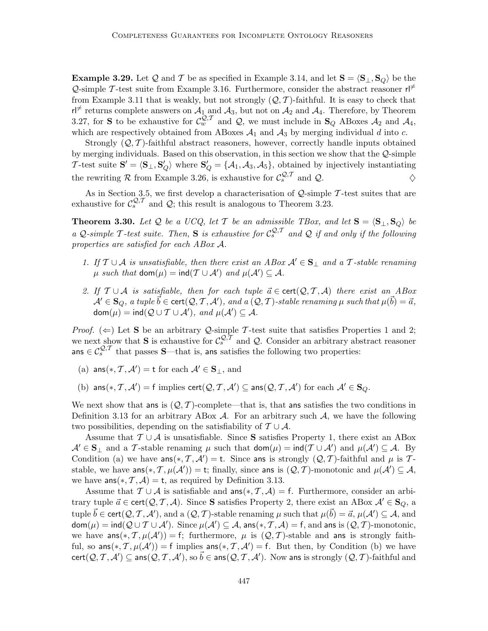**Example 3.29.** Let Q and T be as specified in Example 3.14, and let  $S = \langle S_{\perp}, S_{\mathcal{Q}} \rangle$  be the  $\mathcal{Q}$ -simple T-test suite from Example 3.16. Furthermore, consider the abstract reasoner r from Example 3.11 that is weakly, but not strongly  $(Q, \mathcal{T})$ -faithful. It is easy to check that  $r \in \mathbb{R}^+$  returns complete answers on  $\mathcal{A}_1$  and  $\mathcal{A}_3$ , but not on  $\mathcal{A}_2$  and  $\mathcal{A}_4$ . Therefore, by Theorem 3.27, for S to be exhaustive for  $\mathcal{C}_{w}^{\mathcal{Q},\mathcal{T}}$  and  $\mathcal{Q}$ , we must include in  $\mathbf{S}_{Q}$  ABoxes  $\mathcal{A}_{2}$  and  $\mathcal{A}_{4}$ , which are respectively obtained from ABoxes  $A_1$  and  $A_3$  by merging individual d into c.

Strongly  $(Q, T)$ -faithful abstract reasoners, however, correctly handle inputs obtained by merging individuals. Based on this observation, in this section we show that the Q-simple T-test suite  $S' = \langle S_\perp, S'_Q \rangle$  where  $S'_Q = \{A_1, A_3, A_5\}$ , obtained by injectively instantiating the rewriting R from Example 3.26, is exhaustive for  $\mathcal{C}_s^{\mathcal{Q},\mathcal{T}}$  and  $\mathcal{Q}$ .

As in Section 3.5, we first develop a characterisation of  $Q$ -simple  $\mathcal T$ -test suites that are exhaustive for  $\mathcal{C}_s^{\mathcal{Q},\mathcal{T}}$  and  $\mathcal{Q}$ ; this result is analogous to Theorem 3.23.

**Theorem 3.30.** Let Q be a UCQ, let T be an admissible TBox, and let  $S = \langle S_{\perp}, S_{\Omega} \rangle$  be a Q-simple T-test suite. Then, S is exhaustive for  $\mathcal{C}_s^{Q,T}$  and Q if and only if the following properties are satisfied for each ABox A.

- 1. If  $\mathcal{T} \cup \mathcal{A}$  is unsatisfiable, then there exist an ABox  $\mathcal{A}' \in \mathbf{S}_{\perp}$  and a T-stable renaming  $\mu$  such that  $\text{dom}(\mu) = \text{ind}(\mathcal{T} \cup \mathcal{A}')$  and  $\mu(\mathcal{A}') \subseteq \mathcal{A}$ .
- 2. If  $T \cup A$  is satisfiable, then for each tuple  $\vec{a} \in \text{cert}(\mathcal{Q}, T, A)$  there exist an ABox  $\mathcal{A}'\in \mathbf{S}_Q,$  a tuple  $\vec{b}\in \mathsf{cert}(\mathcal{Q}, \mathcal{T}, \mathcal{A}'),$  and a  $(\mathcal{Q}, \mathcal{T})$ -stable renaming  $\mu$  such that  $\mu(\vec{b})=\vec{a},$  $\mathsf{dom}(\mu) = \mathsf{ind}(\mathcal{Q} \cup \mathcal{T} \cup \mathcal{A}'), \text{ and } \mu(\mathcal{A}') \subseteq \mathcal{A}.$

*Proof.* ( $\Leftarrow$ ) Let **S** be an arbitrary Q-simple T-test suite that satisfies Properties 1 and 2; we next show that **S** is exhaustive for  $\mathcal{C}_s^{\mathcal{Q}, \mathcal{T}}$  and  $\mathcal{Q}$ . Consider an arbitrary abstract reasoner ans  $\in \mathcal{C}_s^{\mathcal{Q}, \mathcal{T}}$  that passes S—that is, ans satisfies the following two properties:

- (a)  $\textsf{ans}(*, \mathcal{T}, \mathcal{A}') = \textsf{t}$  for each  $\mathcal{A}' \in \mathbf{S}_{\perp}$ , and
- (b)  $\textsf{ans}(*, \mathcal{T}, \mathcal{A}') = \textsf{f}$  implies  $\textsf{cert}(\mathcal{Q}, \mathcal{T}, \mathcal{A}') \subseteq \textsf{ans}(\mathcal{Q}, \mathcal{T}, \mathcal{A}')$  for each  $\mathcal{A}' \in \mathbf{S}_{Q}$ .

We next show that ans is  $(Q, \mathcal{T})$ -complete—that is, that ans satisfies the two conditions in Definition 3.13 for an arbitrary ABox  $A$ . For an arbitrary such  $A$ , we have the following two possibilities, depending on the satisfiability of  $T \cup A$ .

Assume that  $\mathcal{T} \cup \mathcal{A}$  is unsatisfiable. Since S satisfies Property 1, there exist an ABox  $A' \in \mathbf{S}_{\perp}$  and a T-stable renaming  $\mu$  such that  $\text{dom}(\mu) = \text{ind}(\mathcal{T} \cup \mathcal{A}')$  and  $\mu(\mathcal{A}') \subseteq \mathcal{A}$ . By Condition (a) we have  $\textsf{ans}(*, \mathcal{T}, \mathcal{A}') = t$ . Since ans is strongly  $(\mathcal{Q}, \mathcal{T})$ -faithful and  $\mu$  is  $\mathcal{T}$ stable, we have  $\textsf{ans}(*, \mathcal{T}, \mu(\mathcal{A}')) = \textsf{t}$ ; finally, since ans is  $(\mathcal{Q}, \mathcal{T})$ -monotonic and  $\mu(\mathcal{A}') \subseteq \mathcal{A}$ , we have  $\textsf{ans}(*, \mathcal{T}, \mathcal{A}) = \textsf{t}$ , as required by Definition 3.13.

Assume that  $\mathcal{T} \cup \mathcal{A}$  is satisfiable and ans $(*, \mathcal{T}, \mathcal{A}) = f$ . Furthermore, consider an arbitrary tuple  $\vec{a} \in \text{cert}(\mathcal{Q}, \mathcal{T}, \mathcal{A})$ . Since S satisfies Property 2, there exist an ABox  $\mathcal{A}' \in S_Q$ , a tuple  $\vec{b} \in \text{cert}(\mathcal{Q}, \mathcal{T}, \mathcal{A}')$ , and a  $(\mathcal{Q}, \mathcal{T})$ -stable renaming  $\mu$  such that  $\mu(\vec{b}) = \vec{a}, \mu(\mathcal{A}') \subseteq \mathcal{A}$ , and  $\mathsf{dom}(\mu) = \mathsf{ind}(\mathcal{Q} \cup \mathcal{T} \cup \mathcal{A}')$ . Since  $\mu(\mathcal{A}') \subseteq \mathcal{A}$ , ans $(*, \mathcal{T}, \mathcal{A}) = \mathsf{f}$ , and ans is  $(\mathcal{Q}, \mathcal{T})$ -monotonic, we have  $ans(*, \mathcal{T}, \mu(\mathcal{A}')) = f$ ; furthermore,  $\mu$  is  $(\mathcal{Q}, \mathcal{T})$ -stable and ans is strongly faithful, so  $ans(*, \mathcal{T}, \mu(\mathcal{A}')) = f$  implies  $ans(*, \mathcal{T}, \mathcal{A}') = f$ . But then, by Condition (b) we have  $\textsf{cert}(\mathcal{Q},\mathcal{T},\mathcal{A}')\subseteq \textsf{ans}(\mathcal{Q},\mathcal{T},\mathcal{A}'), \,\text{so}\,\vec{b}\in \textsf{ans}(\mathcal{Q},\mathcal{T},\mathcal{A}').$  Now ans is strongly  $(\mathcal{Q},\mathcal{T})$ -faithful and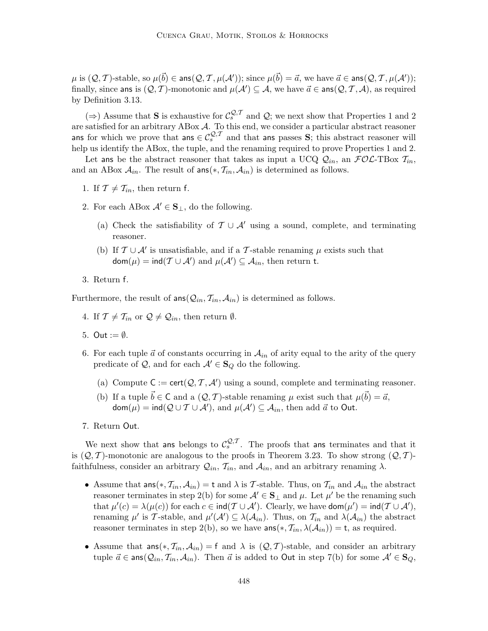$\mu$  is  $(Q, \mathcal{T})$ -stable, so  $\mu(\vec{b}) \in \textsf{ans}(Q, \mathcal{T}, \mu(\mathcal{A}'))$ ; since  $\mu(\vec{b}) = \vec{a}$ , we have  $\vec{a} \in \textsf{ans}(Q, \mathcal{T}, \mu(\mathcal{A}'))$ ; finally, since ans is  $(Q, \mathcal{T})$ -monotonic and  $\mu(\mathcal{A}') \subseteq \mathcal{A}$ , we have  $\vec{a} \in \textsf{ans}(Q, \mathcal{T}, \mathcal{A})$ , as required by Definition 3.13.

(⇒) Assume that S is exhaustive for  $\mathcal{C}_s^{\mathcal{Q},\mathcal{T}}$  and  $\mathcal{Q}$ ; we next show that Properties 1 and 2 are satisfied for an arbitrary ABox A. To this end, we consider a particular abstract reasoner ans for which we prove that ans  $\in \mathcal{C}^{Q,T}_s$  and that ans passes S; this abstract reasoner will help us identify the ABox, the tuple, and the renaming required to prove Properties 1 and 2.

Let ans be the abstract reasoner that takes as input a UCQ  $Q_{in}$ , an  $FOC$ -TBox  $T_{in}$ , and an ABox  $A_{in}$ . The result of ans $(*, \mathcal{T}_{in}, \mathcal{A}_{in})$  is determined as follows.

- 1. If  $\mathcal{T} \neq \mathcal{T}_{in}$ , then return f.
- 2. For each ABox  $\mathcal{A}' \in \mathbf{S}_{\perp}$ , do the following.
	- (a) Check the satisfiability of  $\mathcal{T} \cup \mathcal{A}'$  using a sound, complete, and terminating reasoner.
	- (b) If  $\mathcal{T} \cup \mathcal{A}'$  is unsatisfiable, and if a T-stable renaming  $\mu$  exists such that  $\mathsf{dom}(\mu) = \mathsf{ind}(\mathcal{T} \cup \mathcal{A}') \text{ and } \mu(\mathcal{A}') \subseteq \mathcal{A}_{in}, \text{ then return t.}$
- 3. Return f.

Furthermore, the result of  $ans(Q_{in}, T_{in}, A_{in})$  is determined as follows.

- 4. If  $\mathcal{T} \neq \mathcal{T}_{in}$  or  $\mathcal{Q} \neq \mathcal{Q}_{in}$ , then return  $\emptyset$ .
- 5. Out  $:= \emptyset$ .
- 6. For each tuple  $\vec{a}$  of constants occurring in  $\mathcal{A}_{in}$  of arity equal to the arity of the query predicate of  $\mathcal{Q}$ , and for each  $\mathcal{A}' \in \mathbf{S}_Q$  do the following.
	- (a) Compute  $C := \text{cert}(\mathcal{Q}, \mathcal{T}, \mathcal{A}')$  using a sound, complete and terminating reasoner.
	- (b) If a tuple  $\vec{b} \in \mathsf{C}$  and a  $(\mathcal{Q}, \mathcal{T})$ -stable renaming  $\mu$  exist such that  $\mu(\vec{b}) = \vec{a}$ ,  $\mathsf{dom}(\mu) = \mathsf{ind}(\mathcal{Q} \cup \mathcal{T} \cup \mathcal{A}'), \text{ and } \mu(\mathcal{A}') \subseteq \mathcal{A}_{in}, \text{ then add } \vec{a} \text{ to Out}.$
- 7. Return Out.

We next show that ans belongs to  $\mathcal{C}_{s}^{\mathcal{Q},\mathcal{T}}$ . The proofs that ans terminates and that it is  $(Q, T)$ -monotonic are analogous to the proofs in Theorem 3.23. To show strong  $(Q, T)$ faithfulness, consider an arbitrary  $\mathcal{Q}_{in}$ ,  $\mathcal{T}_{in}$ , and  $\mathcal{A}_{in}$ , and an arbitrary renaming  $\lambda$ .

- Assume that  $ans(*, \mathcal{T}_{in}, \mathcal{A}_{in}) = t$  and  $\lambda$  is T-stable. Thus, on  $\mathcal{T}_{in}$  and  $\mathcal{A}_{in}$  the abstract reasoner terminates in step 2(b) for some  $\mathcal{A}' \in \mathbf{S}_{\perp}$  and  $\mu$ . Let  $\mu'$  be the renaming such that  $\mu'(c) = \lambda(\mu(c))$  for each  $c \in \text{ind}(\mathcal{T} \cup \mathcal{A}')$ . Clearly, we have  $\text{dom}(\mu') = \text{ind}(\mathcal{T} \cup \mathcal{A}')$ , renaming  $\mu'$  is T-stable, and  $\mu'(\mathcal{A}') \subseteq \lambda(\mathcal{A}_{in})$ . Thus, on  $\mathcal{T}_{in}$  and  $\lambda(\mathcal{A}_{in})$  the abstract reasoner terminates in step 2(b), so we have  $\text{ans}(*, \mathcal{I}_i, \lambda(\mathcal{A}_{in})) = \text{t}$ , as required.
- Assume that  $ans(*, \mathcal{T}_{in}, \mathcal{A}_{in}) = f$  and  $\lambda$  is  $(\mathcal{Q}, \mathcal{T})$ -stable, and consider an arbitrary tuple  $\vec{a} \in \text{ans}(Q_{in}, T_{in}, A_{in})$ . Then  $\vec{a}$  is added to Out in step 7(b) for some  $A' \in S_O$ ,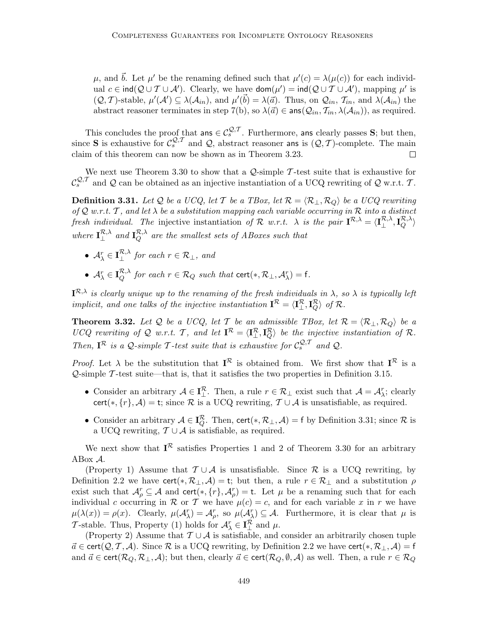μ, and  $\vec{b}$ . Let μ' be the renaming defined such that  $\mu'(c) = \lambda(\mu(c))$  for each individual  $c \in \text{ind}(Q \cup T \cup A')$ . Clearly, we have  $\text{dom}(\mu') = \text{ind}(Q \cup T \cup A')$ , mapping  $\mu'$  is  $(Q, \mathcal{T})$ -stable,  $\mu'(\mathcal{A}') \subseteq \lambda(\mathcal{A}_{in})$ , and  $\mu'(\vec{b}) = \lambda(\vec{a})$ . Thus, on  $\mathcal{Q}_{in}$ ,  $\mathcal{T}_{in}$ , and  $\lambda(\mathcal{A}_{in})$  the abstract reasoner terminates in step 7(b), so  $\lambda(\vec{a}) \in \text{ans}(\mathcal{Q}_{in}, \mathcal{T}_{in}, \lambda(\mathcal{A}_{in}))$ , as required.

This concludes the proof that ans  $\in C_s^{\mathcal{Q},\mathcal{T}}$ . Furthermore, ans clearly passes S; but then, since **S** is exhaustive for  $\mathcal{C}_s^{\mathcal{Q}, \mathcal{T}}$  and  $\mathcal{Q}$ , abstract reasoner ans is  $(\mathcal{Q}, \mathcal{T})$ -complete. The main claim of this theorem can now be shown as in Theorem 3.23. claim of this theorem can now be shown as in Theorem 3.23.

We next use Theorem 3.30 to show that a  $\mathcal{Q}\text{-simple}$  T-test suite that is exhaustive for  $\mathcal{C}_s^{\mathcal{Q},\mathcal{T}}$  and  $\mathcal Q$  can be obtained as an injective instantiation of a UCQ rewriting of  $\mathcal Q$  w.r.t.  $\mathcal{T}$ .

**Definition 3.31.** Let Q be a UCQ, let T be a TBox, let  $\mathcal{R} = \langle \mathcal{R}_+, \mathcal{R}_0 \rangle$  be a UCQ rewriting of Q w.r.t. T, and let  $\lambda$  be a substitution mapping each variable occurring in  $\mathcal R$  into a distinct fresh individual. The injective instantiation of  $\mathcal{R}$  w.r.t.  $\lambda$  is the pair  $\mathbf{I}^{\mathcal{R},\lambda} = \langle \mathbf{I}^{\mathcal{R},\lambda}_\perp, \mathbf{I}^{\mathcal{R},\lambda}_Q \rangle$ where  $I_{\perp}^{\mathcal{R},\lambda}$  and  $I_Q^{\mathcal{R},\lambda}$  are the smallest sets of ABoxes such that

- $\mathcal{A}_{\lambda}^{r} \in \mathbf{I}_{\perp}^{\mathcal{R},\lambda}$  for each  $r \in \mathcal{R}_{\perp}$ , and
- $\mathcal{A}_{\lambda}^r \in \mathbf{I}_{Q}^{\mathcal{R},\lambda}$  for each  $r \in \mathcal{R}_Q$  such that  $\text{cert}(*, \mathcal{R}_\perp, \mathcal{A}_{\lambda}^r) = \mathsf{f}.$

 $I^{\mathcal{R},\lambda}$  is clearly unique up to the renaming of the fresh individuals in  $\lambda$ , so  $\lambda$  is typically left implicit, and one talks of the injective instantiation  $I^{\mathcal{R}} = \langle I^{\mathcal{R}}_{\perp}, I^{\mathcal{R}}_{Q} \rangle$  of  $\mathcal{R}$ .

**Theorem 3.32.** Let Q be a UCQ, let  $\mathcal{T}$  be an admissible TBox, let  $\mathcal{R} = \langle \mathcal{R}_{\perp}, \mathcal{R}_{Q} \rangle$  be a UCQ rewriting of Q w.r.t. T, and let  $I^{\mathcal{R}} = \langle I^{\mathcal{R}}_{\perp}, I^{\mathcal{R}}_{Q} \rangle$  be the injective instantiation of R. Then,  $I^{\mathcal{R}}$  is a Q-simple T-test suite that is exhaustive for  $C_s^{\mathcal{Q},\mathcal{T}}$  and Q.

*Proof.* Let  $\lambda$  be the substitution that  $I^{\mathcal{R}}$  is obtained from. We first show that  $I^{\mathcal{R}}$  is a  $\mathcal{Q}$ -simple  $\mathcal{T}$ -test suite—that is, that it satisfies the two properties in Definition 3.15.

- Consider an arbitrary  $\mathcal{A} \in \mathbf{I}_{\perp}^{\mathcal{R}}$ . Then, a rule  $r \in \mathcal{R}_{\perp}$  exist such that  $\mathcal{A} = \mathcal{A}_{\lambda}^{r}$ ; clearly cert(\*,  $\{r\}$ , A) = t; since R is a UCQ rewriting,  $\mathcal{T} \cup \mathcal{A}$  is unsatisfiable, as required.
- Consider an arbitrary  $A \in \mathbf{I}_{Q}^{\mathcal{R}}$ . Then, cert $(*, \mathcal{R}_{\perp}, \mathcal{A}) = f$  by Definition 3.31; since  $\mathcal{R}$  is a UCQ rewriting,  $T \cup A$  is satisfiable, as required.

We next show that  $I^{\mathcal{R}}$  satisfies Properties 1 and 2 of Theorem 3.30 for an arbitrary ABox A.

(Property 1) Assume that  $\mathcal{T} \cup \mathcal{A}$  is unsatisfiable. Since  $\mathcal{R}$  is a UCQ rewriting, by Definition 2.2 we have cert(\*,  $\mathcal{R}_\perp$ ,  $\mathcal{A}$ ) = t; but then, a rule  $r \in \mathcal{R}_\perp$  and a substitution  $\rho$ exist such that  $\mathcal{A}_{\rho}^r \subseteq \mathcal{A}$  and  $\text{cert}(*, \{r\}, \mathcal{A}_{\rho}^r) = \text{t}$ . Let  $\mu$  be a renaming such that for each individual c occurring in R or T we have  $\mu(c) = c$ , and for each variable x in r we have  $\mu(\lambda(x)) = \rho(x)$ . Clearly,  $\mu(\mathcal{A}_{\lambda}^{r}) = \mathcal{A}_{\rho}^{r}$ , so  $\mu(\mathcal{A}_{\lambda}^{r}) \subseteq \mathcal{A}$ . Furthermore, it is clear that  $\mu$  is T-stable. Thus, Property (1) holds for  $\mathcal{A}_{\lambda}^r \in \mathbf{I}_{\lambda}^{\mathcal{R}}$  and  $\mu$ .

(Property 2) Assume that  $\mathcal{T} \cup \mathcal{A}$  is satisfiable, and consider an arbitrarily chosen tuple  $\vec{a} \in \text{cert}(\mathcal{Q}, \mathcal{T}, \mathcal{A})$ . Since R is a UCQ rewriting, by Definition 2.2 we have cert(\*,  $\mathcal{R}_\perp, \mathcal{A}$ ) = f and  $\vec{a} \in \text{cert}(\mathcal{R}_Q, \mathcal{R}_\perp, \mathcal{A})$ ; but then, clearly  $\vec{a} \in \text{cert}(\mathcal{R}_Q, \emptyset, \mathcal{A})$  as well. Then, a rule  $r \in \mathcal{R}_Q$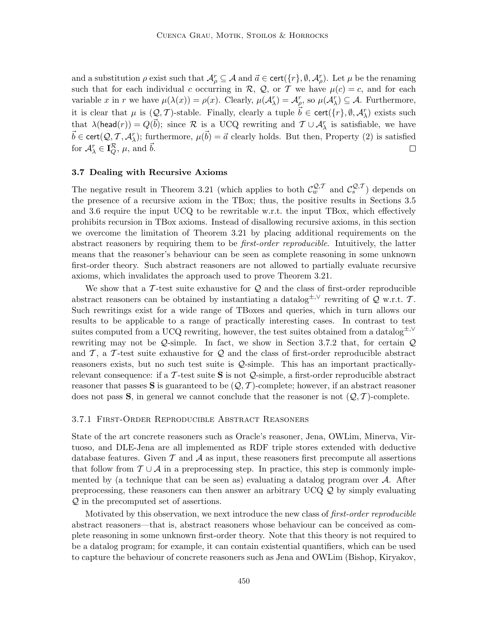and a substitution  $\rho$  exist such that  $\mathcal{A}_\rho^r \subseteq \mathcal{A}$  and  $\vec{a} \in \text{cert}(\{r\}, \emptyset, \mathcal{A}_\rho^r)$ . Let  $\mu$  be the renaming such that for each individual c occurring in R, Q, or T we have  $\mu(c) = c$ , and for each variable x in r we have  $\mu(\lambda(x)) = \rho(x)$ . Clearly,  $\mu(\mathcal{A}_{\lambda}^{r}) = \mathcal{A}_{\rho}^{r}$ , so  $\mu(\mathcal{A}_{\lambda}^{r}) \subseteq \mathcal{A}$ . Furthermore, it is clear that  $\mu$  is  $(Q, \mathcal{T})$ -stable. Finally, clearly a tuple  $\vec{b} \in \text{cert}(\{r\}, \emptyset, \mathcal{A}_{\lambda}^{r})$  exists such that  $\lambda(\text{head}(r)) = Q(\vec{b})$ ; since  $\mathcal R$  is a UCQ rewriting and  $\mathcal T \cup \mathcal A_{\lambda}^r$  is satisfiable, we have  $\vec{b} \in \text{cert}(\mathcal{Q}, \mathcal{T}, \mathcal{A}_{\lambda}^r);$  furthermore,  $\mu(\vec{b}) = \vec{a}$  clearly holds. But then, Property (2) is satisfied for  $\mathcal{A}_{\lambda}^{r} \in \mathbf{I}_{Q}^{\mathcal{R}}, \mu$ , and  $\vec{b}$ .  $\Box$ 

### 3.7 Dealing with Recursive Axioms

The negative result in Theorem 3.21 (which applies to both  $\mathcal{C}_w^{Q,\mathcal{T}}$  and  $\mathcal{C}_s^{Q,\mathcal{T}}$ ) depends on the presence of a recursive axiom in the TBox; thus, the positive results in Sections 3.5 and 3.6 require the input UCQ to be rewritable w.r.t. the input TBox, which effectively prohibits recursion in TBox axioms. Instead of disallowing recursive axioms, in this section we overcome the limitation of Theorem 3.21 by placing additional requirements on the abstract reasoners by requiring them to be first-order reproducible. Intuitively, the latter means that the reasoner's behaviour can be seen as complete reasoning in some unknown first-order theory. Such abstract reasoners are not allowed to partially evaluate recursive axioms, which invalidates the approach used to prove Theorem 3.21.

We show that a  $\mathcal T$ -test suite exhaustive for  $\mathcal Q$  and the class of first-order reproducible abstract reasoners can be obtained by instantiating a datalog<sup> $\pm$ ,∨</sup> rewriting of Q w.r.t. T. Such rewritings exist for a wide range of TBoxes and queries, which in turn allows our results to be applicable to a range of practically interesting cases. In contrast to test suites computed from a UCQ rewriting, however, the test suites obtained from a datalog<sup>±,∨</sup> rewriting may not be  $Q$ -simple. In fact, we show in Section 3.7.2 that, for certain  $Q$ and  $\mathcal{T}$ , a  $\mathcal{T}$ -test suite exhaustive for  $\mathcal{Q}$  and the class of first-order reproducible abstract reasoners exists, but no such test suite is Q-simple. This has an important practicallyrelevant consequence: if a  $\mathcal T$ -test suite  $S$  is not  $\mathcal Q$ -simple, a first-order reproducible abstract reasoner that passes S is guaranteed to be  $(Q, \mathcal{T})$ -complete; however, if an abstract reasoner does not pass  $S$ , in general we cannot conclude that the reasoner is not  $(Q, T)$ -complete.

#### 3.7.1 First-Order Reproducible Abstract Reasoners

State of the art concrete reasoners such as Oracle's reasoner, Jena, OWLim, Minerva, Virtuoso, and DLE-Jena are all implemented as RDF triple stores extended with deductive database features. Given  $\mathcal T$  and  $\mathcal A$  as input, these reasoners first precompute all assertions that follow from  $\mathcal{T} \cup \mathcal{A}$  in a preprocessing step. In practice, this step is commonly implemented by (a technique that can be seen as) evaluating a datalog program over  $A$ . After preprocessing, these reasoners can then answer an arbitrary UCQ Q by simply evaluating Q in the precomputed set of assertions.

Motivated by this observation, we next introduce the new class of first-order reproducible abstract reasoners—that is, abstract reasoners whose behaviour can be conceived as complete reasoning in some unknown first-order theory. Note that this theory is not required to be a datalog program; for example, it can contain existential quantifiers, which can be used to capture the behaviour of concrete reasoners such as Jena and OWLim (Bishop, Kiryakov,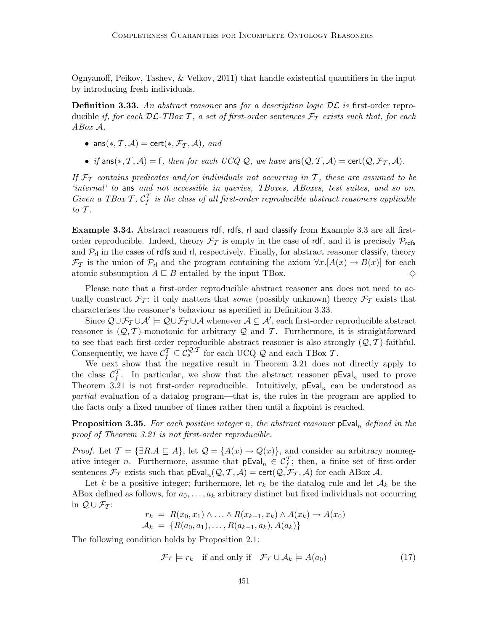Ognyanoff, Peikov, Tashev, & Velkov, 2011) that handle existential quantifiers in the input by introducing fresh individuals.

**Definition 3.33.** An abstract reasoner ans for a description logic  $\mathcal{DL}$  is first-order reproducible if, for each  $D\mathcal{L}\text{-}TBox\mathcal{T}$ , a set of first-order sentences  $\mathcal{F}_{\mathcal{T}}$  exists such that, for each ABox A,

- ans $(*, \mathcal{T}, \mathcal{A}) = \text{cert}(*, \mathcal{F}_{\mathcal{T}}, \mathcal{A}),$  and
- if ans $(*, \mathcal{T}, \mathcal{A}) = f$ , then for each UCQ Q, we have ans $(\mathcal{Q}, \mathcal{T}, \mathcal{A}) = \text{cert}(\mathcal{Q}, \mathcal{F}_{\mathcal{T}}, \mathcal{A})$ .

If  $\mathcal{F}_{\mathcal{T}}$  contains predicates and/or individuals not occurring in T, these are assumed to be 'internal' to ans and not accessible in queries, TBoxes, ABoxes, test suites, and so on. Given a TBox  $\mathcal{T}, \mathcal{C}_f^T$  is the class of all first-order reproducible abstract reasoners applicable to  $\mathcal T$ .

Example 3.34. Abstract reasoners rdf, rdfs, rl and classify from Example 3.3 are all firstorder reproducible. Indeed, theory  $\mathcal{F}_{\mathcal{T}}$  is empty in the case of rdf, and it is precisely  $\mathcal{P}_{\text{rdfs}}$ and  $\mathcal{P}_{\mathsf{r}1}$  in the cases of rdfs and rl, respectively. Finally, for abstract reasoner classify, theory  $\mathcal{F}_{\mathcal{T}}$  is the union of  $\mathcal{P}_{\mathsf{rl}}$  and the program containing the axiom  $\forall x. [A(x) \rightarrow B(x)]$  for each atomic subsumption  $A \sqsubset B$  entailed by the input TBox. atomic subsumption  $A \subseteq B$  entailed by the input TBox.

Please note that a first-order reproducible abstract reasoner ans does not need to actually construct  $\mathcal{F}_{\mathcal{T}}$ : it only matters that some (possibly unknown) theory  $\mathcal{F}_{\mathcal{T}}$  exists that characterises the reasoner's behaviour as specified in Definition 3.33.

Since  $\mathcal{Q} \cup \mathcal{F}_{\mathcal{T}} \cup \mathcal{A}' \models \mathcal{Q} \cup \mathcal{F}_{\mathcal{T}} \cup \mathcal{A}$  whenever  $\mathcal{A} \subseteq \mathcal{A}'$ , each first-order reproducible abstract reasoner is  $(Q, T)$ -monotonic for arbitrary Q and T. Furthermore, it is straightforward to see that each first-order reproducible abstract reasoner is also strongly  $(Q, T)$ -faithful. Consequently, we have  $\mathcal{C}_f^{\mathcal{T}} \subseteq \mathcal{C}_s^{\mathcal{Q}, \mathcal{T}}$  for each UCQ  $\mathcal{Q}$  and each TBox  $\mathcal{T}$ .

We next show that the negative result in Theorem 3.21 does not directly apply to the class  $\mathcal{C}_f^T$ . In particular, we show that the abstract reasoner  $pEval_n$  used to prove Theorem 3.21 is not first-order reproducible. Intuitively,  $pEval_n$  can be understood as partial evaluation of a datalog program—that is, the rules in the program are applied to the facts only a fixed number of times rather then until a fixpoint is reached.

**Proposition 3.35.** For each positive integer n, the abstract reasoner  $pEval_n$  defined in the proof of Theorem 3.21 is not first-order reproducible.

*Proof.* Let  $\mathcal{T} = {\exists R.A \sqsubseteq A}$ , let  $\mathcal{Q} = {\{A(x) \rightarrow Q(x)\}}$ , and consider an arbitrary nonnegative integer *n*. Furthermore, assume that  $pEval_n \in C_f^T$ ; then, a finite set of first-order sentences  $\mathcal{F}_{\mathcal{T}}$  exists such that  $pEval_n(\mathcal{Q}, \mathcal{T}, \mathcal{A}) = cert(\mathcal{Q}, \mathcal{F}_{\mathcal{T}}, \mathcal{A})$  for each ABox  $\mathcal{A}$ .

Let k be a positive integer; furthermore, let  $r_k$  be the datalog rule and let  $\mathcal{A}_k$  be the ABox defined as follows, for  $a_0, \ldots, a_k$  arbitrary distinct but fixed individuals not occurring in  $\mathcal{Q} \cup \mathcal{F}_{\mathcal{T}}$ :

$$
r_k = R(x_0, x_1) \land \ldots \land R(x_{k-1}, x_k) \land A(x_k) \to A(x_0)
$$
  

$$
\mathcal{A}_k = \{R(a_0, a_1), \ldots, R(a_{k-1}, a_k), A(a_k)\}
$$

The following condition holds by Proposition 2.1:

$$
\mathcal{F}_{\mathcal{T}} \models r_k \quad \text{if and only if} \quad \mathcal{F}_{\mathcal{T}} \cup \mathcal{A}_k \models A(a_0) \tag{17}
$$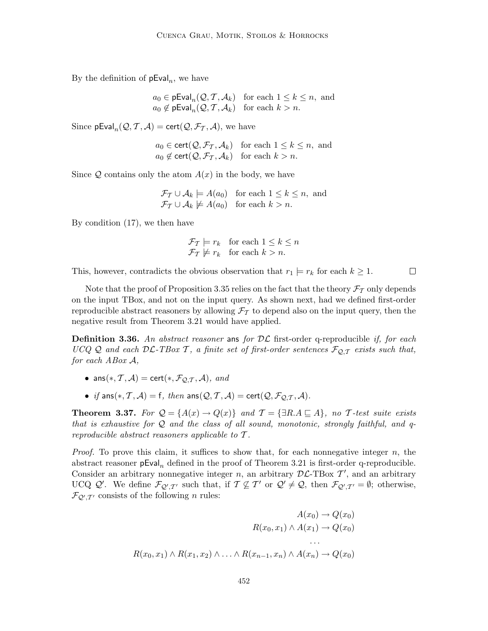By the definition of  $pEval_n$ , we have

 $a_0 \in \text{pEval}_n(\mathcal{Q}, \mathcal{T}, \mathcal{A}_k)$  for each  $1 \leq k \leq n$ , and  $a_0 \notin \mathsf{pEval}_n(\mathcal{Q}, \mathcal{T}, \mathcal{A}_k)$  for each  $k > n$ .

Since  $\mathsf{pEval}_n(\mathcal{Q}, \mathcal{T}, \mathcal{A}) = \mathsf{cert}(\mathcal{Q}, \mathcal{F}_{\mathcal{T}}, \mathcal{A}),$  we have

$$
a_0 \in \text{cert}(\mathcal{Q}, \mathcal{F}_{\mathcal{T}}, \mathcal{A}_k)
$$
 for each  $1 \le k \le n$ , and  
 $a_0 \notin \text{cert}(\mathcal{Q}, \mathcal{F}_{\mathcal{T}}, \mathcal{A}_k)$  for each  $k > n$ .

Since  $Q$  contains only the atom  $A(x)$  in the body, we have

$$
\mathcal{F}_{\mathcal{T}} \cup \mathcal{A}_{k} \models A(a_{0}) \text{ for each } 1 \leq k \leq n, \text{ and}
$$
  

$$
\mathcal{F}_{\mathcal{T}} \cup \mathcal{A}_{k} \not\models A(a_{0}) \text{ for each } k > n.
$$

By condition (17), we then have

$$
\mathcal{F}_{\mathcal{T}} \models r_k \quad \text{for each } 1 \le k \le n
$$
  

$$
\mathcal{F}_{\mathcal{T}} \not\models r_k \quad \text{for each } k > n.
$$

This, however, contradicts the obvious observation that  $r_1 \models r_k$  for each  $k \geq 1$ .

 $\Box$ 

Note that the proof of Proposition 3.35 relies on the fact that the theory  $\mathcal{F}_{\mathcal{T}}$  only depends on the input TBox, and not on the input query. As shown next, had we defined first-order reproducible abstract reasoners by allowing  $\mathcal{F}_{\mathcal{T}}$  to depend also on the input query, then the negative result from Theorem 3.21 would have applied.

**Definition 3.36.** An abstract reasoner ans for  $\mathcal{DL}$  first-order q-reproducible if, for each UCQ Q and each  $D\mathcal{L}\text{-}TBox\ \mathcal{T}$ , a finite set of first-order sentences  $\mathcal{F}_{\mathcal{Q},\mathcal{T}}$  exists such that, for each ABox A,

- ans $(*, \mathcal{T}, \mathcal{A}) = \text{cert}(*, \mathcal{F}_{\mathcal{O},\mathcal{T}}, \mathcal{A}),$  and
- if ans $(*, \mathcal{T}, \mathcal{A}) = f$ , then ans $(\mathcal{Q}, \mathcal{T}, \mathcal{A}) = \text{cert}(\mathcal{Q}, \mathcal{F}_{\mathcal{Q}, \mathcal{T}}, \mathcal{A}).$

**Theorem 3.37.** For  $Q = \{A(x) \rightarrow Q(x)\}\$ and  $T = \{\exists R.A \sqsubseteq A\}$ , no T-test suite exists that is exhaustive for  $Q$  and the class of all sound, monotonic, strongly faithful, and qreproducible abstract reasoners applicable to T .

*Proof.* To prove this claim, it suffices to show that, for each nonnegative integer  $n$ , the abstract reasoner  $pEval_n$  defined in the proof of Theorem 3.21 is first-order q-reproducible. Consider an arbitrary nonnegative integer n, an arbitrary  $\mathcal{DL}\text{-}\text{TBox }\mathcal{T}'$ , and an arbitrary UCQ  $\mathcal{Q}'$ . We define  $\mathcal{F}_{\mathcal{Q}',\mathcal{T}'}$  such that, if  $\mathcal{T} \not\subseteq \mathcal{T}'$  or  $\mathcal{Q}' \neq \mathcal{Q}$ , then  $\mathcal{F}_{\mathcal{Q}',\mathcal{T}'} = \emptyset$ ; otherwise,  $\mathcal{F}_{Q',T'}$  consists of the following *n* rules:

$$
A(x_0) \to Q(x_0)
$$
  
\n
$$
R(x_0, x_1) \land A(x_1) \to Q(x_0)
$$
  
\n...  
\n
$$
R(x_0, x_1) \land R(x_1, x_2) \land \dots \land R(x_{n-1}, x_n) \land A(x_n) \to Q(x_0)
$$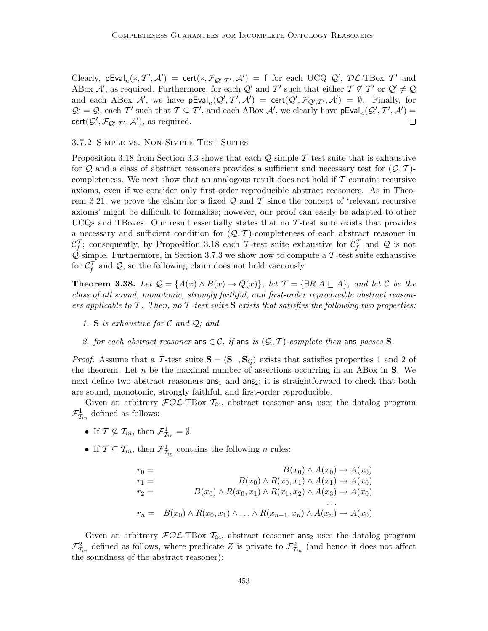Clearly,  $pEval_n(*, T', \mathcal{A}') = cert(*, \mathcal{F}_{\mathcal{Q}', \mathcal{T}'}, \mathcal{A}') = f$  for each UCQ  $\mathcal{Q}', \mathcal{DL}\text{-TBox } T'$  and ABox  $\mathcal{A}'$ , as required. Furthermore, for each  $\mathcal{Q}'$  and  $\mathcal{T}'$  such that either  $\mathcal{T} \not\subseteq \mathcal{T}'$  or  $\mathcal{Q}' \neq \mathcal{Q}$ and each ABox  $\mathcal{A}'$ , we have  $pEval_n(\mathcal{Q}', \mathcal{T}', \mathcal{A}') = cert(\mathcal{Q}', \mathcal{F}_{\mathcal{Q}', \mathcal{T}'}, \mathcal{A}') = \emptyset$ . Finally, for  $\mathcal{Q}' = \mathcal{Q}$ , each  $\mathcal{T}'$  such that  $\mathcal{T} \subseteq \mathcal{T}'$ , and each ABox  $\mathcal{A}'$ , we clearly have  $pEval_n(\mathcal{Q}', \mathcal{T}', \mathcal{A}') =$  $\mathsf{cert}(\mathcal{Q}', \mathcal{F}_{\mathcal{Q}', \mathcal{T}'}, \mathcal{A}'),$  as required.  $\Box$ 

### 3.7.2 Simple vs. Non-Simple Test Suites

Proposition 3.18 from Section 3.3 shows that each  $\mathcal{Q}$ -simple T-test suite that is exhaustive for Q and a class of abstract reasoners provides a sufficient and necessary test for  $(Q, \mathcal{T})$ completeness. We next show that an analogous result does not hold if  $\mathcal T$  contains recursive axioms, even if we consider only first-order reproducible abstract reasoners. As in Theorem 3.21, we prove the claim for a fixed  $\mathcal Q$  and  $\mathcal T$  since the concept of 'relevant recursive axioms' might be difficult to formalise; however, our proof can easily be adapted to other UCQs and TBoxes. Our result essentially states that no  $\mathcal{T}$ -test suite exists that provides a necessary and sufficient condition for  $(Q, T)$ -completeness of each abstract reasoner in  $\mathcal{C}_f^T$ ; consequently, by Proposition 3.18 each T-test suite exhaustive for  $\mathcal{C}_f^T$  and Q is not  $\mathcal{Q}$ -simple. Furthermore, in Section 3.7.3 we show how to compute a T-test suite exhaustive for  $C_f^T$  and Q, so the following claim does not hold vacuously.

**Theorem 3.38.** Let  $\mathcal{Q} = \{A(x) \land B(x) \rightarrow Q(x)\}\$ , let  $\mathcal{T} = \{\exists R.A \sqsubseteq A\}$ , and let C be the class of all sound, monotonic, strongly faithful, and first-order reproducible abstract reasoners applicable to  $\mathcal T$ . Then, no  $\mathcal T$ -test suite  $S$  exists that satisfies the following two properties:

- 1. S is exhaustive for  $\mathcal C$  and  $\mathcal Q$ ; and
- 2. for each abstract reasoner ans  $\in \mathcal{C}$ , if ans is  $(Q, \mathcal{T})$ -complete then ans passes **S**.

*Proof.* Assume that a T-test suite  $S = \langle S_{\perp}, S_{\mathcal{Q}} \rangle$  exists that satisfies properties 1 and 2 of the theorem. Let  $n$  be the maximal number of assertions occurring in an ABox in  $S$ . We next define two abstract reasoners  $ans<sub>1</sub>$  and  $ans<sub>2</sub>$ ; it is straightforward to check that both are sound, monotonic, strongly faithful, and first-order reproducible.

Given an arbitrary  $FOL$ -TBox  $T_{in}$ , abstract reasoner ans<sub>1</sub> uses the datalog program  $\mathcal{F}^1_{\mathcal{T}_{in}}$  defined as follows:

- If  $\mathcal{T} \nsubseteq \mathcal{T}_{in}$ , then  $\mathcal{F}^1_{\mathcal{T}_{in}} = \emptyset$ .
- If  $\mathcal{T} \subseteq \mathcal{T}_{in}$ , then  $\mathcal{F}^1_{\mathcal{T}_{in}}$  contains the following *n* rules:

$$
r_0 = B(x_0) \wedge A(x_0) \rightarrow A(x_0)
$$
  
\n
$$
r_1 = B(x_0) \wedge R(x_0, x_1) \wedge A(x_1) \rightarrow A(x_0)
$$
  
\n
$$
r_2 = B(x_0) \wedge R(x_0, x_1) \wedge R(x_1, x_2) \wedge A(x_3) \rightarrow A(x_0)
$$
  
\n
$$
\vdots
$$
  
\n
$$
r_n = B(x_0) \wedge R(x_0, x_1) \wedge \ldots \wedge R(x_{n-1}, x_n) \wedge A(x_n) \rightarrow A(x_0)
$$

Given an arbitrary  $FOL-TDox$   $T_{in}$ , abstract reasoner ans<sub>2</sub> uses the datalog program  $\mathcal{F}_{\mathcal{I}_{in}}^2$  defined as follows, where predicate Z is private to  $\mathcal{F}_{\mathcal{I}_{in}}^2$  (and hence it does not affect the soundness of the abstract reasoner):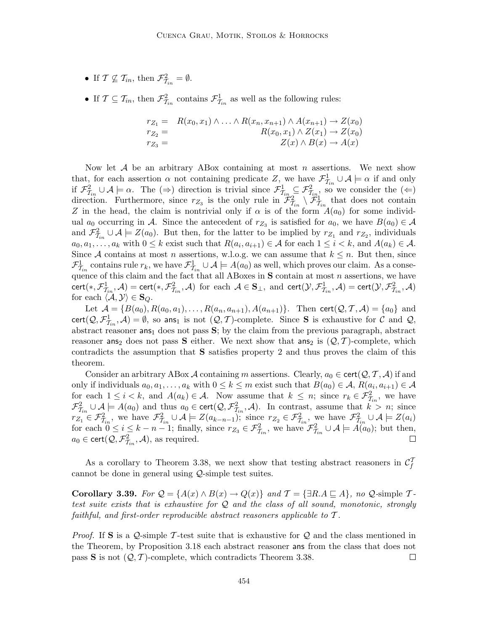- If  $\mathcal{T} \nsubseteq \mathcal{T}_{in}$ , then  $\mathcal{F}^2_{\mathcal{T}_{in}} = \emptyset$ .
- If  $\mathcal{T} \subseteq \mathcal{T}_{in}$ , then  $\mathcal{F}_{\mathcal{T}_{in}}^2$  contains  $\mathcal{F}_{\mathcal{T}_{in}}^1$  as well as the following rules:

$$
r_{Z_1} = R(x_0, x_1) \wedge \ldots \wedge R(x_n, x_{n+1}) \wedge A(x_{n+1}) \rightarrow Z(x_0)
$$
  
\n
$$
r_{Z_2} = R(x_0, x_1) \wedge Z(x_1) \rightarrow Z(x_0)
$$
  
\n
$$
r_{Z_3} = Z(x) \wedge B(x) \rightarrow A(x)
$$

Now let  $A$  be an arbitrary ABox containing at most n assertions. We next show that, for each assertion  $\alpha$  not containing predicate  $Z$ , we have  $\mathcal{F}^1_{\mathcal{I}_{in}} \cup \mathcal{A} \models \alpha$  if and only if  $\mathcal{F}^2_{\mathcal{I}_{in}} \cup \mathcal{A} \models \alpha$ . The (⇒) direction is trivial since  $\mathcal{F}^1_{\mathcal{I}_{in}} \subseteq \mathcal{F}^2_{\mathcal{I}_{in}}$ , so we consider the (∈) direction. Furthermore, since  $r_{Z_3}$  is the only rule in  $\mathcal{F}^2_{\mathcal{I}_{in}} \setminus \mathcal{F}^1_{\mathcal{I}_{in}}$  that does not contain Z in the head, the claim is nontrivial only if  $\alpha$  is of the form  $A(a_0)$  for some individual  $a_0$  occurring in A. Since the antecedent of  $r_{Z_3}$  is satisfied for  $a_0$ , we have  $B(a_0) \in \mathcal{A}$ and  $\mathcal{F}_{\mathcal{I}_{in}}^2 \cup \mathcal{A} \models Z(a_0)$ . But then, for the latter to be implied by  $r_{Z_1}$  and  $r_{Z_2}$ , individuals  $a_0, a_1, \ldots, a_k$  with  $0 \leq k$  exist such that  $R(a_i, a_{i+1}) \in \mathcal{A}$  for each  $1 \leq i < k$ , and  $A(a_k) \in \mathcal{A}$ . Since A contains at most n assertions, w.l.o.g. we can assume that  $k \leq n$ . But then, since  $\mathcal{F}^1_{\mathcal{I}_{in}}$  contains rule  $r_k$ , we have  $\mathcal{F}^1_{\mathcal{I}_{in}} \cup \mathcal{A} \models A(a_0)$  as well, which proves our claim. As a consequence of this claim and the fact that all ABoxes in S contain at most n assertions, we have  $\text{cert}(*, \mathcal{F}^1_{\mathcal{I}_in}, \mathcal{A}) = \text{cert}(*, \mathcal{F}^2_{\mathcal{I}_in}, \mathcal{A}) \text{ for each } \mathcal{A} \in \mathbf{S}_{\perp}, \text{ and } \text{cert}(\mathcal{Y}, \mathcal{F}^1_{\mathcal{I}_in}, \mathcal{A}) = \text{cert}(\mathcal{Y}, \mathcal{F}^2_{\mathcal{I}_in}, \mathcal{A})$ for each  $\langle \mathcal{A}, \mathcal{Y} \rangle \in \mathbf{S}_Q$ .

Let  $A = \{B(a_0), R(a_0, a_1), \ldots, R(a_n, a_{n+1}), A(a_{n+1})\}$ . Then cert $(Q, \mathcal{T}, \mathcal{A}) = \{a_0\}$  and cert( $Q, \mathcal{F}_{\tau_{in}}^1, \mathcal{A}$ ) =  $\emptyset$ , so ans<sub>1</sub> is not  $(Q, \mathcal{T})$ -complete. Since **S** is exhaustive for C and Q, abstract reasoner  $\textsf{ans}_1$  does not pass  $S$ ; by the claim from the previous paragraph, abstract reasoner ans<sub>2</sub> does not pass S either. We next show that ans<sub>2</sub> is  $(Q, \mathcal{T})$ -complete, which contradicts the assumption that S satisfies property 2 and thus proves the claim of this theorem.

Consider an arbitrary ABox A containing m assertions. Clearly,  $a_0 \in \text{cert}(\mathcal{Q}, \mathcal{T}, \mathcal{A})$  if and only if individuals  $a_0, a_1, \ldots, a_k$  with  $0 \leq k \leq m$  exist such that  $B(a_0) \in \mathcal{A}, R(a_i, a_{i+1}) \in \mathcal{A}$ for each  $1 \leq i < k$ , and  $A(a_k) \in \mathcal{A}$ . Now assume that  $k \leq n$ ; since  $r_k \in \mathcal{F}_{\mathcal{I}_{in}}^2$ , we have  $\mathcal{F}_{\mathcal{I}_{in}}^2 \cup \mathcal{A} \models A(a_0)$  and thus  $a_0 \in \text{cert}(\mathcal{Q}, \mathcal{F}_{\mathcal{I}_{in}}^2, \mathcal{A})$ . In contrast, assume that  $k > n$ ; since  $r_{\mathcal{I}_1} \in \mathcal{F}_{\mathcal{I}_{in}}^2$ , we have  $\mathcal{F}_{\mathcal{I}_{in}}^2 \cup \mathcal{A} \models Z(a_{k-n-1})$ ; since  $r_{\mathcal{I}_2} \in \mathcal{F}_{\mathcal{I}_{in}}^2$ , we have  $\mathcal{F}_{\mathcal{I}_{in}}^2 \cup \mathcal{A} \models Z(a_i)$ for each  $0 \le i \le k - n - 1$ ; finally, since  $r_{Z_3} \in \mathcal{F}_{\mathcal{I}_{in}}^2$ , we have  $\mathcal{F}_{\mathcal{I}_{in}}^2 \cup \mathcal{A} \models A(a_0)$ ; but then,  $a_0 \in \text{cert}(\mathcal{Q}, \mathcal{F}_{\mathcal{I}_in}^2, \mathcal{A}),$  as required.

As a corollary to Theorem 3.38, we next show that testing abstract reasoners in  $\mathcal{C}_f^T$ cannot be done in general using Q-simple test suites.

Corollary 3.39. For  $\mathcal{Q} = \{A(x) \wedge B(x) \to Q(x)\}\$  and  $\mathcal{T} = \{\exists R.A \sqsubseteq A\}$ , no  $\mathcal{Q}\text{-simple }\mathcal{T}\text{-}$ test suite exists that is exhaustive for Q and the class of all sound, monotonic, strongly faithful, and first-order reproducible abstract reasoners applicable to T .

*Proof.* If S is a Q-simple T-test suite that is exhaustive for Q and the class mentioned in the Theorem, by Proposition 3.18 each abstract reasoner ans from the class that does not pass S is not  $(Q, T)$ -complete, which contradicts Theorem 3.38.  $\Box$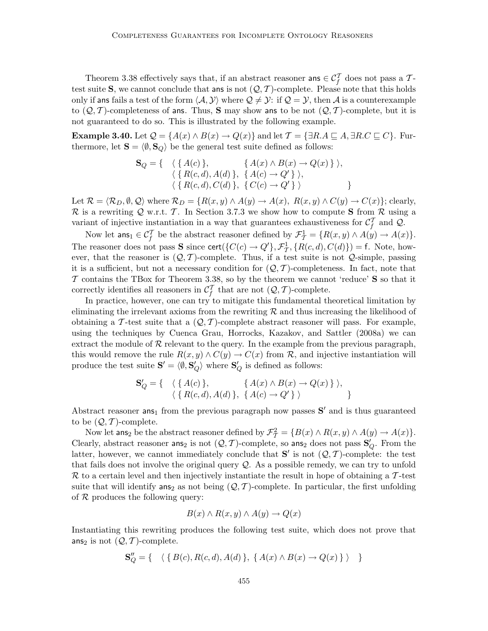Theorem 3.38 effectively says that, if an abstract reasoner ans  $\in \mathcal{C}_f^T$  does not pass a  $\mathcal{T}$ test suite S, we cannot conclude that ans is not  $(Q, \mathcal{T})$ -complete. Please note that this holds only if ans fails a test of the form  $\langle A, Y \rangle$  where  $\mathcal{Q} \neq \mathcal{Y}$ : if  $\mathcal{Q} = \mathcal{Y}$ , then A is a counterexample to  $(Q, T)$ -completeness of ans. Thus, S may show ans to be not  $(Q, T)$ -complete, but it is not guaranteed to do so. This is illustrated by the following example.

**Example 3.40.** Let  $Q = \{A(x) \wedge B(x) \to Q(x)\}\$ and let  $\mathcal{T} = \{\exists R.A \sqsubseteq A, \exists R.C \sqsubseteq C\}$ . Furthermore, let  $\mathbf{S} = \langle \emptyset, \mathbf{S}_Q \rangle$  be the general test suite defined as follows:

$$
\mathbf{S}_{Q} = \{ \langle \{ A(c) \}, \{ A(x) \land B(x) \to Q(x) \} \rangle, \\ \langle \{ R(c,d), A(d) \}, \{ A(c) \to Q' \} \rangle, \\ \langle \{ R(c,d), C(d) \}, \{ C(c) \to Q' \} \rangle \}
$$

Let  $\mathcal{R} = \langle \mathcal{R}_D, \emptyset, \mathcal{Q} \rangle$  where  $\mathcal{R}_D = \{ R(x, y) \land A(y) \rightarrow A(x), R(x, y) \land C(y) \rightarrow C(x) \};$  clearly,  $\mathcal R$  is a rewriting Q w.r.t. T. In Section 3.7.3 we show how to compute S from  $\mathcal R$  using a variant of injective instantiation in a way that guarantees exhaustiveness for  $\mathcal{C}_f^T$  and  $\mathcal{Q}$ .

Now let  $\textsf{ans}_1 \in \mathcal{C}_f^{\mathcal{T}}$  be the abstract reasoner defined by  $\mathcal{F}_{\mathcal{T}}^1 = \{R(x, y) \land A(y) \to A(x)\}.$ The reasoner does not pass **S** since cert( $\{C(c) \rightarrow Q'\}$ ,  $\mathcal{F}_{\mathcal{T}}^1$ ,  $\{R(c, d), C(d)\}$ ) = f. Note, however, that the reasoner is  $(Q, \mathcal{T})$ -complete. Thus, if a test suite is not  $Q$ -simple, passing it is a sufficient, but not a necessary condition for  $(Q, \mathcal{T})$ -completeness. In fact, note that  $\mathcal T$  contains the TBox for Theorem 3.38, so by the theorem we cannot 'reduce'  $S$  so that it correctly identifies all reasoners in  $\mathcal{C}_f^T$  that are not  $(Q, \mathcal{T})$ -complete.

In practice, however, one can try to mitigate this fundamental theoretical limitation by eliminating the irrelevant axioms from the rewriting  $R$  and thus increasing the likelihood of obtaining a T-test suite that a  $(Q, T)$ -complete abstract reasoner will pass. For example, using the techniques by Cuenca Grau, Horrocks, Kazakov, and Sattler (2008a) we can extract the module of  $R$  relevant to the query. In the example from the previous paragraph, this would remove the rule  $R(x, y) \wedge C(y) \rightarrow C(x)$  from R, and injective instantiation will produce the test suite  $S' = \langle \emptyset, S'_Q \rangle$  where  $S'_Q$  is defined as follows:

$$
\mathbf{S}'_Q = \{ \langle \{ A(c) \}, \{ A(x) \land B(x) \rightarrow Q(x) \} \rangle, \\ \langle \{ R(c,d), A(d) \}, \{ A(c) \rightarrow Q' \} \rangle \}
$$

Abstract reasoner  $\text{ans}_1$  from the previous paragraph now passes  $S'$  and is thus guaranteed to be  $(Q, T)$ -complete.

Now let ans<sub>2</sub> be the abstract reasoner defined by  $\mathcal{F}_T^2 = \{B(x) \land R(x, y) \land A(y) \rightarrow A(x)\}.$ Clearly, abstract reasoner ans<sub>2</sub> is not  $(Q, \mathcal{T})$ -complete, so ans<sub>2</sub> does not pass  $S'_{Q}$ . From the latter, however, we cannot immediately conclude that  $S'$  is not  $(Q, \mathcal{T})$ -complete: the test that fails does not involve the original query Q. As a possible remedy, we can try to unfold  $\mathcal R$  to a certain level and then injectively instantiate the result in hope of obtaining a T-test suite that will identify ans<sub>2</sub> as not being  $(Q, T)$ -complete. In particular, the first unfolding of  $R$  produces the following query:

$$
B(x) \land R(x, y) \land A(y) \to Q(x)
$$

Instantiating this rewriting produces the following test suite, which does not prove that ans<sub>2</sub> is not  $(Q, T)$ -complete.

$$
\mathbf{S}_{Q}'' = \{ \langle \{ B(c), R(c, d), A(d) \}, \{ A(x) \wedge B(x) \to Q(x) \} \rangle \}
$$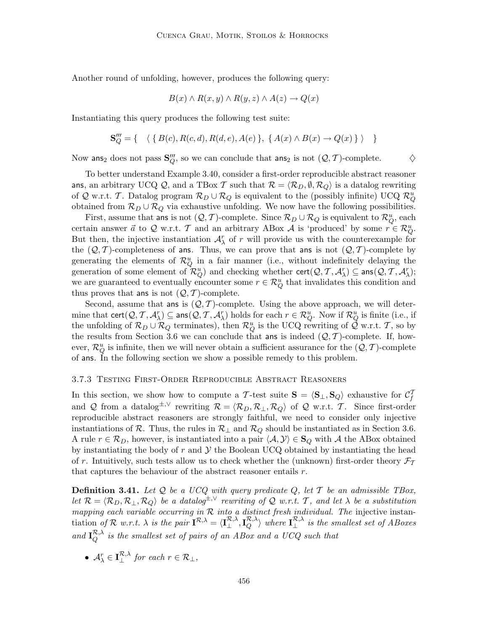Another round of unfolding, however, produces the following query:

$$
B(x) \wedge R(x, y) \wedge R(y, z) \wedge A(z) \rightarrow Q(x)
$$

Instantiating this query produces the following test suite:

$$
\mathbf{S}_{Q}''' = \{ \langle \{ B(c), R(c, d), R(d, e), A(e) \}, \{ A(x) \wedge B(x) \rightarrow Q(x) \} \rangle \}
$$

Now ans<sub>2</sub> does not pass  $\mathbf{S}_{Q}'''$ , so we can conclude that ans<sub>2</sub> is not  $(Q, \mathcal{T})$ -complete.  $\diamondsuit$ 

To better understand Example 3.40, consider a first-order reproducible abstract reasoner ans, an arbitrary UCQ Q, and a TBox T such that  $\mathcal{R} = \langle \mathcal{R}_D, \emptyset, \mathcal{R}_Q \rangle$  is a datalog rewriting of Q w.r.t. T. Datalog program  $\mathcal{R}_D \cup \mathcal{R}_Q$  is equivalent to the (possibly infinite) UCQ  $\mathcal{R}_Q^u$ obtained from  $\mathcal{R}_D \cup \mathcal{R}_Q$  via exhaustive unfolding. We now have the following possibilities.

First, assume that ans is not  $(Q, \mathcal{T})$ -complete. Since  $\mathcal{R}_D \cup \mathcal{R}_Q$  is equivalent to  $\mathcal{R}_Q^u$ , each certain answer  $\vec{a}$  to Q w.r.t. T and an arbitrary ABox A is 'produced' by some  $r \in \mathcal{R}_{Q}^{u}$ . But then, the injective instantiation  $\mathcal{A}_{\lambda}^{r}$  of r will provide us with the counterexample for the  $(Q, T)$ -completeness of ans. Thus, we can prove that ans is not  $(Q, T)$ -complete by generating the elements of  $\mathcal{R}_Q^u$  in a fair manner (i.e., without indefinitely delaying the generation of some element of  $\mathcal{R}_{Q}^{u}$ ) and checking whether  $\mathsf{cert}(\mathcal{Q}, \mathcal{T}, \mathcal{A}_{\lambda}^{r}) \subseteq \mathsf{ans}(\mathcal{Q}, \mathcal{T}, \mathcal{A}_{\lambda}^{r});$ we are guaranteed to eventually encounter some  $r \in \mathcal{R}_Q^u$  that invalidates this condition and thus proves that ans is not  $(Q, T)$ -complete.

Second, assume that ans is  $(Q, \mathcal{T})$ -complete. Using the above approach, we will determine that  $\text{cert}(\mathcal{Q}, \mathcal{T}, \mathcal{A}_\lambda^r) \subseteq \text{ans}(\mathcal{Q}, \mathcal{T}, \mathcal{A}_\lambda^r)$  holds for each  $r \in \mathcal{R}_Q^u$ . Now if  $\mathcal{R}_Q^u$  is finite (i.e., if the unfolding of  $\mathcal{R}_D \cup \mathcal{R}_Q$  terminates), then  $\mathcal{R}_Q^u$  is the UCQ rewriting of  $\mathcal{Q}$  w.r.t. T, so by the results from Section 3.6 we can conclude that ans is indeed  $(Q, \mathcal{T})$ -complete. If, however,  $\mathcal{R}_Q^u$  is infinite, then we will never obtain a sufficient assurance for the  $(\mathcal{Q}, \mathcal{T})$ -complete of ans. In the following section we show a possible remedy to this problem.

#### 3.7.3 Testing First-Order Reproducible Abstract Reasoners

In this section, we show how to compute a T-test suite  $S = \langle S_{\perp}, S_Q \rangle$  exhaustive for  $C_f^T$ and Q from a datalog<sup>±,∨</sup> rewriting  $\mathcal{R} = \langle \mathcal{R}_D, \mathcal{R}_\perp, \mathcal{R}_Q \rangle$  of Q w.r.t. T. Since first-order reproducible abstract reasoners are strongly faithful, we need to consider only injective instantiations of R. Thus, the rules in  $\mathcal{R}_\perp$  and  $\mathcal{R}_Q$  should be instantiated as in Section 3.6. A rule  $r \in \mathcal{R}_D$ , however, is instantiated into a pair  $\langle A, Y \rangle \in S_Q$  with A the ABox obtained by instantiating the body of  $r$  and  $\mathcal Y$  the Boolean UCQ obtained by instantiating the head of r. Intuitively, such tests allow us to check whether the (unknown) first-order theory  $\mathcal{F}_{\mathcal{T}}$ that captures the behaviour of the abstract reasoner entails  $r$ .

**Definition 3.41.** Let  $Q$  be a UCQ with query predicate  $Q$ , let  $T$  be an admissible TBox, let  $\mathcal{R} = \langle \mathcal{R}_D, \mathcal{R}_\perp, \mathcal{R}_Q \rangle$  be a datalog<sup> $\pm, \vee$ </sup> rewriting of Q w.r.t. T, and let  $\lambda$  be a substitution mapping each variable occurring in  $R$  into a distinct fresh individual. The injective instantiation of  $\mathcal R$  w.r.t.  $\lambda$  is the pair  $I^{\mathcal R,\lambda}_{\lambda} = \langle I^{\mathcal R,\lambda}_{\perp},I^{\mathcal R,\lambda}_{Q}\rangle$  where  $I^{\mathcal R,\lambda}_{\perp}$  is the smallest set of ABoxes and  $I_Q^{\mathcal{R},\lambda}$  is the smallest set of pairs of an ABox and a UCQ such that

• 
$$
A_{\lambda}^{r} \in \mathbf{I}_{\perp}^{\mathcal{R},\lambda}
$$
 for each  $r \in \mathcal{R}_{\perp}$ ,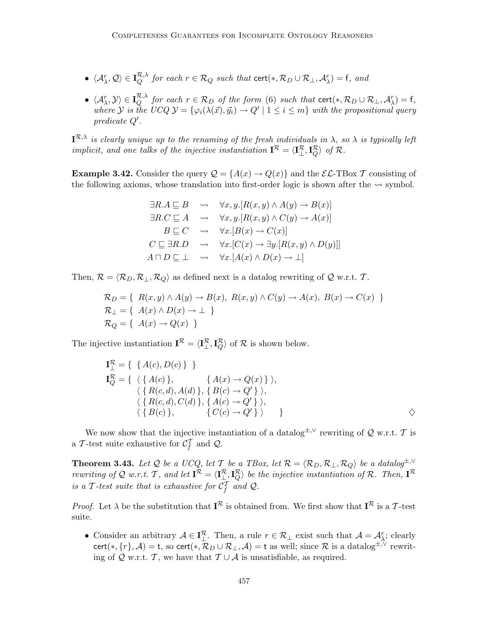- $\langle A^r_\lambda, \mathcal{Q} \rangle \in \mathbf{I}_Q^{\mathcal{R},\lambda}$  for each  $r \in \mathcal{R}_Q$  such that  $\text{cert}(*, \mathcal{R}_D \cup \mathcal{R}_\perp, \mathcal{A}^r_\lambda) = \mathsf{f}$ , and
- $\langle A^r_{\lambda}, \mathcal{Y} \rangle \in \mathbf{I}_Q^{\mathcal{R},\lambda}$  for each  $r \in \mathcal{R}_D$  of the form (6) such that cert $(*, \mathcal{R}_D \cup \mathcal{R}_\perp, \mathcal{A}^r_{\lambda}) = \mathsf{f},$ where Y is the UCQ  $\mathcal{Y} = \{\varphi_i(\lambda(\vec{x}), \vec{y}_i) \to Q' \mid 1 \leq i \leq m\}$  with the propositional query  $predicate Q'.$

 $I^{\mathcal{R},\lambda}$  is clearly unique up to the renaming of the fresh individuals in  $\lambda$ , so  $\lambda$  is typically left implicit, and one talks of the injective instantiation  $I^{\mathcal{R}} = \langle I^{\mathcal{R}}_{\perp}, I^{\mathcal{R}}_{Q} \rangle$  of  $\mathcal{R}$ .

**Example 3.42.** Consider the query  $\mathcal{Q} = \{A(x) \to Q(x)\}\$  and the  $\mathcal{EL}\text{-}\text{TBox }\mathcal{T}$  consisting of the following axioms, whose translation into first-order logic is shown after the  $\sim$  symbol.

$$
\exists R.A \sqsubseteq B \quad \leadsto \quad \forall x, y. [R(x, y) \land A(y) \rightarrow B(x)]
$$
  

$$
\exists R.C \sqsubseteq A \quad \leadsto \quad \forall x, y. [R(x, y) \land C(y) \rightarrow A(x)]
$$
  

$$
B \sqsubseteq C \quad \leadsto \quad \forall x. [B(x) \rightarrow C(x)]
$$
  

$$
C \sqsubseteq \exists R.D \quad \leadsto \quad \forall x. [C(x) \rightarrow \exists y. [R(x, y) \land D(y)]]
$$
  

$$
A \sqcap D \sqsubseteq \bot \quad \leadsto \quad \forall x. [A(x) \land D(x) \rightarrow \bot]
$$

Then,  $\mathcal{R} = \langle \mathcal{R}_D, \mathcal{R}_\perp, \mathcal{R}_Q \rangle$  as defined next is a datalog rewriting of Q w.r.t. T.

$$
\mathcal{R}_D = \{ R(x, y) \land A(y) \rightarrow B(x), R(x, y) \land C(y) \rightarrow A(x), B(x) \rightarrow C(x) \}
$$
  
\n
$$
\mathcal{R}_\perp = \{ A(x) \land D(x) \rightarrow \perp \}
$$
  
\n
$$
\mathcal{R}_Q = \{ A(x) \rightarrow Q(x) \}
$$

The injective instantiation  $I^{\mathcal{R}} = \langle I^{\mathcal{R}}_{\perp}, I^{\mathcal{R}}_{Q} \rangle$  of  $\mathcal{R}$  is shown below.

$$
\mathbf{I}_{\perp}^{R} = \{ \{ A(c), D(c) \} \} \n\mathbf{I}_{Q}^{R} = \{ \langle \{ A(c) \}, \{ A(x) \rightarrow Q(x) \} \rangle, \n\langle \{ R(c, d), A(d) \}, \{ B(c) \rightarrow Q' \} \rangle, \n\langle \{ R(c, d), C(d) \}, \{ A(c) \rightarrow Q' \} \rangle, \n\langle \{ B(c) \}, \{ C(c) \rightarrow Q' \} \rangle \} \rangle
$$

We now show that the injective instantiation of a datalog<sup>±,∨</sup> rewriting of Q w.r.t. T is a T-test suite exhaustive for  $\mathcal{C}_f^T$  and  $\mathcal{Q}$ .

**Theorem 3.43.** Let Q be a UCQ, let T be a TBox, let  $\mathcal{R} = \langle \mathcal{R}_D, \mathcal{R}_\perp, \mathcal{R}_Q \rangle$  be a datalog<sup> $\pm, \vee$ </sup> rewriting of Q w.r.t. T, and let  $I^{\mathcal{R}} = \langle I^{\mathcal{R}}_{\perp}, I^{\mathcal{R}}_{Q} \rangle$  be the injective instantiation of R. Then,  $I^{\mathcal{R}}$ is a T-test suite that is exhaustive for  $\mathcal{C}_f^T$  and Q.

*Proof.* Let  $\lambda$  be the substitution that  $I^{\mathcal{R}}$  is obtained from. We first show that  $I^{\mathcal{R}}$  is a T-test suite.

• Consider an arbitrary  $\mathcal{A} \in \mathbf{I}_{\perp}^{\mathcal{R}}$ . Then, a rule  $r \in \mathcal{R}_{\perp}$  exist such that  $\mathcal{A} = \mathcal{A}_{\lambda}^{r}$ ; clearly cert(\*,  $\{r\}, \mathcal{A}) = t$ , so cert(\*,  $\mathcal{R}_D \cup \mathcal{R}_\perp, \mathcal{A}$ ) = t as well; since  $\mathcal{R}$  is a datalog<sup> $\pm$ ,  $\sqrt{\infty}$ </sup> rewriting of Q w.r.t. T, we have that  $T \cup A$  is unsatisfiable, as required.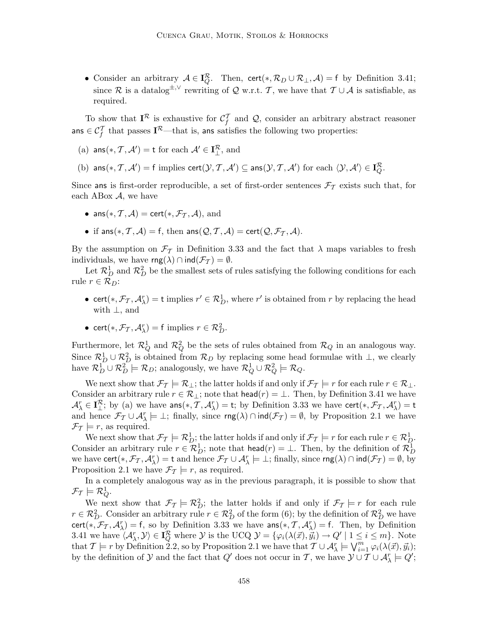• Consider an arbitrary  $A \in I_Q^R$ . Then, cert(\*,  $\mathcal{R}_D \cup \mathcal{R}_\perp$ , A) = f by Definition 3.41; since R is a datalog<sup> $\pm$ ,∨</sup> rewriting of Q w.r.t. T, we have that  $\mathcal{T} \cup \mathcal{A}$  is satisfiable, as required.

To show that  $I^{\mathcal{R}}$  is exhaustive for  $\mathcal{C}_f^T$  and  $\mathcal{Q}$ , consider an arbitrary abstract reasoner ans  $\in \mathcal{C}_f^T$  that passes  $\mathbf{I}^{\mathcal{R}}$ —that is, ans satisfies the following two properties:

- (a)  $\textsf{ans}(*, \mathcal{T}, \mathcal{A}') = \textsf{t}$  for each  $\mathcal{A}' \in \mathbf{I}^{\mathcal{R}}_{\perp}$ , and
- (b)  $\textsf{ans}(*, \mathcal{T}, \mathcal{A}') = \textsf{f}$  implies  $\textsf{cert}(\mathcal{Y}, \mathcal{T}, \mathcal{A}') \subseteq \textsf{ans}(\mathcal{Y}, \mathcal{T}, \mathcal{A}')$  for each  $\langle \mathcal{Y}, \mathcal{A}' \rangle \in \mathbf{I}_{Q}^{\mathcal{R}}$ .

Since ans is first-order reproducible, a set of first-order sentences  $\mathcal{F}_T$  exists such that, for each ABox  $A$ , we have

- ans $(*, \mathcal{T}, \mathcal{A}) = \text{cert}(*, \mathcal{F}_{\mathcal{T}}, \mathcal{A}),$  and
- if ans $(*, \mathcal{T}, \mathcal{A}) = f$ , then ans $(\mathcal{Q}, \mathcal{T}, \mathcal{A}) = \text{cert}(\mathcal{Q}, \mathcal{F}_{\mathcal{T}}, \mathcal{A}).$

By the assumption on  $\mathcal{F}_{\mathcal{T}}$  in Definition 3.33 and the fact that  $\lambda$  maps variables to fresh individuals, we have  $\text{rng}(\lambda) \cap \text{ind}(\mathcal{F}_{\mathcal{I}}) = \emptyset$ .

Let  $\mathcal{R}_D^1$  and  $\mathcal{R}_D^2$  be the smallest sets of rules satisfying the following conditions for each rule  $r \in \mathcal{R}_D$ :

- cert(\*,  $\mathcal{F}_{\mathcal{T}}, \mathcal{A}_{\lambda}^r$ ) = t implies  $r' \in \mathcal{R}_D^1$ , where  $r'$  is obtained from r by replacing the head with ⊥, and
- cert $(*, \mathcal{F}_{\mathcal{T}}, \mathcal{A}_{\lambda}^r) = f$  implies  $r \in \mathcal{R}_D^2$ .

Furthermore, let  $\mathcal{R}_Q^1$  and  $\mathcal{R}_Q^2$  be the sets of rules obtained from  $\mathcal{R}_Q$  in an analogous way. Since  $\mathcal{R}_{D}^{1} \cup \mathcal{R}_{D}^{2}$  is obtained from  $\mathcal{R}_{D}$  by replacing some head formulae with  $\perp$ , we clearly have  $\mathcal{R}_D^1 \cup \mathcal{R}_D^2 \models \mathcal{R}_D$ ; analogously, we have  $\mathcal{R}_Q^1 \cup \mathcal{R}_Q^2 \models \mathcal{R}_Q$ .

We next show that  $\mathcal{F}_{\mathcal{T}} \models \mathcal{R}_{\perp}$ ; the latter holds if and only if  $\mathcal{F}_{\mathcal{T}} \models r$  for each rule  $r \in \mathcal{R}_{\perp}$ . Consider an arbitrary rule  $r \in \mathcal{R}_\perp$ ; note that head $(r) = \perp$ . Then, by Definition 3.41 we have  $\mathcal{A}_{\lambda}^r \in \mathbf{I}_{\perp}^{\mathcal{R}}$ ; by (a) we have  $\text{ans}(*, \mathcal{T}, \mathcal{A}_{\lambda}^r) = \text{t}$ ; by Definition 3.33 we have  $\text{cert}(*, \mathcal{F}_{\mathcal{T}}, \mathcal{A}_{\lambda}^r) = \text{t}$ and hence  $\mathcal{F}_{\mathcal{T}} \cup \mathcal{A}_{\lambda}^r \models \bot$ ; finally, since  $\mathsf{rng}(\lambda) \cap \mathsf{ind}(\mathcal{F}_{\mathcal{T}}) = \emptyset$ , by Proposition 2.1 we have  $\mathcal{F}_{\mathcal{T}}\models r$ , as required.

We next show that  $\mathcal{F}_{\mathcal{T}} \models \mathcal{R}_{D}^1$ ; the latter holds if and only if  $\mathcal{F}_{\mathcal{T}} \models r$  for each rule  $r \in \mathcal{R}_{D}^1$ . Consider an arbitrary rule  $r \in \mathcal{R}_D^1$ ; note that  $head(r) = \bot$ . Then, by the definition of  $\mathcal{R}_D^1$ we have  $\textsf{cert}(*, \mathcal{F}_{\mathcal{T}}, \mathcal{A}_{\lambda}^r) = \textsf{t}$  and hence  $\mathcal{F}_{\mathcal{T}} \cup \mathcal{A}_{\lambda}^r \models \bot$ ; finally, since  $\mathsf{rng}(\lambda) \cap \mathsf{ind}(\mathcal{F}_{\mathcal{T}}) = \emptyset$ , by Proposition 2.1 we have  $\mathcal{F}_{\mathcal{T}} \models r$ , as required.

In a completely analogous way as in the previous paragraph, it is possible to show that  $\mathcal{F}_{\mathcal{T}}\models \mathcal{R}^1_Q.$ 

We next show that  $\mathcal{F}_T \models \mathcal{R}_D^2$ ; the latter holds if and only if  $\mathcal{F}_T \models r$  for each rule  $r \in \mathcal{R}_D^2$ . Consider an arbitrary rule  $r \in \mathcal{R}_D^2$  of the form (6); by the definition of  $\mathcal{R}_D^2$  we have cert(\*,  $\mathcal{F}_{\mathcal{T}}$ ,  $\mathcal{A}_{\lambda}^r$ ) = f, so by Definition 3.33 we have  $\text{ans}(*, \mathcal{T}, \mathcal{A}_{\lambda}^r)$  = f. Then, by Definition 3.41 we have  $\langle A_{\lambda}^r, \mathcal{Y} \rangle \in \mathbf{I}_{Q}^{\mathcal{R}}$  where  $\mathcal{Y}$  is the UCQ  $\mathcal{Y} = {\varphi_i(\lambda(\vec{x}), \vec{y}_i) \to Q' | 1 \leq i \leq m}$ . Note that  $\mathcal{T} \models r$  by Definition 2.2, so by Proposition 2.1 we have that  $\mathcal{T} \cup \mathcal{A}_{\lambda}^r \models \bigvee_{i=1}^m \varphi_i(\lambda(\vec{x}), \vec{y}_i);$ by the definition of  $\mathcal Y$  and the fact that  $Q'$  does not occur in T, we have  $\mathcal Y \cup \mathcal T \cup \mathcal A_\lambda^r \models Q'$ ;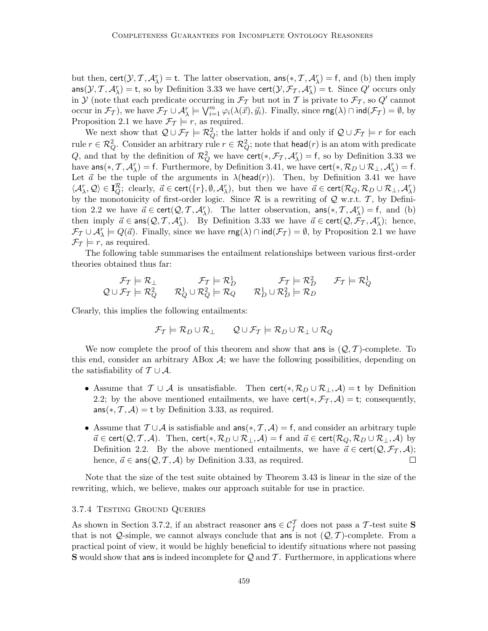but then,  $\text{cert}(\mathcal{Y}, \mathcal{T}, \mathcal{A}_{\lambda}^r) = \text{t}$ . The latter observation,  $\text{ans}(*, \mathcal{T}, \mathcal{A}_{\lambda}^r) = \text{f}$ , and (b) then imply  $ans(\mathcal{Y}, \mathcal{T}, \mathcal{A}_{\lambda}^r) = t$ , so by Definition 3.33 we have  $cert(\mathcal{Y}, \mathcal{F}_{\mathcal{T}}, \mathcal{A}_{\lambda}^r) = t$ . Since  $Q'$  occurs only in Y (note that each predicate occurring in  $\mathcal{F}_{\mathcal{T}}$  but not in T is private to  $\mathcal{F}_{\mathcal{T}}$ , so  $Q'$  cannot occur in  $\mathcal{F}_{\mathcal{T}}$ ), we have  $\mathcal{F}_{\mathcal{T}} \cup \mathcal{A}_{\lambda}^r \models \bigvee_{i=1}^m \varphi_i(\lambda(\vec{x}), \vec{y}_i)$ . Finally, since  $\mathsf{rng}(\lambda) \cap \mathsf{ind}(\mathcal{F}_{\mathcal{T}}) = \emptyset$ , by Proposition 2.1 we have  $\mathcal{F}_{\mathcal{T}} \models r$ , as required.

We next show that  $\mathcal{Q} \cup \mathcal{F}_{\mathcal{T}} \models \mathcal{R}_{Q}^2$ ; the latter holds if and only if  $\mathcal{Q} \cup \mathcal{F}_{\mathcal{T}} \models r$  for each rule  $r \in \mathcal{R}_Q^2$ . Consider an arbitrary rule  $r \in \mathcal{R}_Q^2$ ; note that  $\mathsf{head}(r)$  is an atom with predicate Q, and that by the definition of  $\mathcal{R}_Q^2$  we have cert $(*, \mathcal{F}_{\mathcal{T}}, \mathcal{A}_{\lambda}^r) = f$ , so by Definition 3.33 we have  $\textsf{ans}(*, \mathcal{T}, \mathcal{A}_\lambda^r) = \textsf{f}$ . Furthermore, by Definition 3.41, we have  $\textsf{cert}(*, \mathcal{R}_D \cup \mathcal{R}_\perp, \mathcal{A}_\lambda^r) = \textsf{f}$ . Let  $\vec{a}$  be the tuple of the arguments in  $\lambda(\text{head}(r))$ . Then, by Definition 3.41 we have  $\langle A^r_{\lambda}, Q \rangle \in I^{\mathcal{R}}_Q$ ; clearly,  $\vec{a} \in \text{cert}(\{r\}, \emptyset, A^r_{\lambda})$ , but then we have  $\vec{a} \in \text{cert}(\mathcal{R}_Q, \mathcal{R}_D \cup \mathcal{R}_\perp, A^r_{\lambda})$ by the monotonicity of first-order logic. Since  $\mathcal R$  is a rewriting of  $\mathcal Q$  w.r.t.  $\mathcal T$ , by Definition 2.2 we have  $\vec{a} \in \text{cert}(\mathcal{Q}, \mathcal{T}, \mathcal{A}_{\lambda}^r)$ . The latter observation,  $\text{ans}(*, \mathcal{T}, \mathcal{A}_{\lambda}^r) = f$ , and (b) then imply  $\vec{a} \in \text{ans}(Q, \mathcal{T}, \mathcal{A}_{\lambda}^r)$ . By Definition 3.33 we have  $\vec{a} \in \text{cert}(Q, \mathcal{F}_{\mathcal{T}}, \mathcal{A}_{\lambda}^r)$ ; hence,  $\mathcal{F}_{\mathcal{T}} \cup \mathcal{A}_{\lambda}^r \models Q(\vec{a})$ . Finally, since we have  $\mathsf{rng}(\lambda) \cap \mathsf{ind}(\mathcal{F}_{\mathcal{T}}) = \emptyset$ , by Proposition 2.1 we have  $\mathcal{F}_{\mathcal{T}} \models r$ , as required.

The following table summarises the entailment relationships between various first-order theories obtained thus far:

$$
\mathcal{F}_{\mathcal{T}} \models \mathcal{R}_{\perp} \qquad \qquad \mathcal{F}_{\mathcal{T}} \models \mathcal{R}_{D}^1 \qquad \qquad \mathcal{F}_{\mathcal{T}} \models \mathcal{R}_{D}^2 \qquad \qquad \mathcal{F}_{\mathcal{T}} \models \mathcal{R}_{Q}^1 \qquad \qquad \mathcal{F}_{\mathcal{T}} \models \mathcal{R}_{Q}^1 \qquad \qquad \mathcal{F}_{\mathcal{T}} \models \mathcal{R}_{Q}^1
$$

Clearly, this implies the following entailments:

$$
\mathcal{F}_{\mathcal{T}} \models \mathcal{R}_D \cup \mathcal{R}_\perp \qquad \mathcal{Q} \cup \mathcal{F}_{\mathcal{T}} \models \mathcal{R}_D \cup \mathcal{R}_\perp \cup \mathcal{R}_Q
$$

We now complete the proof of this theorem and show that ans is  $(Q, \mathcal{T})$ -complete. To this end, consider an arbitrary ABox  $A$ ; we have the following possibilities, depending on the satisfiability of  $\mathcal{T} \cup \mathcal{A}$ .

- Assume that  $\mathcal{T} \cup \mathcal{A}$  is unsatisfiable. Then cert $(*, \mathcal{R}_D \cup \mathcal{R}_\perp, \mathcal{A}) = t$  by Definition 2.2; by the above mentioned entailments, we have cert(\*,  $\mathcal{F}_{\mathcal{T}}$ ,  $\mathcal{A}$ ) = t; consequently,  $ans(*, \mathcal{T}, \mathcal{A}) = t$  by Definition 3.33, as required.
- Assume that  $\mathcal{T} \cup \mathcal{A}$  is satisfiable and ans $(*, \mathcal{T}, \mathcal{A}) = f$ , and consider an arbitrary tuple  $\vec{a} \in \text{cert}(\mathcal{Q}, \mathcal{T}, \mathcal{A})$ . Then,  $\text{cert}(*, \mathcal{R}_D \cup \mathcal{R}_\perp, \mathcal{A}) = \text{f}$  and  $\vec{a} \in \text{cert}(\mathcal{R}_Q, \mathcal{R}_D \cup \mathcal{R}_\perp, \mathcal{A})$  by Definition 2.2. By the above mentioned entailments, we have  $\vec{a} \in \text{cert}(\mathcal{Q}, \mathcal{F}_{\mathcal{T}}, \mathcal{A})$ ;<br>hence,  $\vec{a} \in \text{ans}(\mathcal{Q}, \mathcal{T}, \mathcal{A})$  by Definition 3.33, as required. □ hence,  $\vec{a} \in \text{ans}(\mathcal{Q}, \mathcal{T}, \mathcal{A})$  by Definition 3.33, as required.

Note that the size of the test suite obtained by Theorem 3.43 is linear in the size of the rewriting, which, we believe, makes our approach suitable for use in practice.

#### 3.7.4 Testing Ground Queries

As shown in Section 3.7.2, if an abstract reasoner ans  $\in C_f^T$  does not pass a T-test suite S that is not Q-simple, we cannot always conclude that ans is not  $(Q, \mathcal{T})$ -complete. From a practical point of view, it would be highly beneficial to identify situations where not passing **S** would show that ans is indeed incomplete for Q and T. Furthermore, in applications where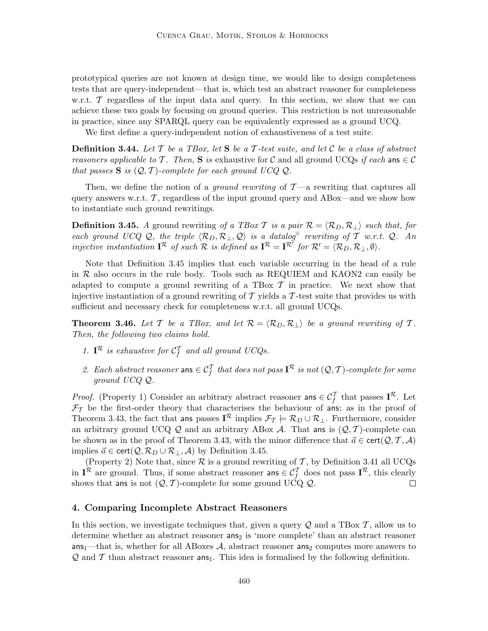prototypical queries are not known at design time, we would like to design completeness tests that are query-independent—that is, which test an abstract reasoner for completeness w.r.t.  $\mathcal T$  regardless of the input data and query. In this section, we show that we can achieve these two goals by focusing on ground queries. This restriction is not unreasonable in practice, since any SPARQL query can be equivalently expressed as a ground UCQ.

We first define a query-independent notion of exhaustiveness of a test suite.

**Definition 3.44.** Let  $\mathcal T$  be a TBox, let  $S$  be a  $\mathcal T$ -test suite, and let  $\mathcal C$  be a class of abstract reasoners applicable to T. Then, S is exhaustive for C and all ground UCQs if each ans  $\in \mathcal{C}$ that passes  $S$  is  $(Q, \mathcal{T})$ -complete for each ground UCQ  $Q$ .

Then, we define the notion of a *ground rewriting* of  $\mathcal{T}$ —a rewriting that captures all query answers w.r.t.  $\mathcal{T}$ , regardless of the input ground query and ABox—and we show how to instantiate such ground rewritings.

**Definition 3.45.** A ground rewriting of a TBox T is a pair  $\mathcal{R} = \langle \mathcal{R}_D, \mathcal{R}_\perp \rangle$  such that, for each ground UCQ Q, the triple  $\langle \mathcal{R}_D, \mathcal{R}_\perp, \mathcal{Q} \rangle$  is a datalog<sup> $\vee$ </sup> rewriting of T w.r.t. Q. An injective instantiation  $\mathbf{I}^{\mathcal{R}}$  of such  $\mathcal{R}$  is defined as  $\mathbf{I}^{\mathcal{R}} = \mathbf{I}^{\mathcal{R}'}$  for  $\mathcal{R}' = \langle \mathcal{R}_D, \mathcal{R}_\perp, \emptyset \rangle$ .

Note that Definition 3.45 implies that each variable occurring in the head of a rule in R also occurs in the rule body. Tools such as REQUIEM and KAON2 can easily be adapted to compute a ground rewriting of a TBox  $\mathcal T$  in practice. We next show that injective instantiation of a ground rewriting of T yields a T-test suite that provides us with sufficient and necessary check for completeness w.r.t. all ground UCQs.

**Theorem 3.46.** Let T be a TBox, and let  $\mathcal{R} = \langle \mathcal{R}_D, \mathcal{R}_+ \rangle$  be a ground rewriting of T. Then, the following two claims hold.

- 1.  $I^{\mathcal{R}}$  is exhaustive for  $\mathcal{C}_f^{\mathcal{I}}$  and all ground UCQs.
- 2. Each abstract reasoner ans  $\in \mathcal{C}_f^T$  that does not pass  $\mathbf{I}^{\mathcal{R}}$  is not  $(\mathcal{Q}, \mathcal{T})$ -complete for some ground UCQ Q.

*Proof.* (Property 1) Consider an arbitrary abstract reasoner ans  $\in C_f^T$  that passes  $I^R$ . Let  $\mathcal{F}_{\mathcal{T}}$  be the first-order theory that characterises the behaviour of ans; as in the proof of Theorem 3.43, the fact that ans passes  $I^{\mathcal{R}}$  implies  $\mathcal{F}_{\mathcal{T}} \models \mathcal{R}_D \cup \mathcal{R}_\perp$ . Furthermore, consider an arbitrary ground UCQ  $Q$  and an arbitrary ABox  $A$ . That ans is  $(Q, T)$ -complete can be shown as in the proof of Theorem 3.43, with the minor difference that  $\vec{a} \in \text{cert}(\mathcal{Q}, \mathcal{T}, \mathcal{A})$ implies  $\vec{a} \in \text{cert}(\mathcal{Q}, \mathcal{R}_D \cup \mathcal{R}_\perp, \mathcal{A})$  by Definition 3.45.

(Property 2) Note that, since  $R$  is a ground rewriting of  $T$ , by Definition 3.41 all UCQs in  $I^{\mathcal{R}}$  are ground. Thus, if some abstract reasoner ans  $\in C_f^{\mathcal{I}}$  does not pass  $I^{\mathcal{R}}$ , this clearly shows that ans is not  $(Q, \mathcal{T})$ -complete for some ground UCQ Q.

## 4. Comparing Incomplete Abstract Reasoners

In this section, we investigate techniques that, given a query  $\mathcal Q$  and a TBox  $\mathcal T$ , allow us to determine whether an abstract reasoner ans<sub>2</sub> is 'more complete' than an abstract reasoner  $ans_1$ —that is, whether for all ABoxes A, abstract reasoner ans<sub>2</sub> computes more answers to  $\mathcal{Q}$  and T than abstract reasoner ans<sub>1</sub>. This idea is formalised by the following definition.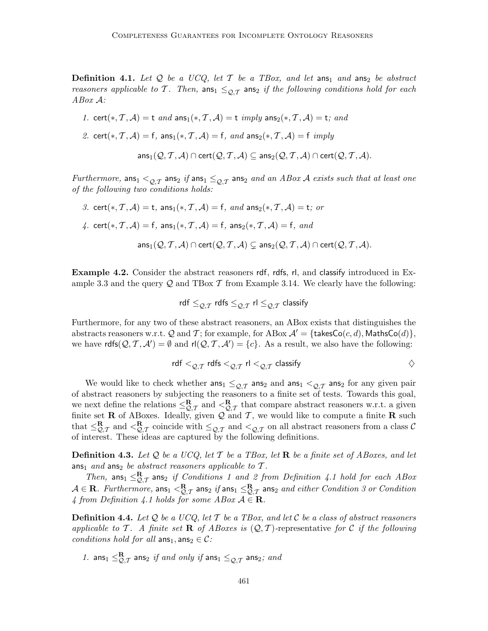**Definition 4.1.** Let  $Q$  be a UCQ, let  $T$  be a TBox, and let ans<sub>1</sub> and ans<sub>2</sub> be abstract reasoners applicable to T. Then,  $\text{ans}_1 \leq_{\Omega,\mathcal{T}} \text{ans}_2$  if the following conditions hold for each ABox A:

$$
\textit{1. cert}(*, \mathcal{T}, \mathcal{A}) = \mathsf{t} \ \textit{and} \ \mathsf{ans}_1(*, \mathcal{T}, \mathcal{A}) = \mathsf{t} \ \textit{imply} \ \mathsf{ans}_2(*, \mathcal{T}, \mathcal{A}) = \mathsf{t}; \ \textit{and}
$$

2. cert(\*, T, A) = f, ans<sub>1</sub>(\*, T, A) = f, and ans<sub>2</sub>(\*, T, A) = f imply

$$
\mathsf{ans}_1(\mathcal{Q},\mathcal{T},\mathcal{A})\cap\mathsf{cert}(\mathcal{Q},\mathcal{T},\mathcal{A})\subseteq\mathsf{ans}_2(\mathcal{Q},\mathcal{T},\mathcal{A})\cap\mathsf{cert}(\mathcal{Q},\mathcal{T},\mathcal{A}).
$$

Furthermore, ans<sub>1</sub>  $\leq_{\mathcal{O},\mathcal{T}}$  ans<sub>2</sub> if ans<sub>1</sub>  $\leq_{\mathcal{O},\mathcal{T}}$  ans<sub>2</sub> and an ABox A exists such that at least one of the following two conditions holds:

3. cert(\*, T, A) = t, ans<sub>1</sub>(\*, T, A) = f, and ans<sub>2</sub>(\*, T, A) = t; or 4. cert(\*, T, A) = f, ans<sub>1</sub>(\*, T, A) = f, ans<sub>2</sub>(\*, T, A) = f, and  $ans_1(Q, T, A) \cap cert(Q, T, A) \subseteq ans_2(Q, T, A) \cap cert(Q, T, A).$ 

Example 4.2. Consider the abstract reasoners rdf, rdfs, rl, and classify introduced in Example 3.3 and the query  $\mathcal Q$  and TBox T from Example 3.14. We clearly have the following:

$$
\mathsf{rdf} \leq_{\mathcal{Q},\mathcal{T}} \mathsf{rdfs} \leq_{\mathcal{Q},\mathcal{T}} \mathsf{r}\mathsf{l} \leq_{\mathcal{Q},\mathcal{T}} \mathsf{classify}
$$

Furthermore, for any two of these abstract reasoners, an ABox exists that distinguishes the abstracts reasoners w.r.t. Q and T; for example, for ABox  $\mathcal{A}' = \{\text{takesCo}(c, d), \text{MathSO}(d)\}\,$ we have  $\text{rdfs}(\mathcal{Q},\mathcal{T},\mathcal{A}')=\emptyset$  and  $\text{rl}(\mathcal{Q},\mathcal{T},\mathcal{A}')=\{c\}$ . As a result, we also have the following:

$$
\mathsf{rdf} <_{\mathcal{Q},\mathcal{T}} \mathsf{rdfs} <_{\mathcal{Q},\mathcal{T}} \mathsf{rl} <_{\mathcal{Q},\mathcal{T}} \mathsf{classify}
$$

We would like to check whether  $\text{ans}_1 \leq_{Q,T} \text{ans}_2$  and  $\text{ans}_1 <_{Q,T} \text{ans}_2$  for any given pair of abstract reasoners by subjecting the reasoners to a finite set of tests. Towards this goal, we next define the relations  $\leq_{\mathcal{Q},\mathcal{T}}^{\mathbf{R}}$  and  $\leq_{\mathcal{Q},\mathcal{T}}^{\mathbf{R}}$  that compare abstract reasoners w.r.t. a given finite set **R** of ABoxes. Ideally, given  $\mathcal{Q}$  and T, we would like to compute a finite **R** such that  $\leq_{\mathcal{Q},\mathcal{T}}^{\mathbf{R}}$  and  $\leq_{\mathcal{Q},\mathcal{T}}^{\mathbf{R}}$  coincide with  $\leq_{\mathcal{Q},\mathcal{T}}$  and  $\leq_{\mathcal{Q},\mathcal{T}}$  on all abstract reasoners from a class C of interest. These ideas are captured by the following definitions.

**Definition 4.3.** Let Q be a UCQ, let T be a TBox, let **R** be a finite set of ABoxes, and let ans<sub>1</sub> and ans<sub>2</sub> be abstract reasoners applicable to  $\mathcal{T}$ .

Then,  $\text{ans}_1 \leq_{\mathcal{Q},\mathcal{T}}^{\mathbf{R}}$  ans<sub>2</sub> if Conditions 1 and 2 from Definition 4.1 hold for each ABox  $A \in \mathbf{R}$ . Furthermore,  $\textsf{ans}_1 <^{\mathbf{R}}_{\mathcal{Q},\mathcal{T}}$  ans $_2$  if  $\textsf{ans}_1 \leq^{\mathbf{R}}_{\mathcal{Q},\mathcal{T}}$  ans $_2$  and either Condition 3 or Condition 4 from Definition 4.1 holds for some  $ABox A \in \mathbf{R}$ .

**Definition 4.4.** Let  $Q$  be a UCQ, let T be a TBox, and let C be a class of abstract reasoners applicable to T. A finite set **R** of ABoxes is  $(Q, T)$ -representative for C if the following conditions hold for all  $\text{ans}_1, \text{ans}_2 \in \mathcal{C}$ :

1. ans $_1 \leq_{\mathcal{Q},\mathcal{T}}^{\mathbf{R}}$  ans $_2$  if and only if ans $_1 \leq_{\mathcal{Q},\mathcal{T}}$  ans $_2;$  and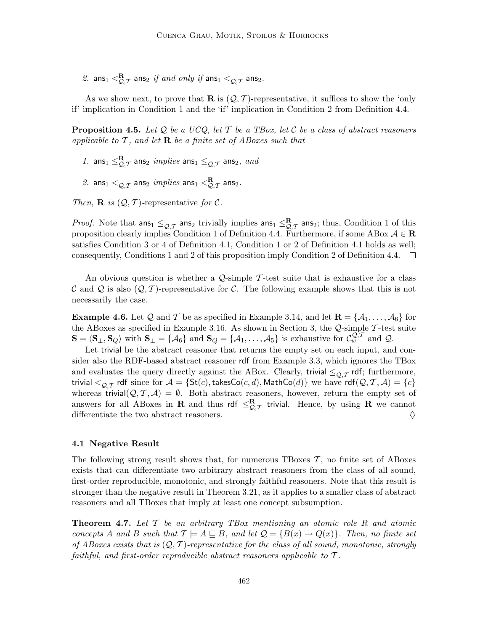$\mathit{\mathit{2.}}\ \ \ \text{ans}_1<\hspace{-3pt}\mathit{\mathop{\mathsf{R}}}_{\mathcal{Q},\mathcal{T}}$  ans $_2$  if and only if ans $_1<_{\mathcal{Q},\mathcal{T}}$  ans $_2.$ 

As we show next, to prove that **R** is  $(Q, \mathcal{T})$ -representative, it suffices to show the 'only if' implication in Condition 1 and the 'if' implication in Condition 2 from Definition 4.4.

**Proposition 4.5.** Let Q be a UCQ, let T be a TBox, let C be a class of abstract reasoners applicable to  $\mathcal T$ , and let  $\mathbf R$  be a finite set of ABoxes such that

- 1. ans<sub>1</sub>  $\leq_{\mathcal{Q},\mathcal{T}}^{\mathbf{R}}$  ans<sub>2</sub> implies ans<sub>1</sub>  $\leq_{\mathcal{Q},\mathcal{T}}$  ans<sub>2</sub>, and
- $\mathscr{Z}.$  ans $_1 <_{\mathcal{Q},\mathcal{T}}$  ans $_2$   $\mathscr{W}$   $\mathscr{W}$   $\mathscr{W}$   $\mathscr{W}$   $\mathscr{W}$   $\mathscr{W}$   $\mathscr{W}$   $\mathscr{W}$   $\mathscr{W}$   $\mathscr{W}$   $\mathscr{W}$   $\mathscr{W}$   $\mathscr{W}$   $\mathscr{W}$   $\mathscr{W}$   $\mathscr{W}$   $\mathscr{W}$   $\mathscr{W}$   $\mathscr{W}$   $\mathscr{W}$   $\math$

Then, **R** is  $(Q, T)$ -representative for C.

*Proof.* Note that  $\text{ans}_1 \leq_{\mathcal{Q},\mathcal{T}} \text{ans}_2$  trivially implies  $\text{ans}_1 \leq_{\mathcal{Q},\mathcal{T}} \text{ans}_2$ ; thus, Condition 1 of this proposition clearly implies Condition 1 of Definition 4.4. Furthermore, if some ABox  $A \in \mathbb{R}$ satisfies Condition 3 or 4 of Definition 4.1, Condition 1 or 2 of Definition 4.1 holds as well; consequently, Conditions 1 and 2 of this proposition imply Condition 2 of Definition 4.4.  $\Box$ 

An obvious question is whether a  $\mathcal{Q}$ -simple T-test suite that is exhaustive for a class C and Q is also  $(Q, \mathcal{T})$ -representative for C. The following example shows that this is not necessarily the case.

**Example 4.6.** Let Q and T be as specified in Example 3.14, and let  $\mathbf{R} = \{A_1, \ldots, A_6\}$  for the ABoxes as specified in Example 3.16. As shown in Section 3, the  $Q$ -simple  $\mathcal T$ -test suite  $\mathbf{S} = \langle \mathbf{S}_{\perp}, \mathbf{S}_{Q} \rangle$  with  $\mathbf{S}_{\perp} = \{ \mathcal{A}_{6} \}$  and  $\mathbf{S}_{Q} = \{ \mathcal{A}_{1}, \ldots, \mathcal{A}_{5} \}$  is exhaustive for  $\mathcal{C}_{w}^{\mathcal{Q},\mathcal{T}}$  and  $\mathcal{Q}$ .

Let trivial be the abstract reasoner that returns the empty set on each input, and consider also the RDF-based abstract reasoner rdf from Example 3.3, which ignores the TBox and evaluates the query directly against the ABox. Clearly, trivial  $\leq_{\mathcal{Q},\mathcal{T}}$  rdf; furthermore, trivial  $\lt_{\mathcal{O},\mathcal{T}}$  rdf since for  $\mathcal{A} = \{ \mathsf{St}(c), \mathsf{takesCo}(c, d), \mathsf{MathCo}(d) \}$  we have  $\mathsf{rdf}(\mathcal{Q}, \mathcal{T}, \mathcal{A}) = \{c\}$ whereas trivial $(Q, \mathcal{T}, \mathcal{A}) = \emptyset$ . Both abstract reasoners, however, return the empty set of answers for all ABoxes in **R** and thus rdf  $\leq_{\mathcal{Q},\mathcal{T}}^{\mathbf{R}}$  trivial. Hence, by using **R** we cannot differentiate the two abstract reasoners.  $\Diamond$ 

#### 4.1 Negative Result

The following strong result shows that, for numerous TBoxes  $\mathcal{T}$ , no finite set of ABoxes exists that can differentiate two arbitrary abstract reasoners from the class of all sound, first-order reproducible, monotonic, and strongly faithful reasoners. Note that this result is stronger than the negative result in Theorem 3.21, as it applies to a smaller class of abstract reasoners and all TBoxes that imply at least one concept subsumption.

**Theorem 4.7.** Let  $\mathcal{T}$  be an arbitrary TBox mentioning an atomic role R and atomic concepts A and B such that  $\mathcal{T} \models A \sqsubseteq B$ , and let  $\mathcal{Q} = \{B(x) \rightarrow Q(x)\}\$ . Then, no finite set of ABoxes exists that is  $(Q, T)$ -representative for the class of all sound, monotonic, strongly faithful, and first-order reproducible abstract reasoners applicable to  $\mathcal{T}$ .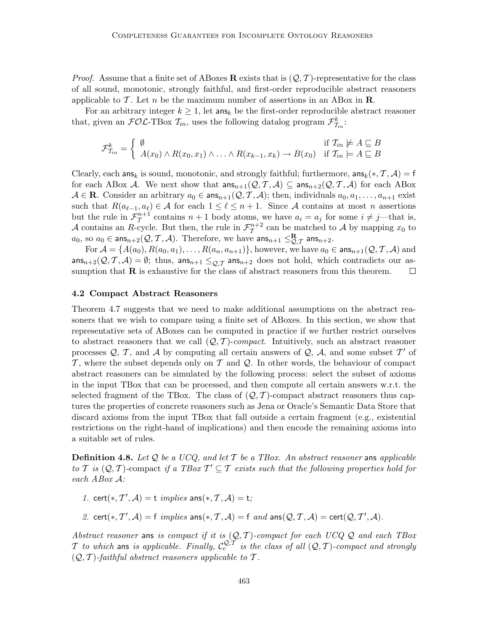*Proof.* Assume that a finite set of ABoxes **R** exists that is  $(Q, T)$ -representative for the class of all sound, monotonic, strongly faithful, and first-order reproducible abstract reasoners applicable to T. Let n be the maximum number of assertions in an ABox in  $\mathbb{R}$ .

For an arbitrary integer  $k \geq 1$ , let ans<sub>k</sub> be the first-order reproducible abstract reasoner that, given an  $\mathcal{FOL}\text{-}\text{TBox }\mathcal{T}_{in}$ , uses the following datalog program  $\mathcal{F}_{\mathcal{T}_{in}}^k$ :

$$
\mathcal{F}_{\mathcal{T}_{in}}^k = \begin{cases} \emptyset & \text{if } \mathcal{T}_{in} \neq A \subseteq B \\ A(x_0) \land R(x_0, x_1) \land \dots \land R(x_{k-1}, x_k) \rightarrow B(x_0) & \text{if } \mathcal{T}_{in} \neq A \subseteq B \end{cases}
$$

Clearly, each ans<sub>k</sub> is sound, monotonic, and strongly faithful; furthermore,  $ans_k(*, \mathcal{T}, \mathcal{A}) = f$ for each ABox A. We next show that  $ans_{n+1}(Q, T, A) \subseteq ans_{n+2}(Q, T, A)$  for each ABox  $A \in \mathbf{R}$ . Consider an arbitrary  $a_0 \in \text{ans}_{n+1}(\mathcal{Q}, \mathcal{T}, \mathcal{A})$ ; then, individuals  $a_0, a_1, \ldots, a_{n+1}$  exist such that  $R(a_{\ell-1}, a_{\ell}) \in \mathcal{A}$  for each  $1 \leq \ell \leq n+1$ . Since A contains at most n assertions but the rule in  $\mathcal{F}_{\tau}^{n+1}$  contains  $n+1$  body atoms, we have  $a_i = a_j$  for some  $i \neq j$ —that is, A contains an R-cycle. But then, the rule in  $\mathcal{F}_T^{n+2}$  can be matched to A by mapping  $x_0$  to  $a_0$ , so  $a_0 \in \text{ans}_{n+2}(\mathcal{Q}, \mathcal{T}, \mathcal{A})$ . Therefore, we have  $\text{ans}_{n+1} \leq_{\mathcal{Q},\mathcal{T}}^{\mathbf{R}}$  ans $_{n+2}$ .

For  $A = \{A(a_0), R(a_0, a_1), \ldots, R(a_n, a_{n+1})\}$ , however, we have  $a_0 \in \text{ans}_{n+1}(\mathcal{Q}, \mathcal{T}, \mathcal{A})$  and ans<sub>n+2</sub>( $Q, T, A$ ) =  $\emptyset$ ; thus, ans<sub>n+1</sub>  $\leq_{Q,T}$  ans<sub>n+2</sub> does not hold, which contradicts our as-<br>sumption that **R** is exhaustive for the class of abstract reasoners from this theorem. sumption that  $R$  is exhaustive for the class of abstract reasoners from this theorem.

## 4.2 Compact Abstract Reasoners

Theorem 4.7 suggests that we need to make additional assumptions on the abstract reasoners that we wish to compare using a finite set of ABoxes. In this section, we show that representative sets of ABoxes can be computed in practice if we further restrict ourselves to abstract reasoners that we call  $(Q, T)$ -compact. Intuitively, such an abstract reasoner processes  $\mathcal{Q}, \mathcal{T}$ , and  $\mathcal{A}$  by computing all certain answers of  $\mathcal{Q}, \mathcal{A}$ , and some subset  $\mathcal{T}'$  of  $\mathcal{T}$ , where the subset depends only on  $\mathcal{T}$  and  $\mathcal{Q}$ . In other words, the behaviour of compact abstract reasoners can be simulated by the following process: select the subset of axioms in the input TBox that can be processed, and then compute all certain answers w.r.t. the selected fragment of the TBox. The class of  $(Q, T)$ -compact abstract reasoners thus captures the properties of concrete reasoners such as Jena or Oracle's Semantic Data Store that discard axioms from the input TBox that fall outside a certain fragment (e.g., existential restrictions on the right-hand of implications) and then encode the remaining axioms into a suitable set of rules.

**Definition 4.8.** Let  $Q$  be a UCQ, and let  $T$  be a TBox. An abstract reasoner ans applicable to T is  $(Q, T)$ -compact if a TBox  $T' \subseteq T$  exists such that the following properties hold for each ABox A:

- 1. cert(\*,  $T', A$ ) = t *implies* ans(\*,  $T, A$ ) = t;
- 2. cert(\*,  $T', A$ ) = f implies ans(\*,  $T, A$ ) = f and ans( $Q, T, A$ ) = cert( $Q, T', A$ ).

Abstract reasoner ans is compact if it is  $(Q, T)$ -compact for each UCQ Q and each TBox T to which ans is applicable. Finally,  $C_c^{Q,T}$  is the class of all  $(Q, T)$ -compact and strongly  $(Q, T)$ -faithful abstract reasoners applicable to T.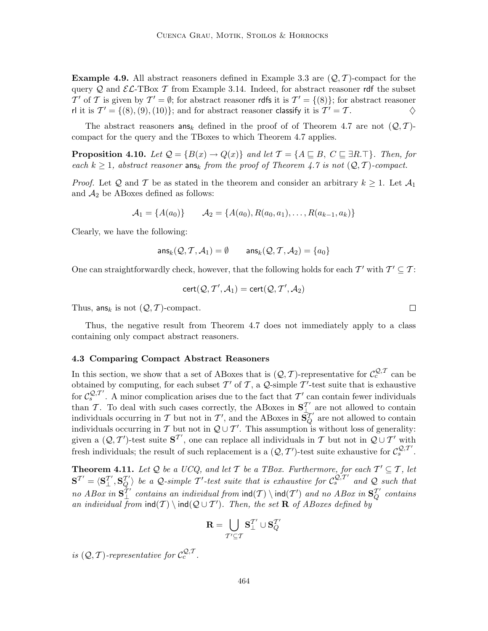**Example 4.9.** All abstract reasoners defined in Example 3.3 are  $(Q, \mathcal{T})$ -compact for the query Q and  $\mathcal{EL}\text{-}\text{TBox }\mathcal{T}$  from Example 3.14. Indeed, for abstract reasoner rdf the subset T' of T is given by  $T' = \emptyset$ ; for abstract reasoner rdfs it is  $T' = \{(8)\}\$ ; for abstract reasoner rl it is  $\mathcal{T}' = \{(8), (9), (10)\}$ ; and for abstract reasoner classify it is  $\mathcal{T}' = \mathcal{T}$ .

The abstract reasoners  $\textsf{ans}_k$  defined in the proof of of Theorem 4.7 are not  $(\mathcal{Q}, \mathcal{T})$ compact for the query and the TBoxes to which Theorem 4.7 applies.

**Proposition 4.10.** Let  $Q = \{B(x) \to Q(x)\}\$  and let  $\mathcal{T} = \{A \sqsubseteq B, C \sqsubseteq \exists R.\top\}$ . Then, for each  $k \geq 1$ , abstract reasoner ans<sub>k</sub> from the proof of Theorem 4.7 is not  $(Q, T)$ -compact.

*Proof.* Let Q and T be as stated in the theorem and consider an arbitrary  $k \geq 1$ . Let  $\mathcal{A}_1$ and  $A_2$  be ABoxes defined as follows:

$$
A_1 = \{A(a_0)\} \qquad A_2 = \{A(a_0), R(a_0, a_1), \dots, R(a_{k-1}, a_k)\}
$$

Clearly, we have the following:

$$
\mathsf{ans}_k(\mathcal{Q}, \mathcal{T}, \mathcal{A}_1) = \emptyset \qquad \mathsf{ans}_k(\mathcal{Q}, \mathcal{T}, \mathcal{A}_2) = \{a_0\}
$$

One can straightforwardly check, however, that the following holds for each  $\mathcal{T}'$  with  $\mathcal{T}' \subseteq \mathcal{T}$ :

$$
cert(Q, T', A_1) = cert(Q, T', A_2)
$$

Thus, ans<sub>k</sub> is not  $(Q, T)$ -compact.

Thus, the negative result from Theorem 4.7 does not immediately apply to a class containing only compact abstract reasoners.

#### 4.3 Comparing Compact Abstract Reasoners

In this section, we show that a set of ABoxes that is  $(Q, \mathcal{T})$ -representative for  $\mathcal{C}_c^{\mathcal{Q}, \mathcal{T}}$  can be obtained by computing, for each subset  $\mathcal{T}'$  of  $\mathcal{T}$ , a  $\mathcal{Q}\text{-simple }\mathcal{T}'\text{-test suite that is exhaustive}$ for  $\mathcal{C}_s^{\mathcal{Q},\mathcal{T}'}$ . A minor complication arises due to the fact that  $\mathcal{T}'$  can contain fewer individuals than T. To deal with such cases correctly, the ABoxes in  $S_{\perp}^{T'}$  are not allowed to contain individuals occurring in T but not in T', and the ABoxes in  $S_Q^{T'}$  are not allowed to contain individuals occurring in T but not in  $Q \cup T'$ . This assumption is without loss of generality: given a  $(Q, T')$ -test suite  $S^{T'}$ , one can replace all individuals in T but not in  $Q \cup T'$  with fresh individuals; the result of such replacement is a  $(Q, T')$ -test suite exhaustive for  $\mathcal{C}_s^{\mathcal{Q}, \mathcal{T}'}$ .

**Theorem 4.11.** Let Q be a UCQ, and let T be a TBox. Furthermore, for each  $T' \subseteq T$ , let  $S^{T'} = \langle S_{\perp}^{T'}, S_{Q}^{T'} \rangle$  be a Q-simple T'-test suite that is exhaustive for  $\mathcal{C}_s^{Q,T'}$  and Q such that no ABox in  $S^T_{\perp}$  contains an individual from  $\text{ind}(T) \setminus \text{ind}(T')$  and no ABox in  $S^T_Q$  contains an individual from  $\text{ind}(\mathcal{T}) \setminus \text{ind}(\mathcal{Q} \cup \mathcal{T}')$ . Then, the set **R** of ABoxes defined by

$$
\mathbf{R} = \bigcup_{\mathcal{T}' \subseteq \mathcal{T}} \mathbf{S}_\perp^{\mathcal{T}'} \cup \mathbf{S}_Q^{\mathcal{T}'}
$$

is  $(Q, \mathcal{T})$ -representative for  $\mathcal{C}^{Q, \mathcal{T}}_{c}$ .

 $\Box$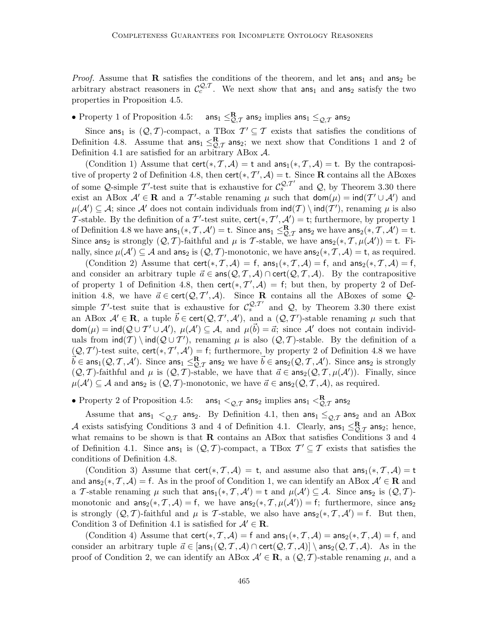*Proof.* Assume that **R** satisfies the conditions of the theorem, and let ans<sub>1</sub> and ans<sub>2</sub> be arbitrary abstract reasoners in  $\mathcal{C}^{Q,\mathcal{T}}_{c}$ . We next show that ans<sub>1</sub> and ans<sub>2</sub> satisfy the two properties in Proposition 4.5.

#### • Property 1 of Proposition 4.5: ans<sub>1</sub>  $\leq_{\mathcal{Q},\mathcal{T}}^{\mathbf{R}}$  ans<sub>2</sub> implies ans<sub>1</sub>  $\leq_{\mathcal{Q},\mathcal{T}}$  ans<sub>2</sub>

Since ans<sub>1</sub> is  $(Q, T)$ -compact, a TBox  $T' \subseteq T$  exists that satisfies the conditions of Definition 4.8. Assume that  $\text{ans}_1 \leq R_{\mathcal{T}}$  ans<sub>2</sub>; we next show that Conditions 1 and 2 of Definition 4.1 are satisfied for an arbitrary ABox A.

(Condition 1) Assume that cert(\*, T, A) = t and  $\text{ans}_1(*, T, A) = t$ . By the contrapositive of property 2 of Definition 4.8, then  $\text{cert}(*, \mathcal{T}', \mathcal{A}) = \text{t}$ . Since **R** contains all the ABoxes of some Q-simple T'-test suite that is exhaustive for  $\mathcal{C}_s^{\mathcal{Q},T'}$  and Q, by Theorem 3.30 there exist an ABox  $\mathcal{A}' \in \mathbf{R}$  and a T'-stable renaming  $\mu$  such that  $\text{dom}(\mu) = \text{ind}(T' \cup \mathcal{A}')$  and  $\mu(\mathcal{A}') \subseteq \mathcal{A}$ ; since  $\mathcal{A}'$  does not contain individuals from  $\text{ind}(T) \setminus \text{ind}(T')$ , renaming  $\mu$  is also T-stable. By the definition of a T'-test suite,  $\text{cert}(*, T', \mathcal{A}') = \text{t}$ ; furthermore, by property 1 of Definition 4.8 we have  $\textsf{ans}_1(*, \mathcal{T}, \mathcal{A}') = \textsf{t}$ . Since  $\textsf{ans}_1 \leq_{\mathcal{Q},\mathcal{T}}^{\mathbf{R}}$  ans<sub>2</sub> we have  $\textsf{ans}_2(*, \mathcal{T}, \mathcal{A}') = \textsf{t}$ . Since ans<sub>2</sub> is strongly  $(Q, T)$ -faithful and  $\mu$  is T-stable, we have ans<sub>2</sub>(\*, T,  $\mu(\mathcal{A}')$ ) = t. Finally, since  $\mu(\mathcal{A}') \subseteq \mathcal{A}$  and ans<sub>2</sub> is  $(Q, \mathcal{T})$ -monotonic, we have ans<sub>2</sub>(\*,  $\mathcal{T}, \mathcal{A}$ ) = t, as required.

(Condition 2) Assume that cert(\*, T, A) = f, ans<sub>1</sub>(\*, T, A) = f, and ans<sub>2</sub>(\*, T, A) = f, and consider an arbitrary tuple  $\vec{a} \in \text{ans}(Q, \mathcal{T}, \mathcal{A}) \cap \text{cert}(Q, \mathcal{T}, \mathcal{A})$ . By the contrapositive of property 1 of Definition 4.8, then  $\text{cert}(*, \mathcal{T}', \mathcal{A}) = f$ ; but then, by property 2 of Definition 4.8, we have  $\vec{a} \in \text{cert}(\mathcal{Q}, \mathcal{T}', \mathcal{A})$ . Since **R** contains all the ABoxes of some  $\mathcal{Q}$ simple T'-test suite that is exhaustive for  $\mathcal{C}_s^{\mathcal{Q},T'}$  and  $\mathcal{Q}$ , by Theorem 3.30 there exist an ABox  $\mathcal{A}' \in \mathbf{R}$ , a tuple  $\vec{b} \in \text{cert}(\mathcal{Q}, \mathcal{T}', \mathcal{A}')$ , and a  $(\mathcal{Q}, \mathcal{T}')$ -stable renaming  $\mu$  such that  $\textsf{dom}(\mu) = \textsf{ind}(Q \cup T' \cup \mathcal{A}), \ \mu(\mathcal{A}') \subseteq \mathcal{A}, \text{ and } \ \mu(\vec{b}) = \vec{a}; \text{ since } \mathcal{A}' \text{ does not contain individual$ uals from  $\text{ind}(\mathcal{T}) \setminus \text{ind}(\mathcal{Q} \cup \mathcal{T}')$ , renaming  $\mu$  is also  $(\mathcal{Q}, \mathcal{T})$ -stable. By the definition of a  $(\mathcal{Q},\mathcal{T}')$ -test suite, cert $(*,\mathcal{T}',\mathcal{A}'$  $(Q, T')$ -test suite, cert(\*,  $T', A'$ ) = f; furthermore, by property 2 of Definition 4.8 we have  $\vec{b} \in \text{ans}_1(Q, T, A')$ . Since  $\text{ans}_1 \leq Q, \tau$  ans<sub>2</sub> we have  $\vec{b} \in \text{ans}_2(Q, T, A')$ . Since ans<sub>2</sub> is strongly  $(Q, \mathcal{T})$ -faithful and  $\mu$  is  $(Q, \mathcal{T})$ -stable, we have that  $\vec{a} \in \text{ans}_2(\mathcal{Q}, \mathcal{T}, \mu(\mathcal{A}'))$ . Finally, since  $\mu(\mathcal{A}') \subseteq \mathcal{A}$  and ans<sub>2</sub> is  $(\mathcal{Q}, \mathcal{T})$ -monotonic, we have  $\vec{a} \in \mathsf{ans}_2(\mathcal{Q}, \mathcal{T}, \mathcal{A})$ , as required.

• Property 2 of Proposition 4.5:  $\qquad \textsf{ans}_1 <_{\mathcal{Q}, \mathcal{T}} \textsf{ans}_2$  implies  $\textsf{ans}_1 <^{\mathbf{R}}_{\mathcal{Q}, \mathcal{T}} \textsf{ans}_2$ 

Assume that ans<sub>1</sub>  $\leq_{Q,T}$  ans<sub>2</sub>. By Definition 4.1, then ans<sub>1</sub>  $\leq_{Q,T}$  ans<sub>2</sub> and an ABox A exists satisfying Conditions 3 and 4 of Definition 4.1. Clearly,  $\text{ans}_1 \leq R_{\mathcal{Q},T}$  ans<sub>2</sub>; hence, what remains to be shown is that **R** contains an ABox that satisfies Conditions 3 and 4 of Definition 4.1. Since ans<sub>1</sub> is  $(Q, \mathcal{T})$ -compact, a TBox  $\mathcal{T}' \subseteq \mathcal{T}$  exists that satisfies the conditions of Definition 4.8.

(Condition 3) Assume that cert(\*, T, A) = t, and assume also that  $ans_1(*, \mathcal{T}, \mathcal{A}) = t$ and  $\text{ans}_2(*, \mathcal{T}, \mathcal{A}) = f$ . As in the proof of Condition 1, we can identify an ABox  $\mathcal{A}' \in \mathbb{R}$  and a T-stable renaming  $\mu$  such that  $\text{ans}_1(*, \mathcal{T}, \mathcal{A}') = \text{t}$  and  $\mu(\mathcal{A}') \subseteq \mathcal{A}$ . Since  $\text{ans}_2$  is  $(\mathcal{Q}, \mathcal{T})$ monotonic and  $ans_2(*, \mathcal{T}, \mathcal{A}) = f$ , we have  $ans_2(*, \mathcal{T}, \mu(\mathcal{A}')) = f$ ; furthermore, since  $ans_2$ is strongly  $(Q, T)$ -faithful and  $\mu$  is T-stable, we also have  $\text{ans}_2(*, T, \mathcal{A}') = f$ . But then, Condition 3 of Definition 4.1 is satisfied for  $A' \in \mathbb{R}$ .

(Condition 4) Assume that cert(\*, T, A) = f and  $ans_1(*, T, A)$  =  $ans_2(*, T, A)$  = f, and consider an arbitrary tuple  $\vec{a} \in [\text{ans}_1(\mathcal{Q}, \mathcal{T}, \mathcal{A}) \cap \text{cert}(\mathcal{Q}, \mathcal{T}, \mathcal{A})] \setminus \text{ans}_2(\mathcal{Q}, \mathcal{T}, \mathcal{A})$ . As in the proof of Condition 2, we can identify an ABox  $\mathcal{A}' \in \mathbf{R}$ , a  $(\mathcal{Q}, \mathcal{T})$ -stable renaming  $\mu$ , and a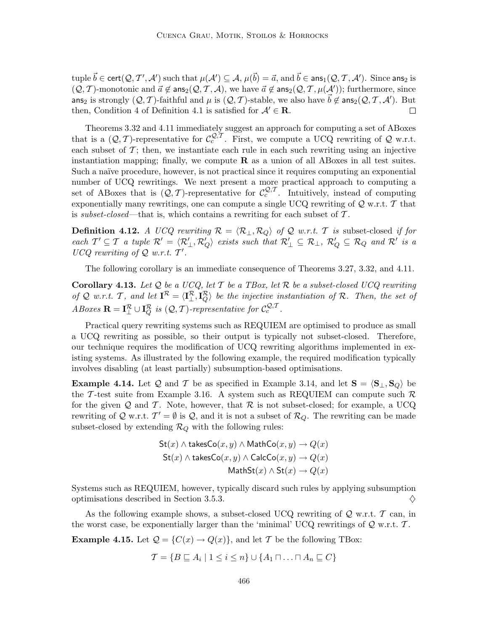tuple  $\vec{b} \in \textsf{cert}(\mathcal{Q}, \mathcal{T}', \mathcal{A}')$  such that  $\mu(\mathcal{A}') \subseteq \mathcal{A}$ ,  $\mu(\vec{b}) = \vec{a}$ , and  $\vec{b} \in \textsf{ans}_1(\mathcal{Q}, \mathcal{T}, \mathcal{A}')$ . Since ans<sub>2</sub> is  $(Q, \mathcal{T})$ -monotonic and  $\vec{a} \not\in \mathsf{ans}_2(\mathcal{Q}, \mathcal{T}, \mathcal{A}),$  we have  $\vec{a} \not\in \mathsf{ans}_2(\mathcal{Q}, \mathcal{T}, \mu(\mathcal{A}'))$ ; furthermore, since ans<sub>2</sub> is strongly  $(Q, \mathcal{T})$ -faithful and  $\mu$  is  $(Q, \mathcal{T})$ -stable, we also have  $\vec{b} \notin \text{ans}_2(Q, \mathcal{T}, \mathcal{A}')$ . But then, Condition 4 of Definition 4.1 is satisfied for  $A' \in \mathbb{R}$ .  $\Box$ 

Theorems 3.32 and 4.11 immediately suggest an approach for computing a set of ABoxes that is a  $(Q, \mathcal{T})$ -representative for  $\mathcal{C}^{Q, \mathcal{T}}_c$ . First, we compute a UCQ rewriting of Q w.r.t. each subset of  $\mathcal{T}$ ; then, we instantiate each rule in each such rewriting using an injective instantiation mapping; finally, we compute  $\bf{R}$  as a union of all ABoxes in all test suites. Such a naïve procedure, however, is not practical since it requires computing an exponential number of UCQ rewritings. We next present a more practical approach to computing a set of ABoxes that is  $(Q, \mathcal{T})$ -representative for  $\mathcal{C}^{Q,\mathcal{T}}_c$ . Intuitively, instead of computing exponentially many rewritings, one can compute a single UCQ rewriting of  $Q$  w.r.t.  $T$  that is subset-closed—that is, which contains a rewriting for each subset of  $\mathcal{T}$ .

**Definition 4.12.** A UCQ rewriting  $\mathcal{R} = \langle \mathcal{R}_{\perp}, \mathcal{R}_{Q} \rangle$  of Q w.r.t. T is subset-closed if for  $\mathcal{L}$  each  $\mathcal{T}' \subseteq \mathcal{T}$  a tuple  $\mathcal{R}' = \langle \mathcal{R}'_{\perp}, \mathcal{R}'_{Q} \rangle$  exists such that  $\mathcal{R}'_{\perp} \subseteq \mathcal{R}_{\perp}, \mathcal{R}'_{Q} \subseteq \mathcal{R}_{Q}$  and  $\mathcal{R}'$  is a  $UCQ$  rewriting of  $Q$  w.r.t.  $T'$ .

The following corollary is an immediate consequence of Theorems 3.27, 3.32, and 4.11.

Corollary 4.13. Let Q be a UCQ, let T be a TBox, let R be a subset-closed UCQ rewriting of Q w.r.t. T, and let  $I^{\mathcal{R}} = \langle I^{\mathcal{R}}_{\perp}, I^{\mathcal{R}}_{Q} \rangle$  be the injective instantiation of R. Then, the set of ABoxes  $\mathbf{R} = \mathbf{I}_{\perp}^{\mathcal{R}} \cup \mathbf{I}_{Q}^{\mathcal{R}}$  is  $(Q, \mathcal{T})$ -representative for  $\mathcal{C}_{c}^{\mathcal{Q}, \mathcal{T}}$ .

Practical query rewriting systems such as REQUIEM are optimised to produce as small a UCQ rewriting as possible, so their output is typically not subset-closed. Therefore, our technique requires the modification of UCQ rewriting algorithms implemented in existing systems. As illustrated by the following example, the required modification typically involves disabling (at least partially) subsumption-based optimisations.

**Example 4.14.** Let Q and T be as specified in Example 3.14, and let  $S = \langle S_{\perp}, S_{Q} \rangle$  be the T-test suite from Example 3.16. A system such as REQUIEM can compute such  $\mathcal R$ for the given Q and T. Note, however, that R is not subset-closed; for example, a UCQ rewriting of Q w.r.t.  $\mathcal{T}' = \emptyset$  is Q, and it is not a subset of  $\mathcal{R}_Q$ . The rewriting can be made subset-closed by extending  $\mathcal{R}_Q$  with the following rules:

$$
\mathsf{St}(x) \land \mathsf{takesCo}(x, y) \land \mathsf{MathCo}(x, y) \to Q(x)
$$

$$
\mathsf{St}(x) \land \mathsf{takesCo}(x, y) \land \mathsf{CalcCo}(x, y) \to Q(x)
$$

$$
\mathsf{MathSt}(x) \land \mathsf{St}(x) \to Q(x)
$$

Systems such as REQUIEM, however, typically discard such rules by applying subsumption optimisations described in Section 3.5.3.  $\Diamond$ 

As the following example shows, a subset-closed UCQ rewriting of  $\mathcal{Q}$  w.r.t.  $\mathcal{T}$  can, in the worst case, be exponentially larger than the 'minimal' UCQ rewritings of  $\mathcal{Q}$  w.r.t.  $\mathcal{T}$ .

**Example 4.15.** Let  $\mathcal{Q} = \{C(x) \to Q(x)\}\)$ , and let T be the following TBox:

$$
\mathcal{T} = \{ B \sqsubseteq A_i \mid 1 \leq i \leq n \} \cup \{ A_1 \sqcap \ldots \sqcap A_n \sqsubseteq C \}
$$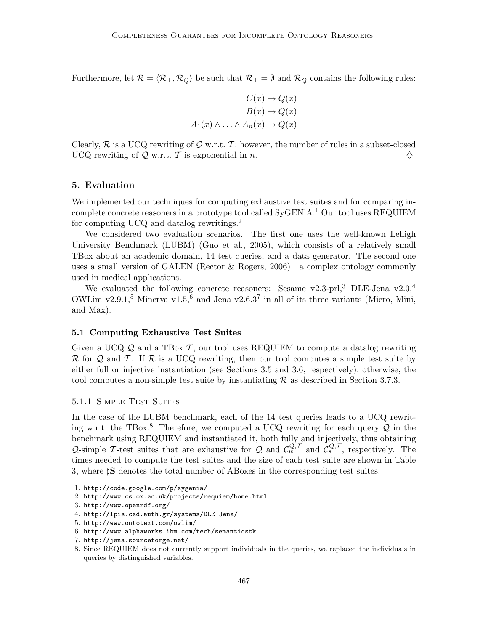Furthermore, let  $\mathcal{R} = \langle \mathcal{R}_{\perp}, \mathcal{R}_{Q} \rangle$  be such that  $\mathcal{R}_{\perp} = \emptyset$  and  $\mathcal{R}_{Q}$  contains the following rules:

$$
C(x) \to Q(x)
$$

$$
B(x) \to Q(x)
$$

$$
A_1(x) \land \dots \land A_n(x) \to Q(x)
$$

Clearly,  $\mathcal{R}$  is a UCQ rewriting of  $\mathcal{Q}$  w.r.t.  $\mathcal{T}$ ; however, the number of rules in a subset-closed UCQ rewriting of  $\mathcal{Q}$  w.r.t. T is exponential in n.  $\diamondsuit$ 

## 5. Evaluation

We implemented our techniques for computing exhaustive test suites and for comparing incomplete concrete reasoners in a prototype tool called SyGENiA.<sup>1</sup> Our tool uses REQUIEM for computing UCQ and datalog rewritings.<sup>2</sup>

We considered two evaluation scenarios. The first one uses the well-known Lehigh University Benchmark (LUBM) (Guo et al., 2005), which consists of a relatively small TBox about an academic domain, 14 test queries, and a data generator. The second one uses a small version of GALEN (Rector & Rogers, 2006)—a complex ontology commonly used in medical applications.

We evaluated the following concrete reasoners: Sesame v2.3-prl,<sup>3</sup> DLE-Jena v2.0,<sup>4</sup> OWLim v2.9.1,<sup>5</sup> Minerva v1.5,<sup>6</sup> and Jena v2.6.3<sup>7</sup> in all of its three variants (Micro, Mini, and Max).

## 5.1 Computing Exhaustive Test Suites

Given a UCQ  $\mathcal{Q}$  and a TBox  $\mathcal{T}$ , our tool uses REQUIEM to compute a datalog rewriting  $\mathcal R$  for  $\mathcal Q$  and  $\mathcal T$ . If  $\mathcal R$  is a UCQ rewriting, then our tool computes a simple test suite by either full or injective instantiation (see Sections 3.5 and 3.6, respectively); otherwise, the tool computes a non-simple test suite by instantiating  $\mathcal R$  as described in Section 3.7.3.

#### 5.1.1 Simple Test Suites

In the case of the LUBM benchmark, each of the 14 test queries leads to a UCQ rewriting w.r.t. the TBox.<sup>8</sup> Therefore, we computed a UCQ rewriting for each query  $\mathcal Q$  in the benchmark using REQUIEM and instantiated it, both fully and injectively, thus obtaining Q-simple T-test suites that are exhaustive for Q and  $\mathcal{C}_{w}^{\mathcal{Q},T}$  and  $\mathcal{C}_{s}^{\mathcal{Q},T}$ , respectively. The times needed to compute the test suites and the size of each test suite are shown in Table 3, where  $\sharp S$  denotes the total number of ABoxes in the corresponding test suites.

<sup>1.</sup> http://code.google.com/p/sygenia/

<sup>2.</sup> http://www.cs.ox.ac.uk/projects/requiem/home.html

<sup>3.</sup> http://www.openrdf.org/

<sup>4.</sup> http://lpis.csd.auth.gr/systems/DLE-Jena/

<sup>5.</sup> http://www.ontotext.com/owlim/

<sup>6.</sup> http://www.alphaworks.ibm.com/tech/semanticstk

<sup>7.</sup> http://jena.sourceforge.net/

<sup>8.</sup> Since REQUIEM does not currently support individuals in the queries, we replaced the individuals in queries by distinguished variables.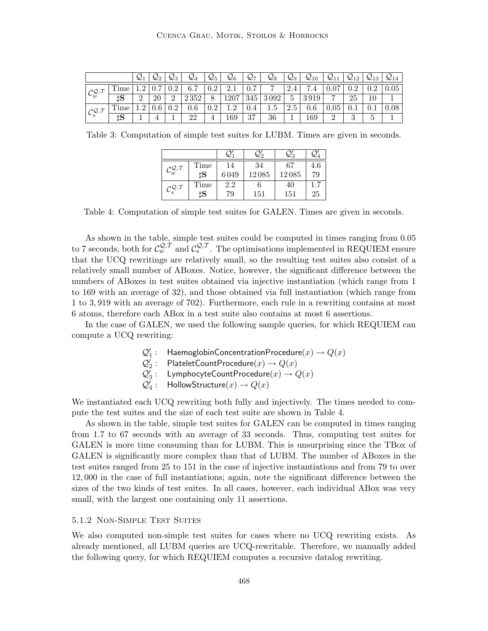|                                           |      | $\mathcal{Q}_1$ | $\mathcal{Q}_2$ | $\mathcal{Q}_3$ | $\mathcal{Q}_4$ | $\mathcal{Q}_5$ | $\mathcal{Q}_6$ | $\mathcal{Q}_7$ | $\mathcal{Q}_{8}$ | $\mathcal{Q}_9$ | $\mathcal{Q}_{10}$ | $\mathcal{Q}_{11}$ | $\mathcal{Q}_{12}$ | $\mathcal{Q}_{13}$ | $\mathcal{Q}_{14}$ |
|-------------------------------------------|------|-----------------|-----------------|-----------------|-----------------|-----------------|-----------------|-----------------|-------------------|-----------------|--------------------|--------------------|--------------------|--------------------|--------------------|
| $\mathcal{C}^{\mathcal{Q},\mathcal{T}}_w$ | Time |                 | 0.7             | $0.2\,$         | 6.7             | $0.2\,$         | 2.1             | 0.7             |                   | 2.4             | ⊢<br>$\cdot$ 4     | 07                 | Ω9                 | 0.9                | 0.05               |
|                                           | ΪS   | $\Omega$<br>↵   | 20              | ച               | 2352            | 8               | 1207            | 345             | 3092              | 5               | 3919               | $\overline{ }$     | 25                 |                    |                    |
| $\mathcal{C}^{\mathcal{Q},\mathcal{T}}_s$ | Time |                 |                 | 0.2             | 0.6             | 0.2             | 1 ດ<br>⊥.∠      | 0.4             | $1.5\,$           | റ<br>2.5        | 0.6                | 0.05               |                    |                    | 0.08               |
|                                           | ΪS   |                 |                 |                 | 22              |                 | 169             | 37              | 36                |                 | 169                | റ                  |                    |                    |                    |

Table 3: Computation of simple test suites for LUBM. Times are given in seconds.

| $\mathcal{C}^{\mathcal{Q},\mathcal{T}}_w$ | Time | 14   | 34    | 67    | 4.6 |
|-------------------------------------------|------|------|-------|-------|-----|
|                                           | ‡S   | 6049 | 12085 | 12085 | 79  |
| $\mathcal{C}_s^{\mathcal{Q},\mathcal{T}}$ | Time | 2.2  |       | 40    |     |
|                                           | ‡S   | 79   | 151   | 151   | 25  |

Table 4: Computation of simple test suites for GALEN. Times are given in seconds.

As shown in the table, simple test suites could be computed in times ranging from 0.05 to 7 seconds, both for  $\mathcal{C}_{w}^{Q,\mathcal{T}}$  and  $\mathcal{C}_{s}^{Q,\mathcal{T}}$ . The optimisations implemented in REQUIEM ensure that the UCQ rewritings are relatively small, so the resulting test suites also consist of a relatively small number of ABoxes. Notice, however, the significant difference between the numbers of ABoxes in test suites obtained via injective instantiation (which range from 1 to 169 with an average of 32), and those obtained via full instantiation (which range from 1 to 3, 919 with an average of 702). Furthermore, each rule in a rewriting contains at most 6 atoms, therefore each ABox in a test suite also contains at most 6 assertions.

In the case of GALEN, we used the following sample queries, for which REQUIEM can compute a UCQ rewriting:

 $\mathcal{Q}'_1$  : HaemoglobinConcentrationProcedure $(x) \rightarrow Q(x)$ 

 $\mathcal{Q}'_2$  : PlateletCountProcedure $(x) \to Q(x)$ 

 $\mathcal{Q}'_3$ : LymphocyteCountProcedure $(x) \to Q(x)$ 

 $\mathcal{Q}'_4$ : HollowStructure $(x) \to Q(x)$ 

We instantiated each UCQ rewriting both fully and injectively. The times needed to compute the test suites and the size of each test suite are shown in Table 4.

As shown in the table, simple test suites for GALEN can be computed in times ranging from 1.7 to 67 seconds with an average of 33 seconds. Thus, computing test suites for GALEN is more time consuming than for LUBM. This is unsurprising since the TBox of GALEN is significantly more complex than that of LUBM. The number of ABoxes in the test suites ranged from 25 to 151 in the case of injective instantiations and from 79 to over 12, 000 in the case of full instantiations; again, note the significant difference between the sizes of the two kinds of test suites. In all cases, however, each individual ABox was very small, with the largest one containing only 11 assertions.

#### 5.1.2 Non-Simple Test Suites

We also computed non-simple test suites for cases where no UCQ rewriting exists. As already mentioned, all LUBM queries are UCQ-rewritable. Therefore, we manually added the following query, for which REQUIEM computes a recursive datalog rewriting.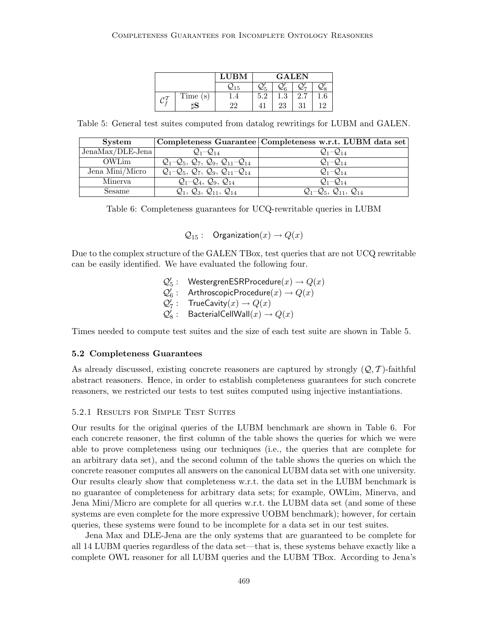|         | <b>LUBM</b>        | <b>GALEN</b> |                     |    |     |  |
|---------|--------------------|--------------|---------------------|----|-----|--|
|         | $\mathcal{Q}_{15}$ |              | -∠6                 |    |     |  |
| Time(s) |                    | 5.2          | $\mathbf{Q}$<br>1.V |    |     |  |
| כו      | 22                 |              | 23                  | 31 | 1 ດ |  |

Table 5: General test suites computed from datalog rewritings for LUBM and GALEN.

| <b>System</b>      |                                                 | Completeness Guarantee Completeness w.r.t. LUBM data set |
|--------------------|-------------------------------------------------|----------------------------------------------------------|
| $JenaMax/DLE-Jena$ | $Q_1 - Q_{14}$                                  | $Q_1 - Q_{14}$                                           |
| <b>OWLim</b>       | $Q_1 - Q_5$ , $Q_7$ , $Q_9$ , $Q_{11} - Q_{14}$ | $Q_1 - Q_{14}$                                           |
| Jena Mini/Micro    | $Q_1 - Q_5$ , $Q_7$ , $Q_9$ , $Q_{11} - Q_{14}$ | $Q_1 - Q_{14}$                                           |
| Minerya            | $Q_1 - Q_4$ , $Q_9$ , $Q_{14}$                  | $Q_1 - Q_{14}$                                           |
| <b>Sesame</b>      | $Q_1, Q_3, Q_{11}, Q_{14}$                      | $Q_1 - Q_5$ , $Q_{11}$ , $Q_{14}$                        |

Table 6: Completeness guarantees for UCQ-rewritable queries in LUBM

 $Q_{15}$ : Organization $(x) \rightarrow Q(x)$ 

Due to the complex structure of the GALEN TBox, test queries that are not UCQ rewritable can be easily identified. We have evaluated the following four.

> $\mathcal{Q}'_5:$  Westergren<code>ESRProcedure</code> $(x)\rightarrow Q(x)$  $\mathcal{Q}'_6:$  ArthroscopicProcedure $(x)\to Q(x)$  $\mathcal{Q}'_7:$  TrueCavity $(x) \to Q(x)$  $\mathcal{Q}'_8: \quad$  BacterialCellWall $(x) \rightarrow Q(x)$

Times needed to compute test suites and the size of each test suite are shown in Table 5.

## 5.2 Completeness Guarantees

As already discussed, existing concrete reasoners are captured by strongly  $(Q, \mathcal{T})$ -faithful abstract reasoners. Hence, in order to establish completeness guarantees for such concrete reasoners, we restricted our tests to test suites computed using injective instantiations.

### 5.2.1 Results for Simple Test Suites

Our results for the original queries of the LUBM benchmark are shown in Table 6. For each concrete reasoner, the first column of the table shows the queries for which we were able to prove completeness using our techniques (i.e., the queries that are complete for an arbitrary data set), and the second column of the table shows the queries on which the concrete reasoner computes all answers on the canonical LUBM data set with one university. Our results clearly show that completeness w.r.t. the data set in the LUBM benchmark is no guarantee of completeness for arbitrary data sets; for example, OWLim, Minerva, and Jena Mini/Micro are complete for all queries w.r.t. the LUBM data set (and some of these systems are even complete for the more expressive UOBM benchmark); however, for certain queries, these systems were found to be incomplete for a data set in our test suites.

Jena Max and DLE-Jena are the only systems that are guaranteed to be complete for all 14 LUBM queries regardless of the data set—that is, these systems behave exactly like a complete OWL reasoner for all LUBM queries and the LUBM TBox. According to Jena's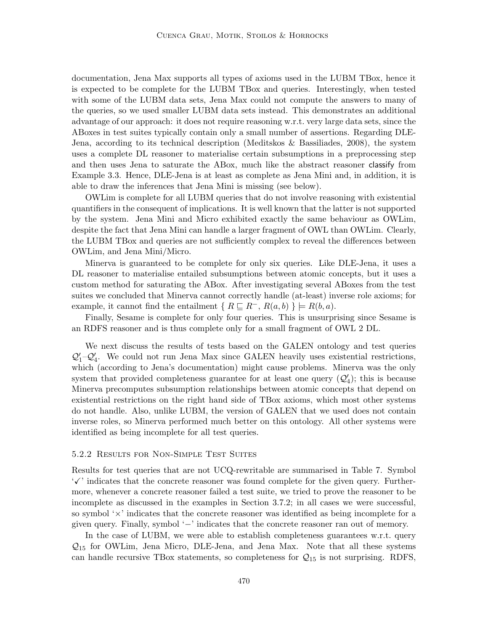documentation, Jena Max supports all types of axioms used in the LUBM TBox, hence it is expected to be complete for the LUBM TBox and queries. Interestingly, when tested with some of the LUBM data sets, Jena Max could not compute the answers to many of the queries, so we used smaller LUBM data sets instead. This demonstrates an additional advantage of our approach: it does not require reasoning w.r.t. very large data sets, since the ABoxes in test suites typically contain only a small number of assertions. Regarding DLE-Jena, according to its technical description (Meditskos & Bassiliades, 2008), the system uses a complete DL reasoner to materialise certain subsumptions in a preprocessing step and then uses Jena to saturate the ABox, much like the abstract reasoner classify from Example 3.3. Hence, DLE-Jena is at least as complete as Jena Mini and, in addition, it is able to draw the inferences that Jena Mini is missing (see below).

OWLim is complete for all LUBM queries that do not involve reasoning with existential quantifiers in the consequent of implications. It is well known that the latter is not supported by the system. Jena Mini and Micro exhibited exactly the same behaviour as OWLim, despite the fact that Jena Mini can handle a larger fragment of OWL than OWLim. Clearly, the LUBM TBox and queries are not sufficiently complex to reveal the differences between OWLim, and Jena Mini/Micro.

Minerva is guaranteed to be complete for only six queries. Like DLE-Jena, it uses a DL reasoner to materialise entailed subsumptions between atomic concepts, but it uses a custom method for saturating the ABox. After investigating several ABoxes from the test suites we concluded that Minerva cannot correctly handle (at-least) inverse role axioms; for example, it cannot find the entailment {  $R \sqsubseteq R^{-}$ ,  $R(a, b)$  }  $\models R(b, a)$ .

Finally, Sesame is complete for only four queries. This is unsurprising since Sesame is an RDFS reasoner and is thus complete only for a small fragment of OWL 2 DL.

We next discuss the results of tests based on the GALEN ontology and test queries  $\mathcal{Q}'_1-\mathcal{Q}'_4$ . We could not run Jena Max since GALEN heavily uses existential restrictions, which (according to Jena's documentation) might cause problems. Minerva was the only system that provided completeness guarantee for at least one query  $(Q_4')$ ; this is because Minerva precomputes subsumption relationships between atomic concepts that depend on existential restrictions on the right hand side of TBox axioms, which most other systems do not handle. Also, unlike LUBM, the version of GALEN that we used does not contain inverse roles, so Minerva performed much better on this ontology. All other systems were identified as being incomplete for all test queries.

#### 5.2.2 Results for Non-Simple Test Suites

Results for test queries that are not UCQ-rewritable are summarised in Table 7. Symbol  $\mathcal{F}'$  indicates that the concrete reasoner was found complete for the given query. Furthermore, whenever a concrete reasoner failed a test suite, we tried to prove the reasoner to be incomplete as discussed in the examples in Section 3.7.2; in all cases we were successful, so symbol  $\forall$  indicates that the concrete reasoner was identified as being incomplete for a given query. Finally, symbol '−' indicates that the concrete reasoner ran out of memory.

In the case of LUBM, we were able to establish completeness guarantees w.r.t. query  $\mathcal{Q}_{15}$  for OWLim, Jena Micro, DLE-Jena, and Jena Max. Note that all these systems can handle recursive TBox statements, so completeness for  $\mathcal{Q}_{15}$  is not surprising. RDFS,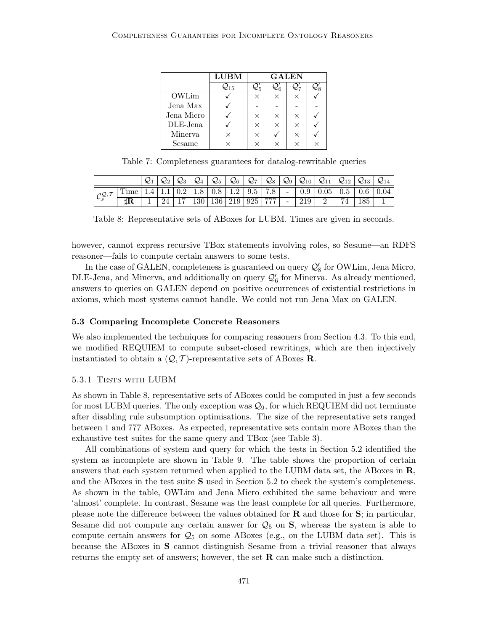|            | <b>LUBM</b>        | <b>GALEN</b> |          |          |   |  |
|------------|--------------------|--------------|----------|----------|---|--|
|            | $\mathcal{Q}_{15}$ |              |          |          |   |  |
| OWLim      |                    |              | $\times$ |          |   |  |
| Jena Max   |                    |              |          |          |   |  |
| Jena Micro |                    | $\times$     | $\times$ | $\times$ |   |  |
| DLE-Jena   |                    | $\times$     | $\times$ | $\times$ |   |  |
| Minerya    | $\times$           | ×            |          | ×        |   |  |
| Sesame     |                    |              | ×        |          | × |  |

Table 7: Completeness guarantees for datalog-rewritable queries

|                                               |                 |      |            | $\mathcal{Q}_6$ | $\mathcal{Q}_7$   $\mathcal{Q}_8$ ' | $\mathcal{Q}_{9}$ ,      | $\mathcal{Q}_{10}$ | $Q_{11}$                                                                             |                                | $\mathcal{Q}_{13}$ | $\mathcal{Q}_{14}$ |
|-----------------------------------------------|-----------------|------|------------|-----------------|-------------------------------------|--------------------------|--------------------|--------------------------------------------------------------------------------------|--------------------------------|--------------------|--------------------|
| $\mathcal{C}^{\mathcal{Q},\mathcal{T}}_\circ$ | $\mathbf{Time}$ |      |            |                 |                                     |                          |                    | $1.4$   $1.1$   $0.2$   $1.8$   $0.8$   $1.2$   $9.5$   $7.8$   $-$   $0.9$   $0.05$ | $0.5 \,   \, 0.6 \,   \, 0.04$ |                    |                    |
|                                               |                 | 24 I | <b>130</b> | 136   219   925 | 777                                 | $\overline{\phantom{a}}$ |                    |                                                                                      |                                | 185                |                    |

Table 8: Representative sets of ABoxes for LUBM. Times are given in seconds.

however, cannot express recursive TBox statements involving roles, so Sesame—an RDFS reasoner—fails to compute certain answers to some tests.

In the case of GALEN, completeness is guaranteed on query  $\mathcal{Q}'_8$  for OWLim, Jena Micro, DLE-Jena, and Minerva, and additionally on query  $\mathcal{Q}'_6$  for Minerva. As already mentioned, answers to queries on GALEN depend on positive occurrences of existential restrictions in axioms, which most systems cannot handle. We could not run Jena Max on GALEN.

#### 5.3 Comparing Incomplete Concrete Reasoners

We also implemented the techniques for comparing reasoners from Section 4.3. To this end, we modified REQUIEM to compute subset-closed rewritings, which are then injectively instantiated to obtain a  $(Q, T)$ -representative sets of ABoxes **R**.

#### 5.3.1 TESTS WITH LUBM

As shown in Table 8, representative sets of ABoxes could be computed in just a few seconds for most LUBM queries. The only exception was  $\mathcal{Q}_9$ , for which REQUIEM did not terminate after disabling rule subsumption optimisations. The size of the representative sets ranged between 1 and 777 ABoxes. As expected, representative sets contain more ABoxes than the exhaustive test suites for the same query and TBox (see Table 3).

All combinations of system and query for which the tests in Section 5.2 identified the system as incomplete are shown in Table 9. The table shows the proportion of certain answers that each system returned when applied to the LUBM data set, the ABoxes in R, and the ABoxes in the test suite S used in Section 5.2 to check the system's completeness. As shown in the table, OWLim and Jena Micro exhibited the same behaviour and were 'almost' complete. In contrast, Sesame was the least complete for all queries. Furthermore, please note the difference between the values obtained for  $\bf{R}$  and those for  $\bf{S}$ ; in particular, Sesame did not compute any certain answer for  $\mathcal{Q}_5$  on S, whereas the system is able to compute certain answers for  $\mathcal{Q}_5$  on some ABoxes (e.g., on the LUBM data set). This is because the ABoxes in S cannot distinguish Sesame from a trivial reasoner that always returns the empty set of answers; however, the set  $\bf R$  can make such a distinction.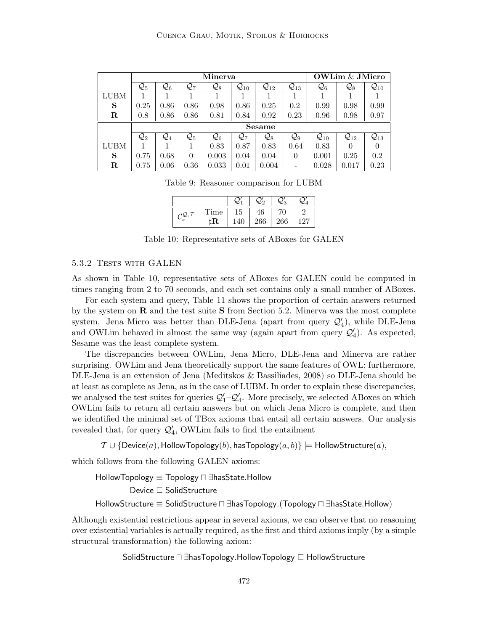|             |                 |                 |                 | Minerva         |                    |                    |                    | <b>OWLim &amp; JMicro</b> |                    |                    |  |  |
|-------------|-----------------|-----------------|-----------------|-----------------|--------------------|--------------------|--------------------|---------------------------|--------------------|--------------------|--|--|
|             | $\mathcal{Q}_5$ | $\mathcal{Q}_6$ | $\mathcal{Q}_7$ | $\mathcal{Q}_8$ | $\mathcal{Q}_{10}$ | $\mathcal{Q}_{12}$ | $\mathcal{Q}_{13}$ | $\mathcal{Q}_6$           | $\mathcal{Q}_8$    | $\mathcal{Q}_{10}$ |  |  |
| <b>LUBM</b> |                 |                 |                 |                 |                    |                    |                    |                           |                    |                    |  |  |
| S           | 0.25            | 0.86            | 0.86            | 0.98            | 0.86               | 0.25               | 0.2                | 0.99                      | 0.98               | 0.99               |  |  |
| R           | 0.8             | 0.86            | 0.86            | 0.81            | 0.84               | 0.92               | 0.23               | 0.96                      | 0.98               | 0.97               |  |  |
|             | <b>Sesame</b>   |                 |                 |                 |                    |                    |                    |                           |                    |                    |  |  |
|             | $\mathcal{Q}_2$ | $\mathcal{Q}_4$ | $\mathcal{Q}_5$ | $\mathcal{Q}_6$ | $\mathcal{Q}_7$    | $\mathcal{Q}_8$    | $\mathcal{Q}_9$    | $\mathcal{Q}_{10}$        | $\mathcal{Q}_{12}$ | $\mathcal{Q}_{13}$ |  |  |
| <b>LUBM</b> |                 |                 |                 | 0.83            | 0.87               | 0.83               | 0.64               | 0.83                      |                    |                    |  |  |
| S           | 0.75            | 0.68            | $\theta$        | 0.003           | 0.04               | 0.04               | $\theta$           | 0.001                     | 0.25               | 0.2                |  |  |
| R           | 0.75            | 0.06            | 0.36            | 0.033           | 0.01               | 0.004              |                    | 0.028                     | 0.017              | 0.23               |  |  |

Table 9: Reasoner comparison for LUBM

|   |      |    |     | 2.9 |     |
|---|------|----|-----|-----|-----|
| っ | Time | 15 |     |     |     |
|   |      |    | 266 | 266 | -27 |

Table 10: Representative sets of ABoxes for GALEN

## 5.3.2 TESTS WITH GALEN

As shown in Table 10, representative sets of ABoxes for GALEN could be computed in times ranging from 2 to 70 seconds, and each set contains only a small number of ABoxes.

For each system and query, Table 11 shows the proportion of certain answers returned by the system on  **and the test suite**  $**S**$  **from Section 5.2. Minerva was the most complete** system. Jena Micro was better than DLE-Jena (apart from query  $\mathcal{Q}'_4$ ), while DLE-Jena and OWLim behaved in almost the same way (again apart from query  $\mathcal{Q}'_4$ ). As expected, Sesame was the least complete system.

The discrepancies between OWLim, Jena Micro, DLE-Jena and Minerva are rather surprising. OWLim and Jena theoretically support the same features of OWL; furthermore, DLE-Jena is an extension of Jena (Meditskos & Bassiliades, 2008) so DLE-Jena should be at least as complete as Jena, as in the case of LUBM. In order to explain these discrepancies, we analysed the test suites for queries  $Q'_1 - Q'_4$ . More precisely, we selected ABoxes on which OWLim fails to return all certain answers but on which Jena Micro is complete, and then we identified the minimal set of TBox axioms that entail all certain answers. Our analysis revealed that, for query  $\mathcal{Q}'_4$ , OWLim fails to find the entailment

 $\mathcal{T} \cup \{\text{Device}(a), \text{HollowTopology}(b), \text{hasTopology}(a, b)\} \models \text{HollowStructure}(a),$ 

which follows from the following GALEN axioms:

HollowTopology  $\equiv$  Topology  $\sqcap$   $\exists$ hasState.Hollow Device  $\sqsubseteq$  SolidStructure HollowStructure  $\equiv$  SolidStructure  $\sqcap$  ∃hasTopology. (Topology  $\sqcap$  ∃hasState.Hollow)

Although existential restrictions appear in several axioms, we can observe that no reasoning over existential variables is actually required, as the first and third axioms imply (by a simple structural transformation) the following axiom:

## SolidStructure  $\Box$  ∃hasTopology.HollowTopology  $\Box$  HollowStructure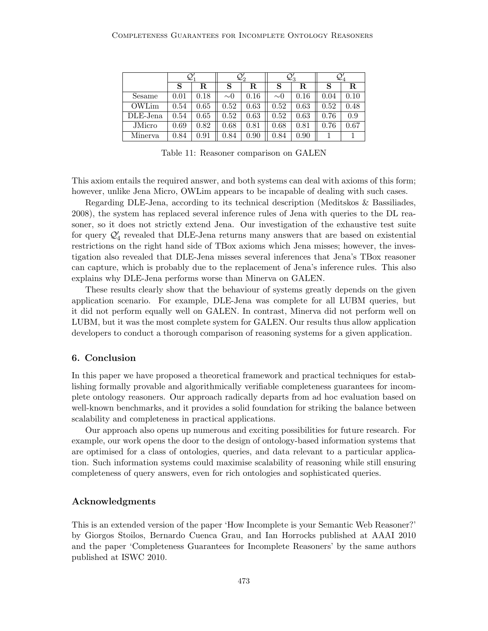|          |      | $\mathcal{Q}_1$ |          | $\mathcal{Q}'_2$ |          | $\mathcal{Q}'_3$ | $\mathcal{Q}_4$ |      |  |
|----------|------|-----------------|----------|------------------|----------|------------------|-----------------|------|--|
|          | S    | $_{\rm R}$      | S        | $_{\rm R}$       | S        | R                | S               | R.   |  |
| Sesame   | 0.01 | 0.18            | $\sim 0$ | 0.16             | $\sim 0$ | 0.16             | 0.04            | 0.10 |  |
| OWLim    | 0.54 | 0.65            | 0.52     | 0.63             | 0.52     | 0.63             | 0.52            | 0.48 |  |
| DLE-Jena | 0.54 | 0.65            | 0.52     | 0.63             | 0.52     | 0.63             | 0.76            | 0.9  |  |
| JMicro   | 0.69 | 0.82            | 0.68     | 0.81             | 0.68     | 0.81             | 0.76            | 0.67 |  |
| Minerva  | 0.84 | 0.91            | 0.84     | 0.90             | 0.84     | 0.90             |                 |      |  |

Table 11: Reasoner comparison on GALEN

This axiom entails the required answer, and both systems can deal with axioms of this form; however, unlike Jena Micro, OWLim appears to be incapable of dealing with such cases.

Regarding DLE-Jena, according to its technical description (Meditskos & Bassiliades, 2008), the system has replaced several inference rules of Jena with queries to the DL reasoner, so it does not strictly extend Jena. Our investigation of the exhaustive test suite for query  $\mathcal{Q}'_4$  revealed that DLE-Jena returns many answers that are based on existential restrictions on the right hand side of TBox axioms which Jena misses; however, the investigation also revealed that DLE-Jena misses several inferences that Jena's TBox reasoner can capture, which is probably due to the replacement of Jena's inference rules. This also explains why DLE-Jena performs worse than Minerva on GALEN.

These results clearly show that the behaviour of systems greatly depends on the given application scenario. For example, DLE-Jena was complete for all LUBM queries, but it did not perform equally well on GALEN. In contrast, Minerva did not perform well on LUBM, but it was the most complete system for GALEN. Our results thus allow application developers to conduct a thorough comparison of reasoning systems for a given application.

## 6. Conclusion

In this paper we have proposed a theoretical framework and practical techniques for establishing formally provable and algorithmically verifiable completeness guarantees for incomplete ontology reasoners. Our approach radically departs from ad hoc evaluation based on well-known benchmarks, and it provides a solid foundation for striking the balance between scalability and completeness in practical applications.

Our approach also opens up numerous and exciting possibilities for future research. For example, our work opens the door to the design of ontology-based information systems that are optimised for a class of ontologies, queries, and data relevant to a particular application. Such information systems could maximise scalability of reasoning while still ensuring completeness of query answers, even for rich ontologies and sophisticated queries.

## Acknowledgments

This is an extended version of the paper 'How Incomplete is your Semantic Web Reasoner?' by Giorgos Stoilos, Bernardo Cuenca Grau, and Ian Horrocks published at AAAI 2010 and the paper 'Completeness Guarantees for Incomplete Reasoners' by the same authors published at ISWC 2010.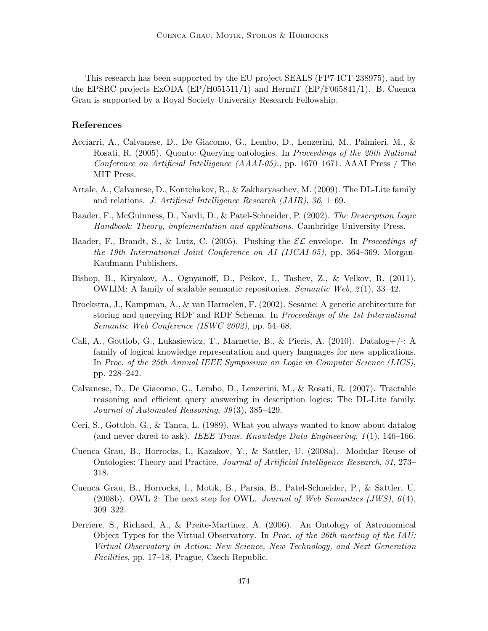This research has been supported by the EU project SEALS (FP7-ICT-238975), and by the EPSRC projects ExODA (EP/H051511/1) and HermiT (EP/F065841/1). B. Cuenca Grau is supported by a Royal Society University Research Fellowship.

## References

- Acciarri, A., Calvanese, D., De Giacomo, G., Lembo, D., Lenzerini, M., Palmieri, M., & Rosati, R. (2005). Quonto: Querying ontologies. In Proceedings of the 20th National Conference on Artificial Intelligence (AAAI-05)., pp. 1670–1671. AAAI Press / The MIT Press.
- Artale, A., Calvanese, D., Kontchakov, R., & Zakharyaschev, M. (2009). The DL-Lite family and relations. J. Artificial Intelligence Research (JAIR), 36, 1–69.
- Baader, F., McGuinness, D., Nardi, D., & Patel-Schneider, P. (2002). The Description Logic Handbook: Theory, implementation and applications. Cambridge University Press.
- Baader, F., Brandt, S., & Lutz, C. (2005). Pushing the  $\mathcal{EL}$  envelope. In Proceedings of the 19th International Joint Conference on AI (IJCAI-05), pp. 364–369. Morgan-Kaufmann Publishers.
- Bishop, B., Kiryakov, A., Ognyanoff, D., Peikov, I., Tashev, Z., & Velkov, R. (2011). OWLIM: A family of scalable semantic repositories. *Semantic Web*,  $\mathcal{Z}(1)$ , 33–42.
- Broekstra, J., Kampman, A., & van Harmelen, F. (2002). Sesame: A generic architecture for storing and querying RDF and RDF Schema. In Proceedings of the 1st International Semantic Web Conference (ISWC 2002), pp. 54–68.
- Calì, A., Gottlob, G., Lukasiewicz, T., Marnette, B., & Pieris, A.  $(2010)$ . Datalog+/-: A family of logical knowledge representation and query languages for new applications. In Proc. of the 25th Annual IEEE Symposium on Logic in Computer Science (LICS), pp. 228–242.
- Calvanese, D., De Giacomo, G., Lembo, D., Lenzerini, M., & Rosati, R. (2007). Tractable reasoning and efficient query answering in description logics: The DL-Lite family. Journal of Automated Reasoning, 39(3), 385–429.
- Ceri, S., Gottlob, G., & Tanca, L. (1989). What you always wanted to know about datalog (and never dared to ask). IEEE Trans. Knowledge Data Engineering,  $1(1)$ , 146–166.
- Cuenca Grau, B., Horrocks, I., Kazakov, Y., & Sattler, U. (2008a). Modular Reuse of Ontologies: Theory and Practice. Journal of Artificial Intelligence Research, 31, 273– 318.
- Cuenca Grau, B., Horrocks, I., Motik, B., Parsia, B., Patel-Schneider, P., & Sattler, U. (2008b). OWL 2: The next step for OWL. Journal of Web Semantics (JWS),  $6(4)$ , 309–322.
- Derriere, S., Richard, A., & Preite-Martinez, A. (2006). An Ontology of Astronomical Object Types for the Virtual Observatory. In Proc. of the 26th meeting of the  $IAU$ : Virtual Observatory in Action: New Science, New Technology, and Next Generation Facilities, pp. 17–18, Prague, Czech Republic.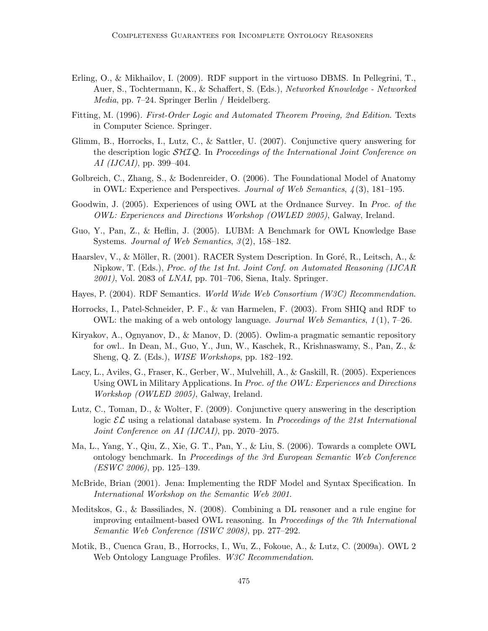- Erling, O., & Mikhailov, I. (2009). RDF support in the virtuoso DBMS. In Pellegrini, T., Auer, S., Tochtermann, K., & Schaffert, S. (Eds.), Networked Knowledge - Networked Media, pp. 7–24. Springer Berlin / Heidelberg.
- Fitting, M. (1996). First-Order Logic and Automated Theorem Proving, 2nd Edition. Texts in Computer Science. Springer.
- Glimm, B., Horrocks, I., Lutz, C., & Sattler, U. (2007). Conjunctive query answering for the description logic  $\mathcal{SHIQ}$ . In Proceedings of the International Joint Conference on AI (IJCAI), pp. 399–404.
- Golbreich, C., Zhang, S., & Bodenreider, O. (2006). The Foundational Model of Anatomy in OWL: Experience and Perspectives. Journal of Web Semantics,  $\lambda(3)$ , 181–195.
- Goodwin, J. (2005). Experiences of using OWL at the Ordnance Survey. In *Proc. of the* OWL: Experiences and Directions Workshop (OWLED 2005), Galway, Ireland.
- Guo, Y., Pan, Z., & Heflin, J. (2005). LUBM: A Benchmark for OWL Knowledge Base Systems. Journal of Web Semantics,  $3(2)$ , 158–182.
- Haarslev, V., & Möller, R. (2001). RACER System Description. In Goré, R., Leitsch, A., & Nipkow, T. (Eds.), Proc. of the 1st Int. Joint Conf. on Automated Reasoning (IJCAR  $2001$ , Vol. 2083 of *LNAI*, pp. 701–706, Siena, Italy. Springer.
- Hayes, P. (2004). RDF Semantics. World Wide Web Consortium (W3C) Recommendation.
- Horrocks, I., Patel-Schneider, P. F., & van Harmelen, F. (2003). From SHIQ and RDF to OWL: the making of a web ontology language. Journal Web Semantics,  $1(1)$ ,  $7-26$ .
- Kiryakov, A., Ognyanov, D., & Manov, D. (2005). Owlim-a pragmatic semantic repository for owl.. In Dean, M., Guo, Y., Jun, W., Kaschek, R., Krishnaswamy, S., Pan, Z., & Sheng, Q. Z. (Eds.), WISE Workshops, pp. 182–192.
- Lacy, L., Aviles, G., Fraser, K., Gerber, W., Mulvehill, A., & Gaskill, R. (2005). Experiences Using OWL in Military Applications. In Proc. of the OWL: Experiences and Directions Workshop (OWLED 2005), Galway, Ireland.
- Lutz, C., Toman, D., & Wolter, F. (2009). Conjunctive query answering in the description logic  $\mathcal{EL}$  using a relational database system. In Proceedings of the 21st International Joint Conference on AI (IJCAI), pp. 2070–2075.
- Ma, L., Yang, Y., Qiu, Z., Xie, G. T., Pan, Y., & Liu, S. (2006). Towards a complete OWL ontology benchmark. In Proceedings of the 3rd European Semantic Web Conference  $(ESWC 2006)$ , pp. 125–139.
- McBride, Brian (2001). Jena: Implementing the RDF Model and Syntax Specification. In International Workshop on the Semantic Web 2001.
- Meditskos, G., & Bassiliades, N. (2008). Combining a DL reasoner and a rule engine for improving entailment-based OWL reasoning. In Proceedings of the 7th International Semantic Web Conference (ISWC 2008), pp. 277–292.
- Motik, B., Cuenca Grau, B., Horrocks, I., Wu, Z., Fokoue, A., & Lutz, C. (2009a). OWL 2 Web Ontology Language Profiles. W3C Recommendation.